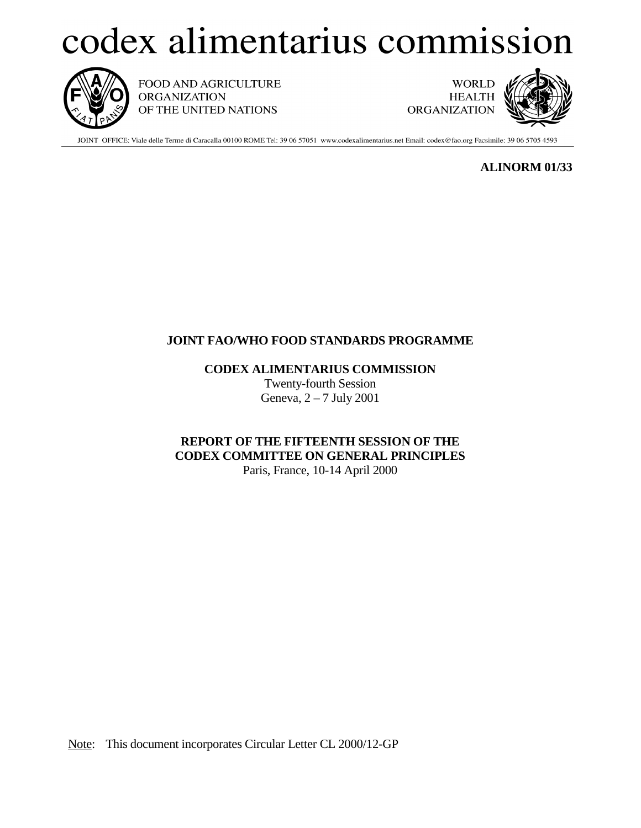# codex alimentarius commission



FOOD AND AGRICULTURE **ORGANIZATION** OF THE UNITED NATIONS

**WORLD HEALTH ORGANIZATION** 



JOINT OFFICE: Viale delle Terme di Caracalla 00100 ROME Tel: 39 06 57051 www.codexalimentarius.net Email: codex@fao.org Facsimile: 39 06 5705 4593

## **ALINORM 01/33**

## **JOINT FAO/WHO FOOD STANDARDS PROGRAMME**

**CODEX ALIMENTARIUS COMMISSION**

Twenty-fourth Session Geneva, 2 – 7 July 2001

**REPORT OF THE FIFTEENTH SESSION OF THE CODEX COMMITTEE ON GENERAL PRINCIPLES** Paris, France, 10-14 April 2000

Note: This document incorporates Circular Letter CL 2000/12-GP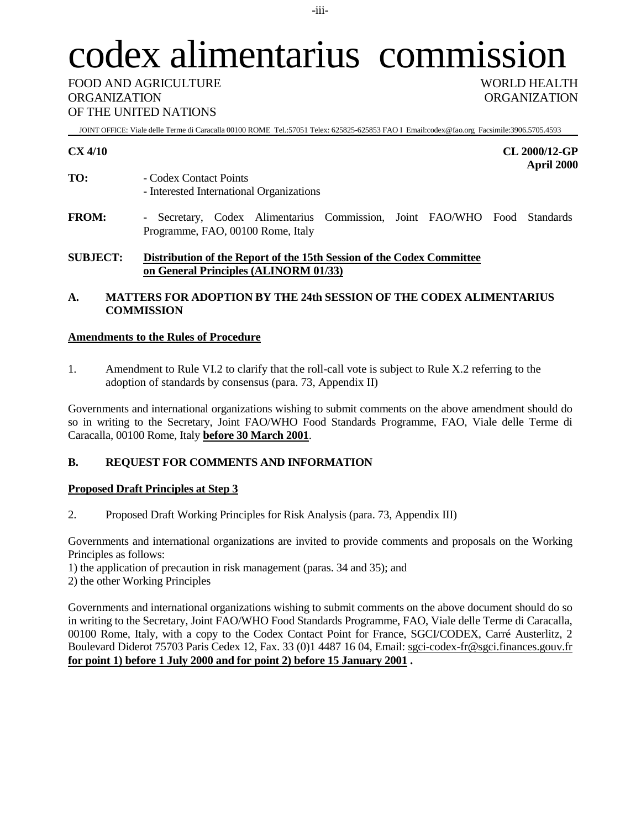## codex alimentarius commission

FOOD AND AGRICULTURE WORLD HEALTH ORGANIZATION ORGANIZATION OF THE UNITED NATIONS

JOINT OFFICE: Viale delle Terme di Caracalla 00100 ROME Tel.:57051 Telex: 625825-625853 FAO I Email:codex@fao.org Facsimile:3906.5705.4593

**CX 4/10 CL 2000/12-GP April 2000**

- **TO:** Codex Contact Points - Interested International Organizations
- **FROM:** Secretary, Codex Alimentarius Commission, Joint FAO/WHO Food Standards Programme, FAO, 00100 Rome, Italy

## **SUBJECT: Distribution of the Report of the 15th Session of the Codex Committee on General Principles (ALINORM 01/33)**

## **A. MATTERS FOR ADOPTION BY THE 24th SESSION OF THE CODEX ALIMENTARIUS COMMISSION**

## **Amendments to the Rules of Procedure**

1. Amendment to Rule VI.2 to clarify that the roll-call vote is subject to Rule X.2 referring to the adoption of standards by consensus (para. 73, Appendix II)

Governments and international organizations wishing to submit comments on the above amendment should do so in writing to the Secretary, Joint FAO/WHO Food Standards Programme, FAO, Viale delle Terme di Caracalla, 00100 Rome, Italy **before 30 March 2001**.

## **B. REQUEST FOR COMMENTS AND INFORMATION**

## **Proposed Draft Principles at Step 3**

2. Proposed Draft Working Principles for Risk Analysis (para. 73, Appendix III)

Governments and international organizations are invited to provide comments and proposals on the Working Principles as follows:

- 1) the application of precaution in risk management (paras. 34 and 35); and
- 2) the other Working Principles

Governments and international organizations wishing to submit comments on the above document should do so in writing to the Secretary, Joint FAO/WHO Food Standards Programme, FAO, Viale delle Terme di Caracalla, 00100 Rome, Italy, with a copy to the Codex Contact Point for France, SGCI/CODEX, Carré Austerlitz, 2 Boulevard Diderot 75703 Paris Cedex 12, Fax. 33 (0)1 4487 16 04, Email: sgci-codex-fr@sgci.finances.gouv.fr **for point 1) before 1 July 2000 and for point 2) before 15 January 2001 .**

-iii-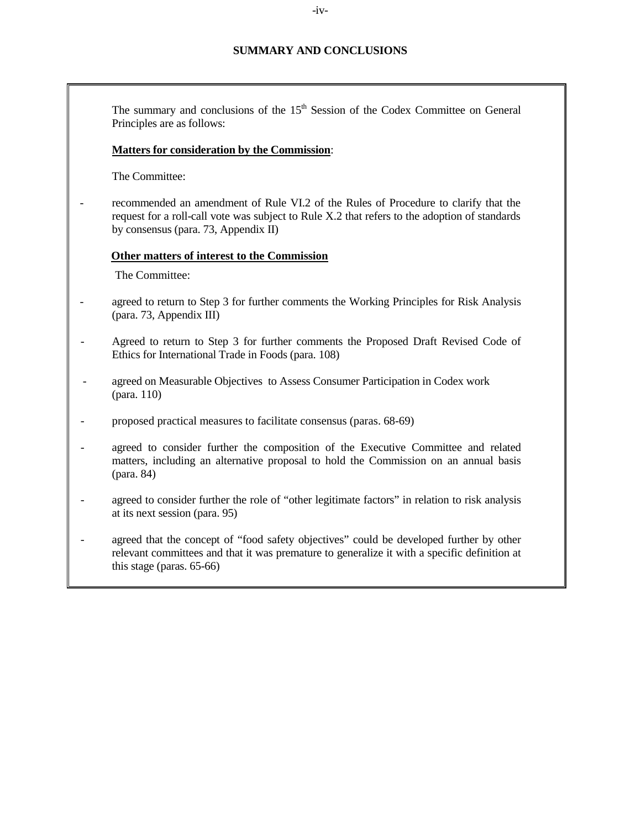## **SUMMARY AND CONCLUSIONS**

The summary and conclusions of the  $15<sup>th</sup>$  Session of the Codex Committee on General Principles are as follows:

## **Matters for consideration by the Commission**:

The Committee:

 - recommended an amendment of Rule VI.2 of the Rules of Procedure to clarify that the request for a roll-call vote was subject to Rule X.2 that refers to the adoption of standards by consensus (para. 73, Appendix II)

#### **Other matters of interest to the Commission**

The Committee:

- agreed to return to Step 3 for further comments the Working Principles for Risk Analysis (para. 73, Appendix III)
- Agreed to return to Step 3 for further comments the Proposed Draft Revised Code of Ethics for International Trade in Foods (para. 108)
- agreed on Measurable Objectives to Assess Consumer Participation in Codex work (para. 110)
- proposed practical measures to facilitate consensus (paras. 68-69)
- agreed to consider further the composition of the Executive Committee and related matters, including an alternative proposal to hold the Commission on an annual basis (para. 84)
- agreed to consider further the role of "other legitimate factors" in relation to risk analysis at its next session (para. 95)
- agreed that the concept of "food safety objectives" could be developed further by other relevant committees and that it was premature to generalize it with a specific definition at this stage (paras. 65-66)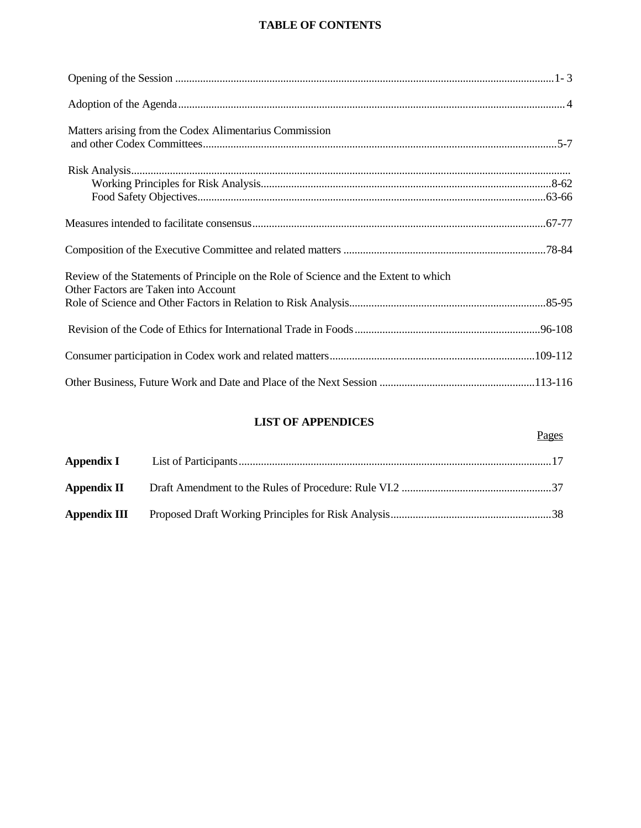## **TABLE OF CONTENTS**

| Matters arising from the Codex Alimentarius Commission                                                                       |  |
|------------------------------------------------------------------------------------------------------------------------------|--|
|                                                                                                                              |  |
|                                                                                                                              |  |
|                                                                                                                              |  |
| Review of the Statements of Principle on the Role of Science and the Extent to which<br>Other Factors are Taken into Account |  |
|                                                                                                                              |  |
|                                                                                                                              |  |
|                                                                                                                              |  |
|                                                                                                                              |  |

## **LIST OF APPENDICES**

Pages

| Appendix I   |  |  |
|--------------|--|--|
| Appendix II  |  |  |
| Appendix III |  |  |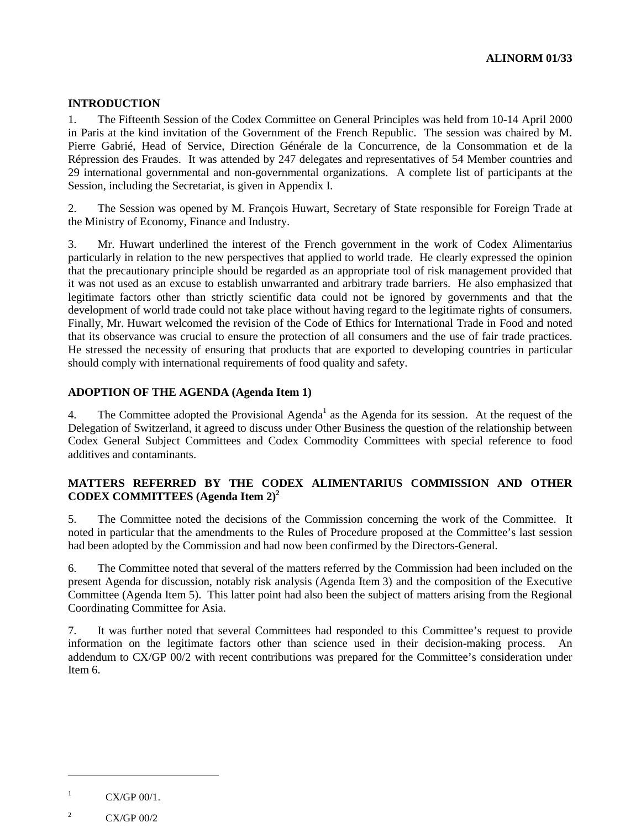## **INTRODUCTION**

1. The Fifteenth Session of the Codex Committee on General Principles was held from 10-14 April 2000 in Paris at the kind invitation of the Government of the French Republic. The session was chaired by M. Pierre Gabrié, Head of Service, Direction Générale de la Concurrence, de la Consommation et de la Répression des Fraudes. It was attended by 247 delegates and representatives of 54 Member countries and 29 international governmental and non-governmental organizations. A complete list of participants at the Session, including the Secretariat, is given in Appendix I.

2. The Session was opened by M. François Huwart, Secretary of State responsible for Foreign Trade at the Ministry of Economy, Finance and Industry.

3. Mr. Huwart underlined the interest of the French government in the work of Codex Alimentarius particularly in relation to the new perspectives that applied to world trade. He clearly expressed the opinion that the precautionary principle should be regarded as an appropriate tool of risk management provided that it was not used as an excuse to establish unwarranted and arbitrary trade barriers. He also emphasized that legitimate factors other than strictly scientific data could not be ignored by governments and that the development of world trade could not take place without having regard to the legitimate rights of consumers. Finally, Mr. Huwart welcomed the revision of the Code of Ethics for International Trade in Food and noted that its observance was crucial to ensure the protection of all consumers and the use of fair trade practices. He stressed the necessity of ensuring that products that are exported to developing countries in particular should comply with international requirements of food quality and safety.

#### **ADOPTION OF THE AGENDA (Agenda Item 1)**

4. The Committee adopted the Provisional Agenda<sup>1</sup> as the Agenda for its session. At the request of the Delegation of Switzerland, it agreed to discuss under Other Business the question of the relationship between Codex General Subject Committees and Codex Commodity Committees with special reference to food additives and contaminants.

## **MATTERS REFERRED BY THE CODEX ALIMENTARIUS COMMISSION AND OTHER CODEX COMMITTEES (Agenda Item 2)<sup>2</sup>**

5. The Committee noted the decisions of the Commission concerning the work of the Committee. It noted in particular that the amendments to the Rules of Procedure proposed at the Committee's last session had been adopted by the Commission and had now been confirmed by the Directors-General.

6. The Committee noted that several of the matters referred by the Commission had been included on the present Agenda for discussion, notably risk analysis (Agenda Item 3) and the composition of the Executive Committee (Agenda Item 5). This latter point had also been the subject of matters arising from the Regional Coordinating Committee for Asia.

7. It was further noted that several Committees had responded to this Committee's request to provide information on the legitimate factors other than science used in their decision-making process. An addendum to CX/GP 00/2 with recent contributions was prepared for the Committee's consideration under Item 6.

<sup>1</sup> CX/GP 00/1.

 $\overline{2}$ CX/GP 00/2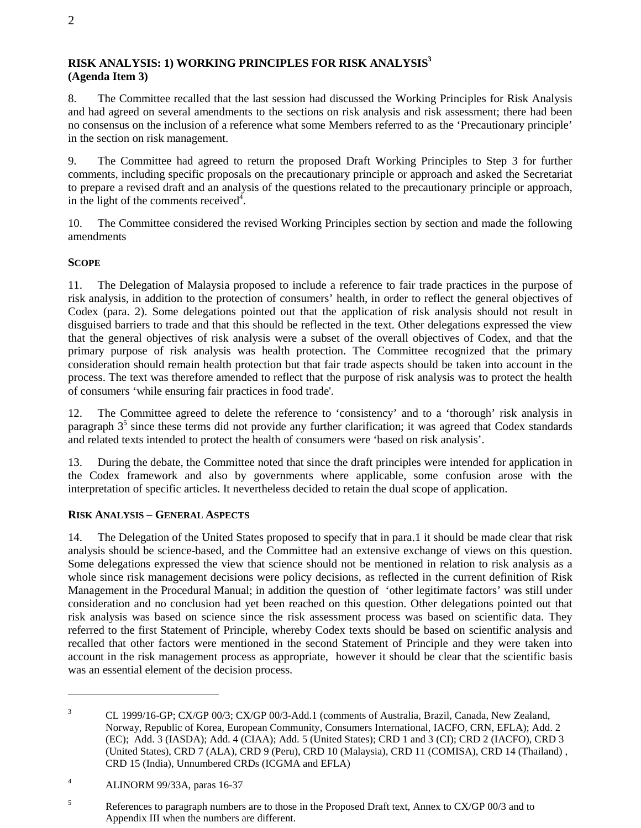## **RISK ANALYSIS: 1) WORKING PRINCIPLES FOR RISK ANALYSIS3 (Agenda Item 3)**

8. The Committee recalled that the last session had discussed the Working Principles for Risk Analysis and had agreed on several amendments to the sections on risk analysis and risk assessment; there had been no consensus on the inclusion of a reference what some Members referred to as the 'Precautionary principle' in the section on risk management.

9. The Committee had agreed to return the proposed Draft Working Principles to Step 3 for further comments, including specific proposals on the precautionary principle or approach and asked the Secretariat to prepare a revised draft and an analysis of the questions related to the precautionary principle or approach, in the light of the comments received<sup>4</sup>.

10. The Committee considered the revised Working Principles section by section and made the following amendments

## **SCOPE**

 $\overline{a}$ 

11. The Delegation of Malaysia proposed to include a reference to fair trade practices in the purpose of risk analysis, in addition to the protection of consumers' health, in order to reflect the general objectives of Codex (para. 2). Some delegations pointed out that the application of risk analysis should not result in disguised barriers to trade and that this should be reflected in the text. Other delegations expressed the view that the general objectives of risk analysis were a subset of the overall objectives of Codex, and that the primary purpose of risk analysis was health protection. The Committee recognized that the primary consideration should remain health protection but that fair trade aspects should be taken into account in the process. The text was therefore amended to reflect that the purpose of risk analysis was to protect the health of consumers 'while ensuring fair practices in food trade'.

12. The Committee agreed to delete the reference to 'consistency' and to a 'thorough' risk analysis in paragraph  $3<sup>5</sup>$  since these terms did not provide any further clarification; it was agreed that Codex standards and related texts intended to protect the health of consumers were 'based on risk analysis'.

13. During the debate, the Committee noted that since the draft principles were intended for application in the Codex framework and also by governments where applicable, some confusion arose with the interpretation of specific articles. It nevertheless decided to retain the dual scope of application.

## **RISK ANALYSIS – GENERAL ASPECTS**

14. The Delegation of the United States proposed to specify that in para.1 it should be made clear that risk analysis should be science-based, and the Committee had an extensive exchange of views on this question. Some delegations expressed the view that science should not be mentioned in relation to risk analysis as a whole since risk management decisions were policy decisions, as reflected in the current definition of Risk Management in the Procedural Manual; in addition the question of 'other legitimate factors' was still under consideration and no conclusion had yet been reached on this question. Other delegations pointed out that risk analysis was based on science since the risk assessment process was based on scientific data. They referred to the first Statement of Principle, whereby Codex texts should be based on scientific analysis and recalled that other factors were mentioned in the second Statement of Principle and they were taken into account in the risk management process as appropriate, however it should be clear that the scientific basis was an essential element of the decision process.

<sup>3</sup> CL 1999/16-GP; CX/GP 00/3; CX/GP 00/3-Add.1 (comments of Australia, Brazil, Canada, New Zealand, Norway, Republic of Korea, European Community, Consumers International, IACFO, CRN, EFLA); Add. 2 (EC); Add. 3 (IASDA); Add. 4 (CIAA); Add. 5 (United States); CRD 1 and 3 (CI); CRD 2 (IACFO), CRD 3 (United States), CRD 7 (ALA), CRD 9 (Peru), CRD 10 (Malaysia), CRD 11 (COMISA), CRD 14 (Thailand) , CRD 15 (India), Unnumbered CRDs (ICGMA and EFLA)

<sup>4</sup> ALINORM 99/33A, paras 16-37

<sup>5</sup> References to paragraph numbers are to those in the Proposed Draft text, Annex to CX/GP 00/3 and to Appendix III when the numbers are different.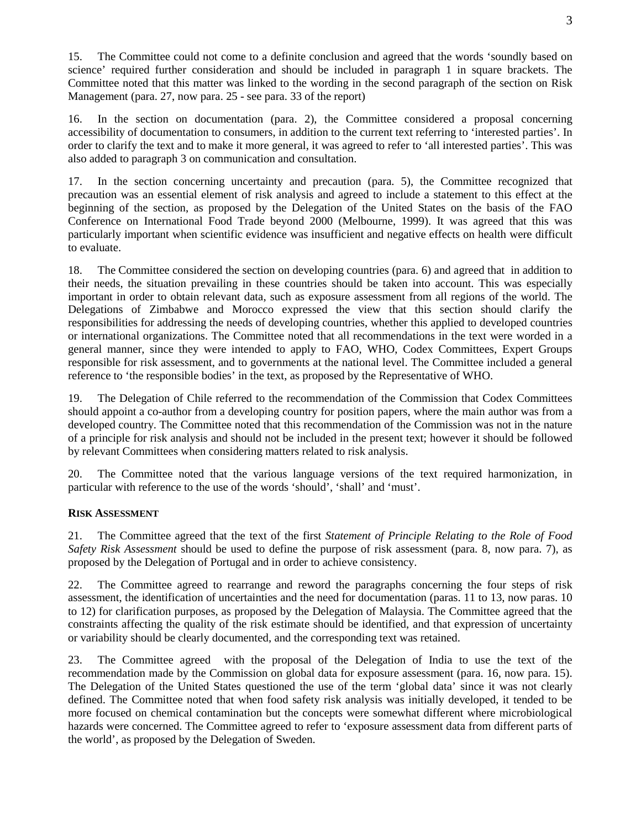15. The Committee could not come to a definite conclusion and agreed that the words 'soundly based on science' required further consideration and should be included in paragraph 1 in square brackets. The Committee noted that this matter was linked to the wording in the second paragraph of the section on Risk Management (para. 27, now para. 25 - see para. 33 of the report)

16. In the section on documentation (para. 2), the Committee considered a proposal concerning accessibility of documentation to consumers, in addition to the current text referring to 'interested parties'. In order to clarify the text and to make it more general, it was agreed to refer to 'all interested parties'. This was also added to paragraph 3 on communication and consultation.

17. In the section concerning uncertainty and precaution (para. 5), the Committee recognized that precaution was an essential element of risk analysis and agreed to include a statement to this effect at the beginning of the section, as proposed by the Delegation of the United States on the basis of the FAO Conference on International Food Trade beyond 2000 (Melbourne, 1999). It was agreed that this was particularly important when scientific evidence was insufficient and negative effects on health were difficult to evaluate.

18. The Committee considered the section on developing countries (para. 6) and agreed that in addition to their needs, the situation prevailing in these countries should be taken into account. This was especially important in order to obtain relevant data, such as exposure assessment from all regions of the world. The Delegations of Zimbabwe and Morocco expressed the view that this section should clarify the responsibilities for addressing the needs of developing countries, whether this applied to developed countries or international organizations. The Committee noted that all recommendations in the text were worded in a general manner, since they were intended to apply to FAO, WHO, Codex Committees, Expert Groups responsible for risk assessment, and to governments at the national level. The Committee included a general reference to 'the responsible bodies' in the text, as proposed by the Representative of WHO.

19. The Delegation of Chile referred to the recommendation of the Commission that Codex Committees should appoint a co-author from a developing country for position papers, where the main author was from a developed country. The Committee noted that this recommendation of the Commission was not in the nature of a principle for risk analysis and should not be included in the present text; however it should be followed by relevant Committees when considering matters related to risk analysis.

20. The Committee noted that the various language versions of the text required harmonization, in particular with reference to the use of the words 'should', 'shall' and 'must'.

## **RISK ASSESSMENT**

21. The Committee agreed that the text of the first *Statement of Principle Relating to the Role of Food Safety Risk Assessment* should be used to define the purpose of risk assessment (para. 8, now para. 7), as proposed by the Delegation of Portugal and in order to achieve consistency.

22. The Committee agreed to rearrange and reword the paragraphs concerning the four steps of risk assessment, the identification of uncertainties and the need for documentation (paras. 11 to 13, now paras. 10 to 12) for clarification purposes, as proposed by the Delegation of Malaysia. The Committee agreed that the constraints affecting the quality of the risk estimate should be identified, and that expression of uncertainty or variability should be clearly documented, and the corresponding text was retained.

23. The Committee agreed with the proposal of the Delegation of India to use the text of the recommendation made by the Commission on global data for exposure assessment (para. 16, now para. 15). The Delegation of the United States questioned the use of the term 'global data' since it was not clearly defined. The Committee noted that when food safety risk analysis was initially developed, it tended to be more focused on chemical contamination but the concepts were somewhat different where microbiological hazards were concerned. The Committee agreed to refer to 'exposure assessment data from different parts of the world', as proposed by the Delegation of Sweden.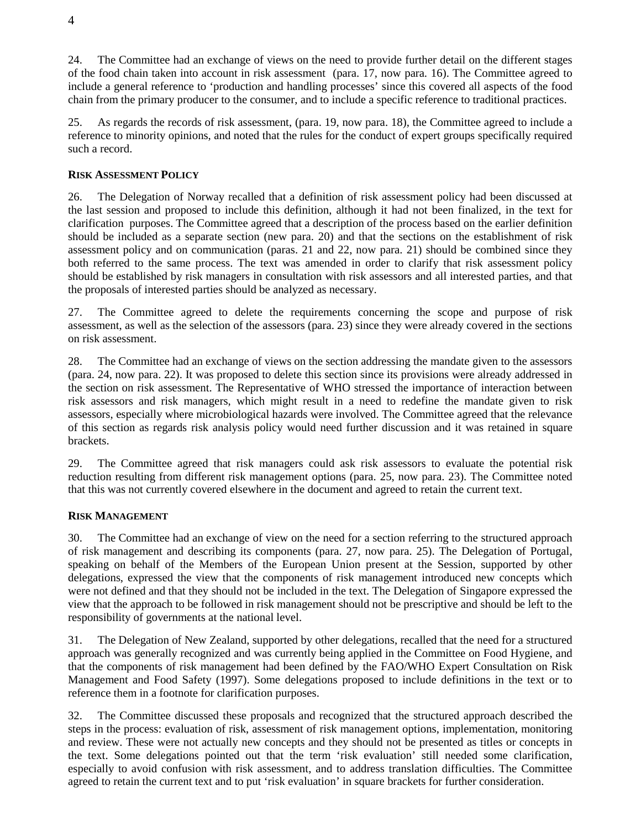24. The Committee had an exchange of views on the need to provide further detail on the different stages of the food chain taken into account in risk assessment (para. 17, now para. 16). The Committee agreed to include a general reference to 'production and handling processes' since this covered all aspects of the food chain from the primary producer to the consumer, and to include a specific reference to traditional practices.

25. As regards the records of risk assessment, (para. 19, now para. 18), the Committee agreed to include a reference to minority opinions, and noted that the rules for the conduct of expert groups specifically required such a record.

## **RISK ASSESSMENT POLICY**

26. The Delegation of Norway recalled that a definition of risk assessment policy had been discussed at the last session and proposed to include this definition, although it had not been finalized, in the text for clarification purposes. The Committee agreed that a description of the process based on the earlier definition should be included as a separate section (new para. 20) and that the sections on the establishment of risk assessment policy and on communication (paras. 21 and 22, now para. 21) should be combined since they both referred to the same process. The text was amended in order to clarify that risk assessment policy should be established by risk managers in consultation with risk assessors and all interested parties, and that the proposals of interested parties should be analyzed as necessary.

27. The Committee agreed to delete the requirements concerning the scope and purpose of risk assessment, as well as the selection of the assessors (para. 23) since they were already covered in the sections on risk assessment.

28. The Committee had an exchange of views on the section addressing the mandate given to the assessors (para. 24, now para. 22). It was proposed to delete this section since its provisions were already addressed in the section on risk assessment. The Representative of WHO stressed the importance of interaction between risk assessors and risk managers, which might result in a need to redefine the mandate given to risk assessors, especially where microbiological hazards were involved. The Committee agreed that the relevance of this section as regards risk analysis policy would need further discussion and it was retained in square brackets.

29. The Committee agreed that risk managers could ask risk assessors to evaluate the potential risk reduction resulting from different risk management options (para. 25, now para. 23). The Committee noted that this was not currently covered elsewhere in the document and agreed to retain the current text.

## **RISK MANAGEMENT**

30. The Committee had an exchange of view on the need for a section referring to the structured approach of risk management and describing its components (para. 27, now para. 25). The Delegation of Portugal, speaking on behalf of the Members of the European Union present at the Session, supported by other delegations, expressed the view that the components of risk management introduced new concepts which were not defined and that they should not be included in the text. The Delegation of Singapore expressed the view that the approach to be followed in risk management should not be prescriptive and should be left to the responsibility of governments at the national level.

31. The Delegation of New Zealand, supported by other delegations, recalled that the need for a structured approach was generally recognized and was currently being applied in the Committee on Food Hygiene, and that the components of risk management had been defined by the FAO/WHO Expert Consultation on Risk Management and Food Safety (1997). Some delegations proposed to include definitions in the text or to reference them in a footnote for clarification purposes.

32. The Committee discussed these proposals and recognized that the structured approach described the steps in the process: evaluation of risk, assessment of risk management options, implementation, monitoring and review. These were not actually new concepts and they should not be presented as titles or concepts in the text. Some delegations pointed out that the term 'risk evaluation' still needed some clarification, especially to avoid confusion with risk assessment, and to address translation difficulties. The Committee agreed to retain the current text and to put 'risk evaluation' in square brackets for further consideration.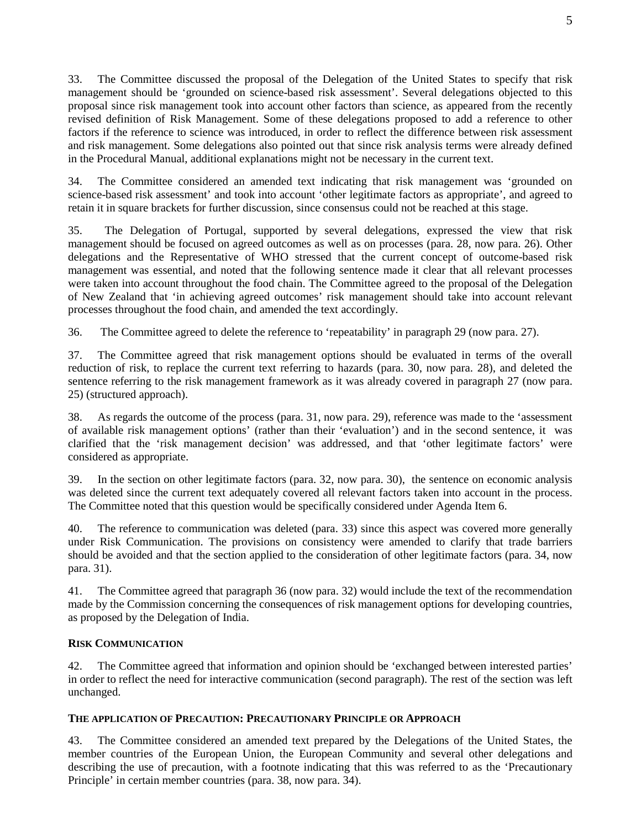33. The Committee discussed the proposal of the Delegation of the United States to specify that risk management should be 'grounded on science-based risk assessment'. Several delegations objected to this proposal since risk management took into account other factors than science, as appeared from the recently revised definition of Risk Management. Some of these delegations proposed to add a reference to other factors if the reference to science was introduced, in order to reflect the difference between risk assessment and risk management. Some delegations also pointed out that since risk analysis terms were already defined in the Procedural Manual, additional explanations might not be necessary in the current text.

34. The Committee considered an amended text indicating that risk management was 'grounded on science-based risk assessment' and took into account 'other legitimate factors as appropriate', and agreed to retain it in square brackets for further discussion, since consensus could not be reached at this stage.

35. The Delegation of Portugal, supported by several delegations, expressed the view that risk management should be focused on agreed outcomes as well as on processes (para. 28, now para. 26). Other delegations and the Representative of WHO stressed that the current concept of outcome-based risk management was essential, and noted that the following sentence made it clear that all relevant processes were taken into account throughout the food chain. The Committee agreed to the proposal of the Delegation of New Zealand that 'in achieving agreed outcomes' risk management should take into account relevant processes throughout the food chain, and amended the text accordingly.

36. The Committee agreed to delete the reference to 'repeatability' in paragraph 29 (now para. 27).

37. The Committee agreed that risk management options should be evaluated in terms of the overall reduction of risk, to replace the current text referring to hazards (para. 30, now para. 28), and deleted the sentence referring to the risk management framework as it was already covered in paragraph 27 (now para. 25) (structured approach).

38. As regards the outcome of the process (para. 31, now para. 29), reference was made to the 'assessment of available risk management options' (rather than their 'evaluation') and in the second sentence, it was clarified that the 'risk management decision' was addressed, and that 'other legitimate factors' were considered as appropriate.

39. In the section on other legitimate factors (para. 32, now para. 30), the sentence on economic analysis was deleted since the current text adequately covered all relevant factors taken into account in the process. The Committee noted that this question would be specifically considered under Agenda Item 6.

40. The reference to communication was deleted (para. 33) since this aspect was covered more generally under Risk Communication. The provisions on consistency were amended to clarify that trade barriers should be avoided and that the section applied to the consideration of other legitimate factors (para. 34, now para. 31).

41. The Committee agreed that paragraph 36 (now para. 32) would include the text of the recommendation made by the Commission concerning the consequences of risk management options for developing countries, as proposed by the Delegation of India.

## **RISK COMMUNICATION**

42. The Committee agreed that information and opinion should be 'exchanged between interested parties' in order to reflect the need for interactive communication (second paragraph). The rest of the section was left unchanged.

## **THE APPLICATION OF PRECAUTION: PRECAUTIONARY PRINCIPLE OR APPROACH**

43. The Committee considered an amended text prepared by the Delegations of the United States, the member countries of the European Union, the European Community and several other delegations and describing the use of precaution, with a footnote indicating that this was referred to as the 'Precautionary Principle' in certain member countries (para. 38, now para. 34).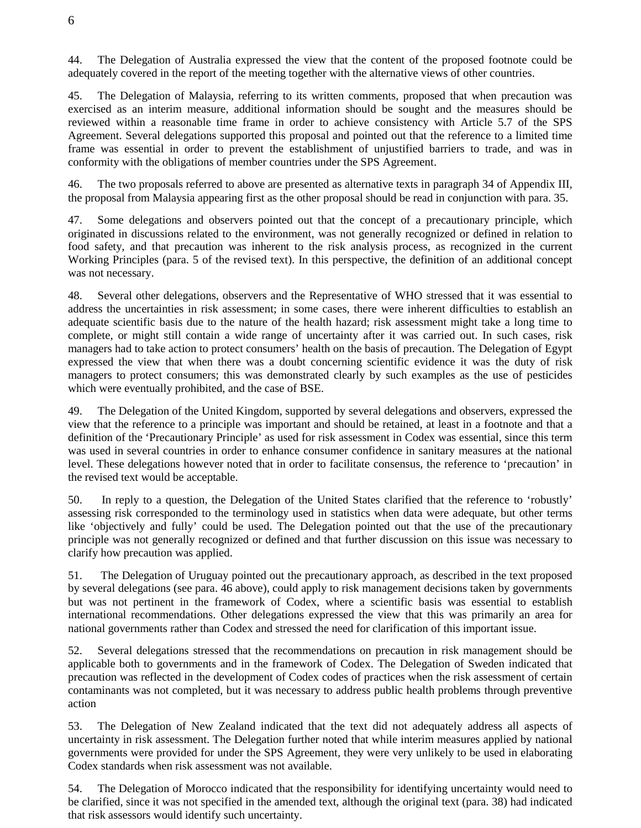44. The Delegation of Australia expressed the view that the content of the proposed footnote could be adequately covered in the report of the meeting together with the alternative views of other countries.

45. The Delegation of Malaysia, referring to its written comments, proposed that when precaution was exercised as an interim measure, additional information should be sought and the measures should be reviewed within a reasonable time frame in order to achieve consistency with Article 5.7 of the SPS Agreement. Several delegations supported this proposal and pointed out that the reference to a limited time frame was essential in order to prevent the establishment of unjustified barriers to trade, and was in conformity with the obligations of member countries under the SPS Agreement.

46. The two proposals referred to above are presented as alternative texts in paragraph 34 of Appendix III, the proposal from Malaysia appearing first as the other proposal should be read in conjunction with para. 35.

47. Some delegations and observers pointed out that the concept of a precautionary principle, which originated in discussions related to the environment, was not generally recognized or defined in relation to food safety, and that precaution was inherent to the risk analysis process, as recognized in the current Working Principles (para. 5 of the revised text). In this perspective, the definition of an additional concept was not necessary.

48. Several other delegations, observers and the Representative of WHO stressed that it was essential to address the uncertainties in risk assessment; in some cases, there were inherent difficulties to establish an adequate scientific basis due to the nature of the health hazard; risk assessment might take a long time to complete, or might still contain a wide range of uncertainty after it was carried out. In such cases, risk managers had to take action to protect consumers' health on the basis of precaution. The Delegation of Egypt expressed the view that when there was a doubt concerning scientific evidence it was the duty of risk managers to protect consumers; this was demonstrated clearly by such examples as the use of pesticides which were eventually prohibited, and the case of BSE.

49. The Delegation of the United Kingdom, supported by several delegations and observers, expressed the view that the reference to a principle was important and should be retained, at least in a footnote and that a definition of the 'Precautionary Principle' as used for risk assessment in Codex was essential, since this term was used in several countries in order to enhance consumer confidence in sanitary measures at the national level. These delegations however noted that in order to facilitate consensus, the reference to 'precaution' in the revised text would be acceptable.

50. In reply to a question, the Delegation of the United States clarified that the reference to 'robustly' assessing risk corresponded to the terminology used in statistics when data were adequate, but other terms like 'objectively and fully' could be used. The Delegation pointed out that the use of the precautionary principle was not generally recognized or defined and that further discussion on this issue was necessary to clarify how precaution was applied.

51. The Delegation of Uruguay pointed out the precautionary approach, as described in the text proposed by several delegations (see para. 46 above), could apply to risk management decisions taken by governments but was not pertinent in the framework of Codex, where a scientific basis was essential to establish international recommendations. Other delegations expressed the view that this was primarily an area for national governments rather than Codex and stressed the need for clarification of this important issue.

52. Several delegations stressed that the recommendations on precaution in risk management should be applicable both to governments and in the framework of Codex. The Delegation of Sweden indicated that precaution was reflected in the development of Codex codes of practices when the risk assessment of certain contaminants was not completed, but it was necessary to address public health problems through preventive action

53. The Delegation of New Zealand indicated that the text did not adequately address all aspects of uncertainty in risk assessment. The Delegation further noted that while interim measures applied by national governments were provided for under the SPS Agreement, they were very unlikely to be used in elaborating Codex standards when risk assessment was not available.

54. The Delegation of Morocco indicated that the responsibility for identifying uncertainty would need to be clarified, since it was not specified in the amended text, although the original text (para. 38) had indicated that risk assessors would identify such uncertainty.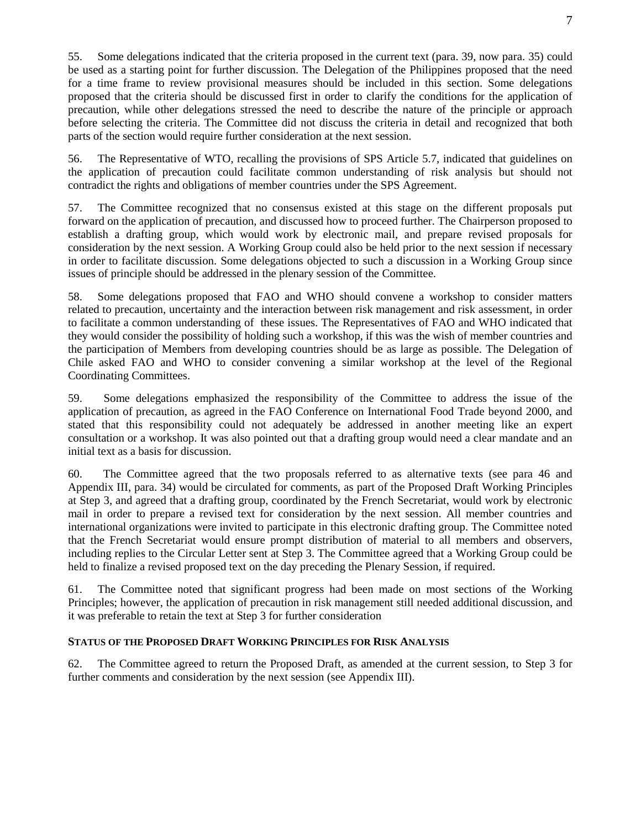55. Some delegations indicated that the criteria proposed in the current text (para. 39, now para. 35) could be used as a starting point for further discussion. The Delegation of the Philippines proposed that the need for a time frame to review provisional measures should be included in this section. Some delegations proposed that the criteria should be discussed first in order to clarify the conditions for the application of precaution, while other delegations stressed the need to describe the nature of the principle or approach before selecting the criteria. The Committee did not discuss the criteria in detail and recognized that both parts of the section would require further consideration at the next session.

56. The Representative of WTO, recalling the provisions of SPS Article 5.7, indicated that guidelines on the application of precaution could facilitate common understanding of risk analysis but should not contradict the rights and obligations of member countries under the SPS Agreement.

57. The Committee recognized that no consensus existed at this stage on the different proposals put forward on the application of precaution, and discussed how to proceed further. The Chairperson proposed to establish a drafting group, which would work by electronic mail, and prepare revised proposals for consideration by the next session. A Working Group could also be held prior to the next session if necessary in order to facilitate discussion. Some delegations objected to such a discussion in a Working Group since issues of principle should be addressed in the plenary session of the Committee.

58. Some delegations proposed that FAO and WHO should convene a workshop to consider matters related to precaution, uncertainty and the interaction between risk management and risk assessment, in order to facilitate a common understanding of these issues. The Representatives of FAO and WHO indicated that they would consider the possibility of holding such a workshop, if this was the wish of member countries and the participation of Members from developing countries should be as large as possible. The Delegation of Chile asked FAO and WHO to consider convening a similar workshop at the level of the Regional Coordinating Committees.

59. Some delegations emphasized the responsibility of the Committee to address the issue of the application of precaution, as agreed in the FAO Conference on International Food Trade beyond 2000, and stated that this responsibility could not adequately be addressed in another meeting like an expert consultation or a workshop. It was also pointed out that a drafting group would need a clear mandate and an initial text as a basis for discussion.

60. The Committee agreed that the two proposals referred to as alternative texts (see para 46 and Appendix III, para. 34) would be circulated for comments, as part of the Proposed Draft Working Principles at Step 3, and agreed that a drafting group, coordinated by the French Secretariat, would work by electronic mail in order to prepare a revised text for consideration by the next session. All member countries and international organizations were invited to participate in this electronic drafting group. The Committee noted that the French Secretariat would ensure prompt distribution of material to all members and observers, including replies to the Circular Letter sent at Step 3. The Committee agreed that a Working Group could be held to finalize a revised proposed text on the day preceding the Plenary Session, if required.

61. The Committee noted that significant progress had been made on most sections of the Working Principles; however, the application of precaution in risk management still needed additional discussion, and it was preferable to retain the text at Step 3 for further consideration

## **STATUS OF THE PROPOSED DRAFT WORKING PRINCIPLES FOR RISK ANALYSIS**

62. The Committee agreed to return the Proposed Draft, as amended at the current session, to Step 3 for further comments and consideration by the next session (see Appendix III).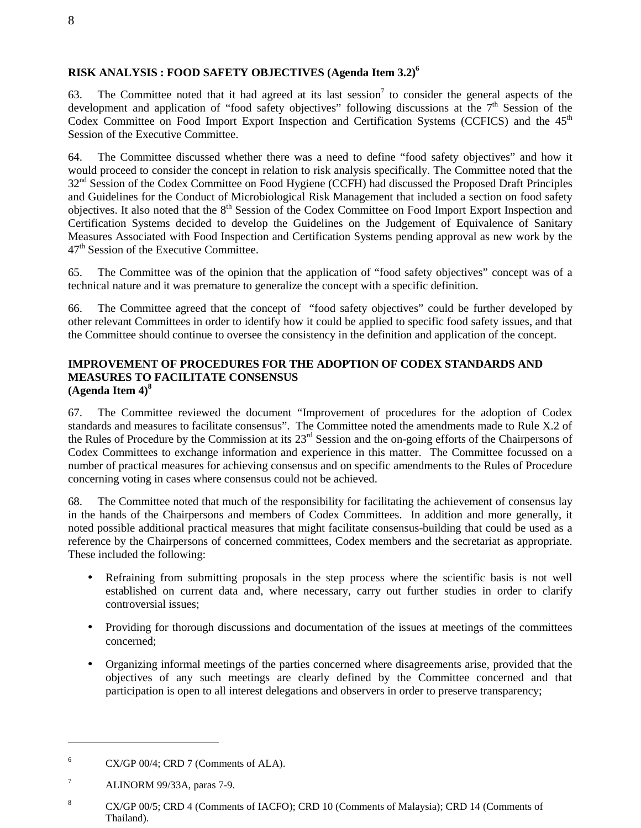## **RISK ANALYSIS : FOOD SAFETY OBJECTIVES (Agenda Item 3.2)6**

63. The Committee noted that it had agreed at its last session<sup>7</sup> to consider the general aspects of the development and application of "food safety objectives" following discussions at the  $7<sup>th</sup>$  Session of the Codex Committee on Food Import Export Inspection and Certification Systems (CCFICS) and the 45<sup>th</sup> Session of the Executive Committee.

64. The Committee discussed whether there was a need to define "food safety objectives" and how it would proceed to consider the concept in relation to risk analysis specifically. The Committee noted that the 32<sup>nd</sup> Session of the Codex Committee on Food Hygiene (CCFH) had discussed the Proposed Draft Principles and Guidelines for the Conduct of Microbiological Risk Management that included a section on food safety objectives. It also noted that the  $8<sup>th</sup>$  Session of the Codex Committee on Food Import Export Inspection and Certification Systems decided to develop the Guidelines on the Judgement of Equivalence of Sanitary Measures Associated with Food Inspection and Certification Systems pending approval as new work by the  $47<sup>th</sup>$  Session of the Executive Committee.

65. The Committee was of the opinion that the application of "food safety objectives" concept was of a technical nature and it was premature to generalize the concept with a specific definition.

66. The Committee agreed that the concept of "food safety objectives" could be further developed by other relevant Committees in order to identify how it could be applied to specific food safety issues, and that the Committee should continue to oversee the consistency in the definition and application of the concept.

## **IMPROVEMENT OF PROCEDURES FOR THE ADOPTION OF CODEX STANDARDS AND MEASURES TO FACILITATE CONSENSUS (Agenda Item 4)8**

67. The Committee reviewed the document "Improvement of procedures for the adoption of Codex standards and measures to facilitate consensus". The Committee noted the amendments made to Rule X.2 of the Rules of Procedure by the Commission at its 23rd Session and the on-going efforts of the Chairpersons of Codex Committees to exchange information and experience in this matter. The Committee focussed on a number of practical measures for achieving consensus and on specific amendments to the Rules of Procedure concerning voting in cases where consensus could not be achieved.

68. The Committee noted that much of the responsibility for facilitating the achievement of consensus lay in the hands of the Chairpersons and members of Codex Committees. In addition and more generally, it noted possible additional practical measures that might facilitate consensus-building that could be used as a reference by the Chairpersons of concerned committees, Codex members and the secretariat as appropriate. These included the following:

- Refraining from submitting proposals in the step process where the scientific basis is not well established on current data and, where necessary, carry out further studies in order to clarify controversial issues;
- Providing for thorough discussions and documentation of the issues at meetings of the committees concerned;
- Organizing informal meetings of the parties concerned where disagreements arise, provided that the objectives of any such meetings are clearly defined by the Committee concerned and that participation is open to all interest delegations and observers in order to preserve transparency;

<sup>6</sup> CX/GP 00/4; CRD 7 (Comments of ALA).

<sup>7</sup> ALINORM 99/33A, paras 7-9.

<sup>8</sup> CX/GP 00/5; CRD 4 (Comments of IACFO); CRD 10 (Comments of Malaysia); CRD 14 (Comments of Thailand).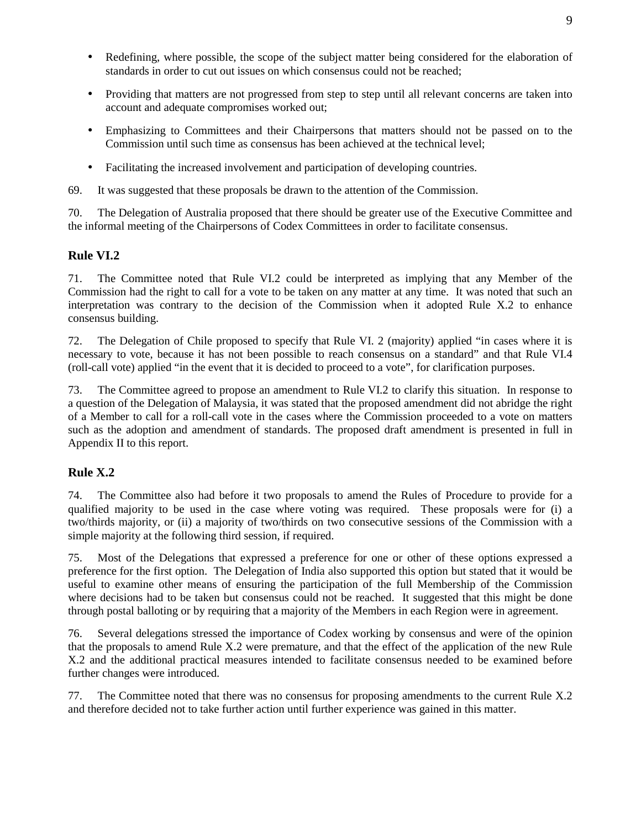- Redefining, where possible, the scope of the subject matter being considered for the elaboration of standards in order to cut out issues on which consensus could not be reached;
- Providing that matters are not progressed from step to step until all relevant concerns are taken into account and adequate compromises worked out;
- Emphasizing to Committees and their Chairpersons that matters should not be passed on to the Commission until such time as consensus has been achieved at the technical level;
- Facilitating the increased involvement and participation of developing countries.
- 69. It was suggested that these proposals be drawn to the attention of the Commission.

70. The Delegation of Australia proposed that there should be greater use of the Executive Committee and the informal meeting of the Chairpersons of Codex Committees in order to facilitate consensus.

## **Rule VI.2**

71. The Committee noted that Rule VI.2 could be interpreted as implying that any Member of the Commission had the right to call for a vote to be taken on any matter at any time. It was noted that such an interpretation was contrary to the decision of the Commission when it adopted Rule X.2 to enhance consensus building.

72. The Delegation of Chile proposed to specify that Rule VI. 2 (majority) applied "in cases where it is necessary to vote, because it has not been possible to reach consensus on a standard" and that Rule VI.4 (roll-call vote) applied "in the event that it is decided to proceed to a vote", for clarification purposes.

73. The Committee agreed to propose an amendment to Rule VI.2 to clarify this situation. In response to a question of the Delegation of Malaysia, it was stated that the proposed amendment did not abridge the right of a Member to call for a roll-call vote in the cases where the Commission proceeded to a vote on matters such as the adoption and amendment of standards. The proposed draft amendment is presented in full in Appendix II to this report.

## **Rule X.2**

74. The Committee also had before it two proposals to amend the Rules of Procedure to provide for a qualified majority to be used in the case where voting was required. These proposals were for (i) a two/thirds majority, or (ii) a majority of two/thirds on two consecutive sessions of the Commission with a simple majority at the following third session, if required.

75. Most of the Delegations that expressed a preference for one or other of these options expressed a preference for the first option. The Delegation of India also supported this option but stated that it would be useful to examine other means of ensuring the participation of the full Membership of the Commission where decisions had to be taken but consensus could not be reached. It suggested that this might be done through postal balloting or by requiring that a majority of the Members in each Region were in agreement.

76. Several delegations stressed the importance of Codex working by consensus and were of the opinion that the proposals to amend Rule X.2 were premature, and that the effect of the application of the new Rule X.2 and the additional practical measures intended to facilitate consensus needed to be examined before further changes were introduced.

77. The Committee noted that there was no consensus for proposing amendments to the current Rule X.2 and therefore decided not to take further action until further experience was gained in this matter.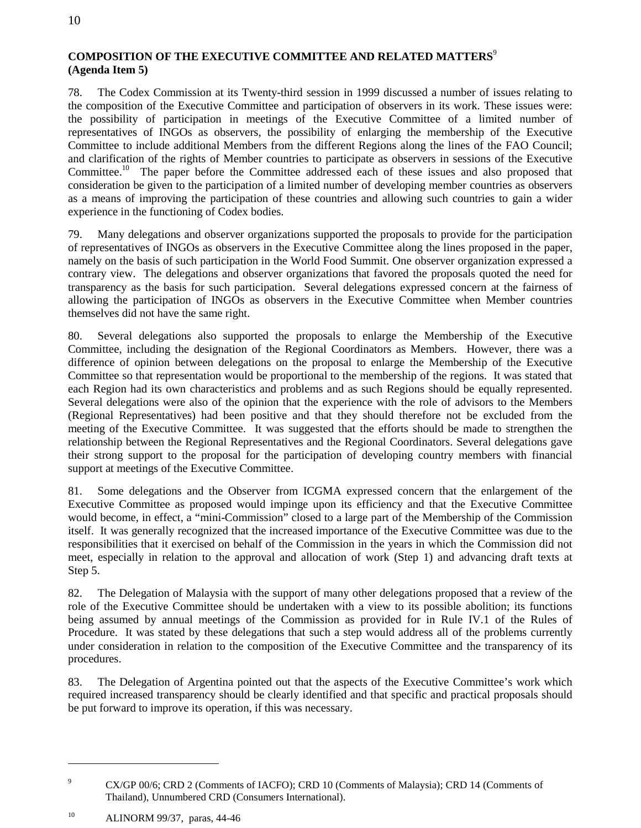## **COMPOSITION OF THE EXECUTIVE COMMITTEE AND RELATED MATTERS**<sup>9</sup> **(Agenda Item 5)**

78. The Codex Commission at its Twenty-third session in 1999 discussed a number of issues relating to the composition of the Executive Committee and participation of observers in its work. These issues were: the possibility of participation in meetings of the Executive Committee of a limited number of representatives of INGOs as observers, the possibility of enlarging the membership of the Executive Committee to include additional Members from the different Regions along the lines of the FAO Council; and clarification of the rights of Member countries to participate as observers in sessions of the Executive Committee.<sup>10</sup> The paper before the Committee addressed each of these issues and also proposed that consideration be given to the participation of a limited number of developing member countries as observers as a means of improving the participation of these countries and allowing such countries to gain a wider experience in the functioning of Codex bodies.

79. Many delegations and observer organizations supported the proposals to provide for the participation of representatives of INGOs as observers in the Executive Committee along the lines proposed in the paper, namely on the basis of such participation in the World Food Summit. One observer organization expressed a contrary view. The delegations and observer organizations that favored the proposals quoted the need for transparency as the basis for such participation. Several delegations expressed concern at the fairness of allowing the participation of INGOs as observers in the Executive Committee when Member countries themselves did not have the same right.

80. Several delegations also supported the proposals to enlarge the Membership of the Executive Committee, including the designation of the Regional Coordinators as Members. However, there was a difference of opinion between delegations on the proposal to enlarge the Membership of the Executive Committee so that representation would be proportional to the membership of the regions. It was stated that each Region had its own characteristics and problems and as such Regions should be equally represented. Several delegations were also of the opinion that the experience with the role of advisors to the Members (Regional Representatives) had been positive and that they should therefore not be excluded from the meeting of the Executive Committee. It was suggested that the efforts should be made to strengthen the relationship between the Regional Representatives and the Regional Coordinators. Several delegations gave their strong support to the proposal for the participation of developing country members with financial support at meetings of the Executive Committee.

81. Some delegations and the Observer from ICGMA expressed concern that the enlargement of the Executive Committee as proposed would impinge upon its efficiency and that the Executive Committee would become, in effect, a "mini-Commission" closed to a large part of the Membership of the Commission itself. It was generally recognized that the increased importance of the Executive Committee was due to the responsibilities that it exercised on behalf of the Commission in the years in which the Commission did not meet, especially in relation to the approval and allocation of work (Step 1) and advancing draft texts at Step 5.

82. The Delegation of Malaysia with the support of many other delegations proposed that a review of the role of the Executive Committee should be undertaken with a view to its possible abolition; its functions being assumed by annual meetings of the Commission as provided for in Rule IV.1 of the Rules of Procedure. It was stated by these delegations that such a step would address all of the problems currently under consideration in relation to the composition of the Executive Committee and the transparency of its procedures.

83. The Delegation of Argentina pointed out that the aspects of the Executive Committee's work which required increased transparency should be clearly identified and that specific and practical proposals should be put forward to improve its operation, if this was necessary.

<sup>9</sup> CX/GP 00/6; CRD 2 (Comments of IACFO); CRD 10 (Comments of Malaysia); CRD 14 (Comments of Thailand), Unnumbered CRD (Consumers International).

<sup>10</sup> ALINORM 99/37, paras, 44-46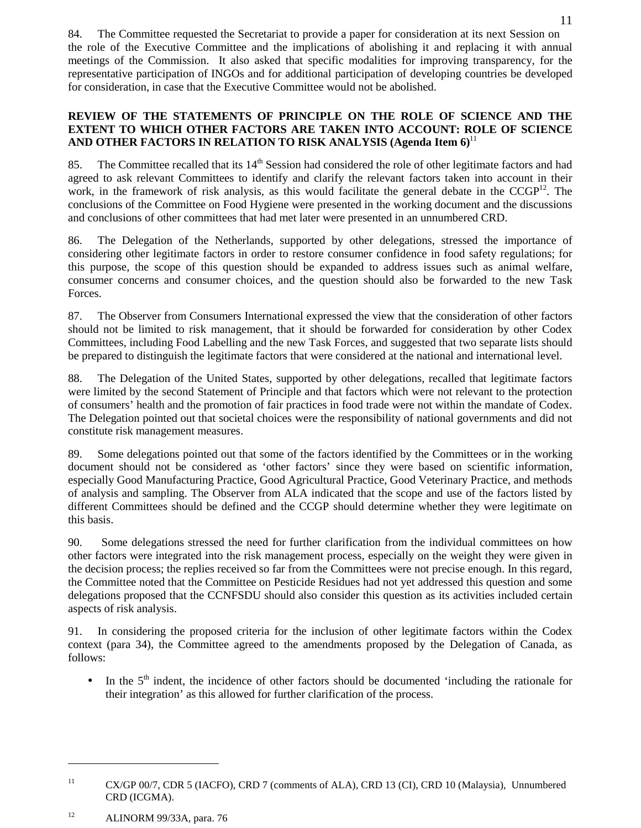## **REVIEW OF THE STATEMENTS OF PRINCIPLE ON THE ROLE OF SCIENCE AND THE EXTENT TO WHICH OTHER FACTORS ARE TAKEN INTO ACCOUNT: ROLE OF SCIENCE AND OTHER FACTORS IN RELATION TO RISK ANALYSIS (Agenda Item 6)**<sup>11</sup>

85. The Committee recalled that its  $14<sup>th</sup>$  Session had considered the role of other legitimate factors and had agreed to ask relevant Committees to identify and clarify the relevant factors taken into account in their work, in the framework of risk analysis, as this would facilitate the general debate in the  $CCGP<sup>12</sup>$ . The conclusions of the Committee on Food Hygiene were presented in the working document and the discussions and conclusions of other committees that had met later were presented in an unnumbered CRD.

86. The Delegation of the Netherlands, supported by other delegations, stressed the importance of considering other legitimate factors in order to restore consumer confidence in food safety regulations; for this purpose, the scope of this question should be expanded to address issues such as animal welfare, consumer concerns and consumer choices, and the question should also be forwarded to the new Task Forces.

87. The Observer from Consumers International expressed the view that the consideration of other factors should not be limited to risk management, that it should be forwarded for consideration by other Codex Committees, including Food Labelling and the new Task Forces, and suggested that two separate lists should be prepared to distinguish the legitimate factors that were considered at the national and international level.

88. The Delegation of the United States, supported by other delegations, recalled that legitimate factors were limited by the second Statement of Principle and that factors which were not relevant to the protection of consumers' health and the promotion of fair practices in food trade were not within the mandate of Codex. The Delegation pointed out that societal choices were the responsibility of national governments and did not constitute risk management measures.

89. Some delegations pointed out that some of the factors identified by the Committees or in the working document should not be considered as 'other factors' since they were based on scientific information, especially Good Manufacturing Practice, Good Agricultural Practice, Good Veterinary Practice, and methods of analysis and sampling. The Observer from ALA indicated that the scope and use of the factors listed by different Committees should be defined and the CCGP should determine whether they were legitimate on this basis.

90. Some delegations stressed the need for further clarification from the individual committees on how other factors were integrated into the risk management process, especially on the weight they were given in the decision process; the replies received so far from the Committees were not precise enough. In this regard, the Committee noted that the Committee on Pesticide Residues had not yet addressed this question and some delegations proposed that the CCNFSDU should also consider this question as its activities included certain aspects of risk analysis.

91. In considering the proposed criteria for the inclusion of other legitimate factors within the Codex context (para 34), the Committee agreed to the amendments proposed by the Delegation of Canada, as follows:

• In the  $5<sup>th</sup>$  indent, the incidence of other factors should be documented 'including the rationale for their integration' as this allowed for further clarification of the process.

<sup>11</sup> CX/GP 00/7, CDR 5 (IACFO), CRD 7 (comments of ALA), CRD 13 (CI), CRD 10 (Malaysia), Unnumbered CRD (ICGMA).

<sup>12</sup> ALINORM 99/33A, para. 76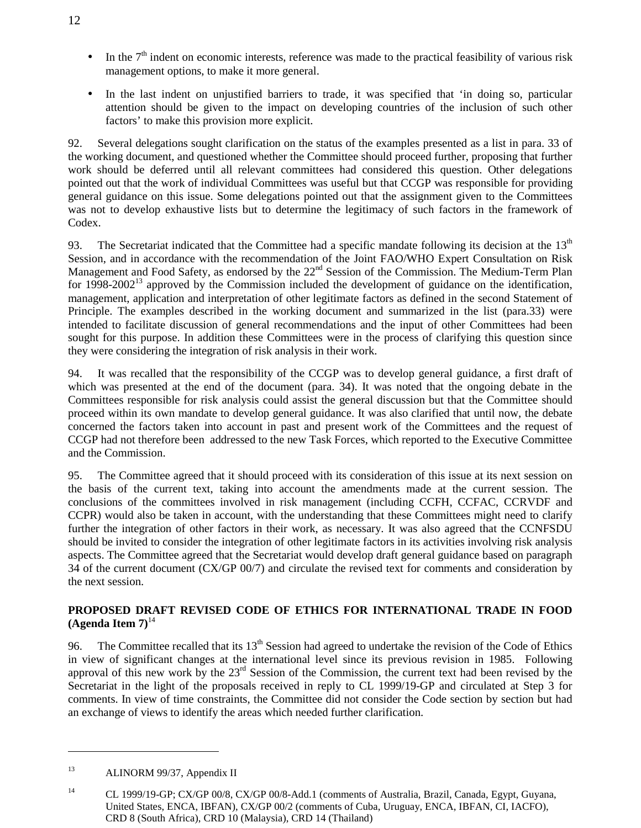- In the  $7<sup>th</sup>$  indent on economic interests, reference was made to the practical feasibility of various risk management options, to make it more general.
- In the last indent on unjustified barriers to trade, it was specified that 'in doing so, particular attention should be given to the impact on developing countries of the inclusion of such other factors' to make this provision more explicit.

92. Several delegations sought clarification on the status of the examples presented as a list in para. 33 of the working document, and questioned whether the Committee should proceed further, proposing that further work should be deferred until all relevant committees had considered this question. Other delegations pointed out that the work of individual Committees was useful but that CCGP was responsible for providing general guidance on this issue. Some delegations pointed out that the assignment given to the Committees was not to develop exhaustive lists but to determine the legitimacy of such factors in the framework of Codex.

93. The Secretariat indicated that the Committee had a specific mandate following its decision at the  $13<sup>th</sup>$ Session, and in accordance with the recommendation of the Joint FAO/WHO Expert Consultation on Risk Management and Food Safety, as endorsed by the 22<sup>nd</sup> Session of the Commission. The Medium-Term Plan for 1998-2002<sup>13</sup> approved by the Commission included the development of guidance on the identification, management, application and interpretation of other legitimate factors as defined in the second Statement of Principle. The examples described in the working document and summarized in the list (para.33) were intended to facilitate discussion of general recommendations and the input of other Committees had been sought for this purpose. In addition these Committees were in the process of clarifying this question since they were considering the integration of risk analysis in their work.

94. It was recalled that the responsibility of the CCGP was to develop general guidance, a first draft of which was presented at the end of the document (para. 34). It was noted that the ongoing debate in the Committees responsible for risk analysis could assist the general discussion but that the Committee should proceed within its own mandate to develop general guidance. It was also clarified that until now, the debate concerned the factors taken into account in past and present work of the Committees and the request of CCGP had not therefore been addressed to the new Task Forces, which reported to the Executive Committee and the Commission.

95. The Committee agreed that it should proceed with its consideration of this issue at its next session on the basis of the current text, taking into account the amendments made at the current session. The conclusions of the committees involved in risk management (including CCFH, CCFAC, CCRVDF and CCPR) would also be taken in account, with the understanding that these Committees might need to clarify further the integration of other factors in their work, as necessary. It was also agreed that the CCNFSDU should be invited to consider the integration of other legitimate factors in its activities involving risk analysis aspects. The Committee agreed that the Secretariat would develop draft general guidance based on paragraph 34 of the current document (CX/GP 00/7) and circulate the revised text for comments and consideration by the next session.

## **PROPOSED DRAFT REVISED CODE OF ETHICS FOR INTERNATIONAL TRADE IN FOOD**  $(A$ genda Item  $7)^{14}$

96. The Committee recalled that its  $13<sup>th</sup>$  Session had agreed to undertake the revision of the Code of Ethics in view of significant changes at the international level since its previous revision in 1985. Following approval of this new work by the 23<sup>rd</sup> Session of the Commission, the current text had been revised by the Secretariat in the light of the proposals received in reply to CL 1999/19-GP and circulated at Step 3 for comments. In view of time constraints, the Committee did not consider the Code section by section but had an exchange of views to identify the areas which needed further clarification.

12

<sup>13</sup> ALINORM 99/37, Appendix II

<sup>&</sup>lt;sup>14</sup> CL 1999/19-GP; CX/GP 00/8, CX/GP 00/8-Add.1 (comments of Australia, Brazil, Canada, Egypt, Guyana, United States, ENCA, IBFAN), CX/GP 00/2 (comments of Cuba, Uruguay, ENCA, IBFAN, CI, IACFO), CRD 8 (South Africa), CRD 10 (Malaysia), CRD 14 (Thailand)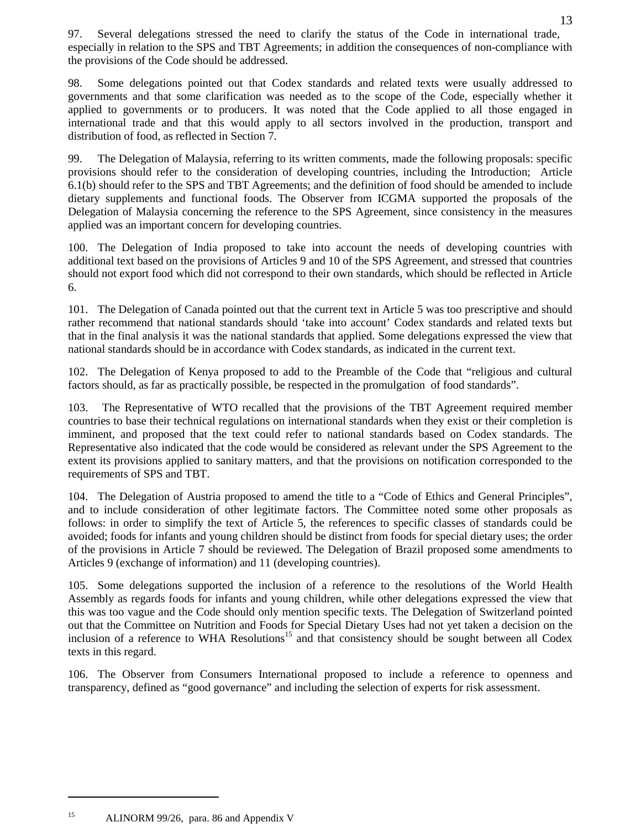97. Several delegations stressed the need to clarify the status of the Code in international trade, especially in relation to the SPS and TBT Agreements; in addition the consequences of non-compliance with the provisions of the Code should be addressed.

98. Some delegations pointed out that Codex standards and related texts were usually addressed to governments and that some clarification was needed as to the scope of the Code, especially whether it applied to governments or to producers. It was noted that the Code applied to all those engaged in international trade and that this would apply to all sectors involved in the production, transport and distribution of food, as reflected in Section 7.

99. The Delegation of Malaysia, referring to its written comments, made the following proposals: specific provisions should refer to the consideration of developing countries, including the Introduction; Article 6.1(b) should refer to the SPS and TBT Agreements; and the definition of food should be amended to include dietary supplements and functional foods. The Observer from ICGMA supported the proposals of the Delegation of Malaysia concerning the reference to the SPS Agreement, since consistency in the measures applied was an important concern for developing countries.

100. The Delegation of India proposed to take into account the needs of developing countries with additional text based on the provisions of Articles 9 and 10 of the SPS Agreement, and stressed that countries should not export food which did not correspond to their own standards, which should be reflected in Article 6.

101. The Delegation of Canada pointed out that the current text in Article 5 was too prescriptive and should rather recommend that national standards should 'take into account' Codex standards and related texts but that in the final analysis it was the national standards that applied. Some delegations expressed the view that national standards should be in accordance with Codex standards, as indicated in the current text.

102. The Delegation of Kenya proposed to add to the Preamble of the Code that "religious and cultural factors should, as far as practically possible, be respected in the promulgation of food standards".

103. The Representative of WTO recalled that the provisions of the TBT Agreement required member countries to base their technical regulations on international standards when they exist or their completion is imminent, and proposed that the text could refer to national standards based on Codex standards. The Representative also indicated that the code would be considered as relevant under the SPS Agreement to the extent its provisions applied to sanitary matters, and that the provisions on notification corresponded to the requirements of SPS and TBT.

104. The Delegation of Austria proposed to amend the title to a "Code of Ethics and General Principles", and to include consideration of other legitimate factors. The Committee noted some other proposals as follows: in order to simplify the text of Article 5, the references to specific classes of standards could be avoided; foods for infants and young children should be distinct from foods for special dietary uses; the order of the provisions in Article 7 should be reviewed. The Delegation of Brazil proposed some amendments to Articles 9 (exchange of information) and 11 (developing countries).

105. Some delegations supported the inclusion of a reference to the resolutions of the World Health Assembly as regards foods for infants and young children, while other delegations expressed the view that this was too vague and the Code should only mention specific texts. The Delegation of Switzerland pointed out that the Committee on Nutrition and Foods for Special Dietary Uses had not yet taken a decision on the inclusion of a reference to WHA Resolutions<sup>15</sup> and that consistency should be sought between all Codex texts in this regard.

106. The Observer from Consumers International proposed to include a reference to openness and transparency, defined as "good governance" and including the selection of experts for risk assessment.

<sup>&</sup>lt;sup>15</sup> ALINORM 99/26, para. 86 and Appendix V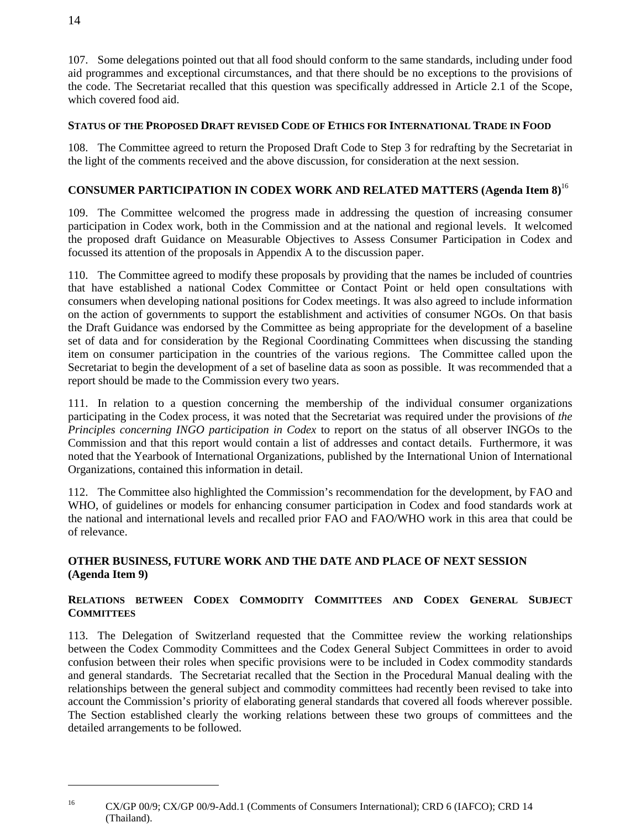107. Some delegations pointed out that all food should conform to the same standards, including under food aid programmes and exceptional circumstances, and that there should be no exceptions to the provisions of the code. The Secretariat recalled that this question was specifically addressed in Article 2.1 of the Scope, which covered food aid.

## **STATUS OF THE PROPOSED DRAFT REVISED CODE OF ETHICS FOR INTERNATIONAL TRADE IN FOOD**

108. The Committee agreed to return the Proposed Draft Code to Step 3 for redrafting by the Secretariat in the light of the comments received and the above discussion, for consideration at the next session.

## **CONSUMER PARTICIPATION IN CODEX WORK AND RELATED MATTERS (Agenda Item 8)**<sup>16</sup>

109. The Committee welcomed the progress made in addressing the question of increasing consumer participation in Codex work, both in the Commission and at the national and regional levels. It welcomed the proposed draft Guidance on Measurable Objectives to Assess Consumer Participation in Codex and focussed its attention of the proposals in Appendix A to the discussion paper.

110. The Committee agreed to modify these proposals by providing that the names be included of countries that have established a national Codex Committee or Contact Point or held open consultations with consumers when developing national positions for Codex meetings. It was also agreed to include information on the action of governments to support the establishment and activities of consumer NGOs. On that basis the Draft Guidance was endorsed by the Committee as being appropriate for the development of a baseline set of data and for consideration by the Regional Coordinating Committees when discussing the standing item on consumer participation in the countries of the various regions. The Committee called upon the Secretariat to begin the development of a set of baseline data as soon as possible. It was recommended that a report should be made to the Commission every two years.

111. In relation to a question concerning the membership of the individual consumer organizations participating in the Codex process, it was noted that the Secretariat was required under the provisions of *the Principles concerning INGO participation in Codex* to report on the status of all observer INGOs to the Commission and that this report would contain a list of addresses and contact details. Furthermore, it was noted that the Yearbook of International Organizations, published by the International Union of International Organizations, contained this information in detail.

112. The Committee also highlighted the Commission's recommendation for the development, by FAO and WHO, of guidelines or models for enhancing consumer participation in Codex and food standards work at the national and international levels and recalled prior FAO and FAO/WHO work in this area that could be of relevance.

## **OTHER BUSINESS, FUTURE WORK AND THE DATE AND PLACE OF NEXT SESSION (Agenda Item 9)**

## **RELATIONS BETWEEN CODEX COMMODITY COMMITTEES AND CODEX GENERAL SUBJECT COMMITTEES**

113. The Delegation of Switzerland requested that the Committee review the working relationships between the Codex Commodity Committees and the Codex General Subject Committees in order to avoid confusion between their roles when specific provisions were to be included in Codex commodity standards and general standards. The Secretariat recalled that the Section in the Procedural Manual dealing with the relationships between the general subject and commodity committees had recently been revised to take into account the Commission's priority of elaborating general standards that covered all foods wherever possible. The Section established clearly the working relations between these two groups of committees and the detailed arrangements to be followed.

<sup>&</sup>lt;sup>16</sup> CX/GP 00/9; CX/GP 00/9-Add.1 (Comments of Consumers International); CRD 6 (IAFCO); CRD 14 (Thailand).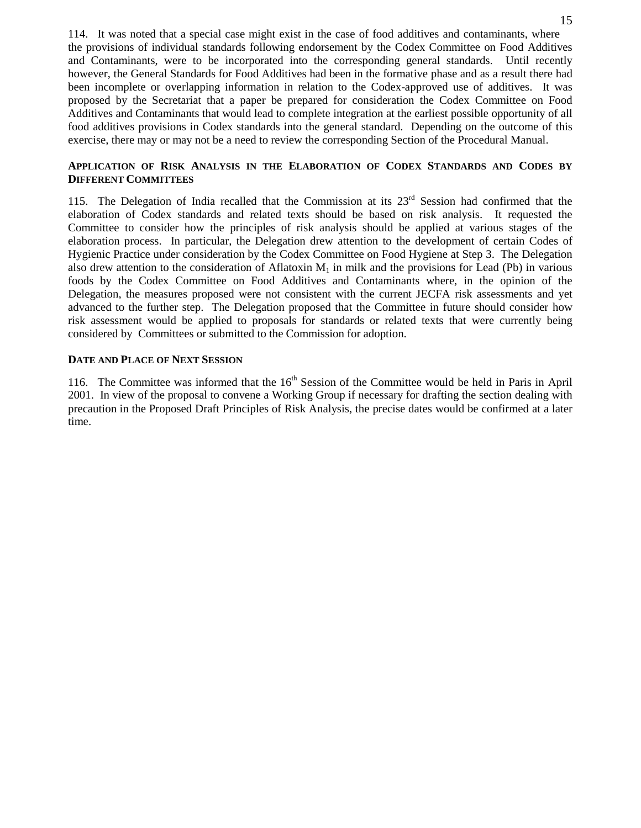114. It was noted that a special case might exist in the case of food additives and contaminants, where the provisions of individual standards following endorsement by the Codex Committee on Food Additives and Contaminants, were to be incorporated into the corresponding general standards. Until recently however, the General Standards for Food Additives had been in the formative phase and as a result there had been incomplete or overlapping information in relation to the Codex-approved use of additives. It was proposed by the Secretariat that a paper be prepared for consideration the Codex Committee on Food Additives and Contaminants that would lead to complete integration at the earliest possible opportunity of all food additives provisions in Codex standards into the general standard. Depending on the outcome of this exercise, there may or may not be a need to review the corresponding Section of the Procedural Manual.

## **APPLICATION OF RISK ANALYSIS IN THE ELABORATION OF CODEX STANDARDS AND CODES BY DIFFERENT COMMITTEES**

115. The Delegation of India recalled that the Commission at its  $23<sup>rd</sup>$  Session had confirmed that the elaboration of Codex standards and related texts should be based on risk analysis. It requested the Committee to consider how the principles of risk analysis should be applied at various stages of the elaboration process. In particular, the Delegation drew attention to the development of certain Codes of Hygienic Practice under consideration by the Codex Committee on Food Hygiene at Step 3. The Delegation also drew attention to the consideration of Aflatoxin  $M_1$  in milk and the provisions for Lead (Pb) in various foods by the Codex Committee on Food Additives and Contaminants where, in the opinion of the Delegation, the measures proposed were not consistent with the current JECFA risk assessments and yet advanced to the further step. The Delegation proposed that the Committee in future should consider how risk assessment would be applied to proposals for standards or related texts that were currently being considered by Committees or submitted to the Commission for adoption.

## **DATE AND PLACE OF NEXT SESSION**

116. The Committee was informed that the  $16<sup>th</sup>$  Session of the Committee would be held in Paris in April 2001. In view of the proposal to convene a Working Group if necessary for drafting the section dealing with precaution in the Proposed Draft Principles of Risk Analysis, the precise dates would be confirmed at a later time.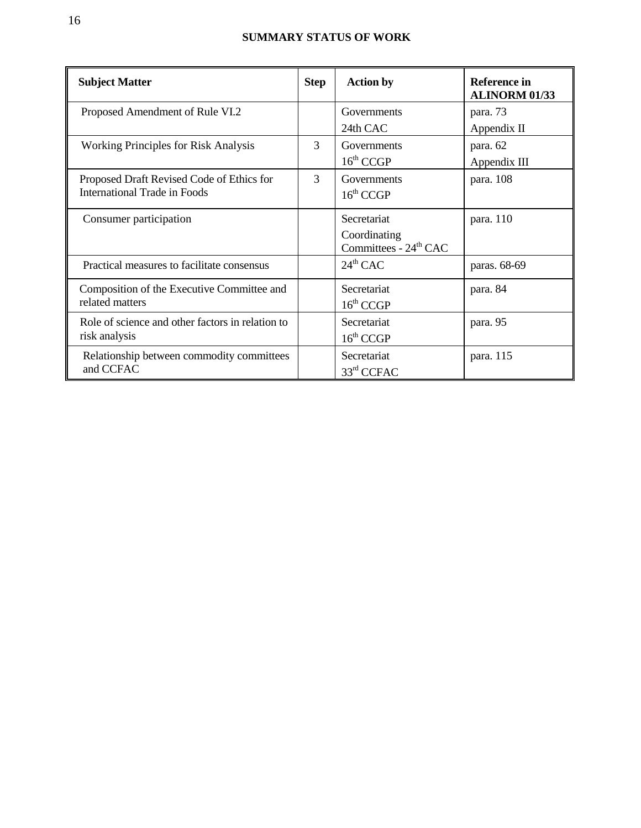## **SUMMARY STATUS OF WORK**

| <b>Subject Matter</b>                            | <b>Step</b>   | <b>Action by</b>                                  | Reference in<br><b>ALINORM 01/33</b> |
|--------------------------------------------------|---------------|---------------------------------------------------|--------------------------------------|
| Proposed Amendment of Rule VI.2                  |               | Governments                                       | para. 73                             |
|                                                  |               | 24th CAC                                          | Appendix II                          |
| <b>Working Principles for Risk Analysis</b>      | 3             | Governments                                       | para. 62                             |
|                                                  |               | 16 <sup>th</sup> CCGP                             | Appendix III                         |
| Proposed Draft Revised Code of Ethics for        | $\mathcal{R}$ | Governments                                       | para. 108                            |
| <b>International Trade in Foods</b>              |               | 16 <sup>th</sup> CCGP                             |                                      |
| Consumer participation                           |               | Secretariat                                       | para. 110                            |
|                                                  |               | Coordinating<br>Committees - 24 <sup>th</sup> CAC |                                      |
| Practical measures to facilitate consensus       |               | $24^{\text{th}}$ CAC                              | paras. 68-69                         |
| Composition of the Executive Committee and       |               | Secretariat                                       | para. 84                             |
| related matters                                  |               | 16 <sup>th</sup> CCGP                             |                                      |
| Role of science and other factors in relation to |               | Secretariat                                       | para. 95                             |
| risk analysis                                    |               | 16 <sup>th</sup> CCGP                             |                                      |
| Relationship between commodity committees        |               | Secretariat                                       | para. 115                            |
| and CCFAC                                        |               | 33rd CCFAC                                        |                                      |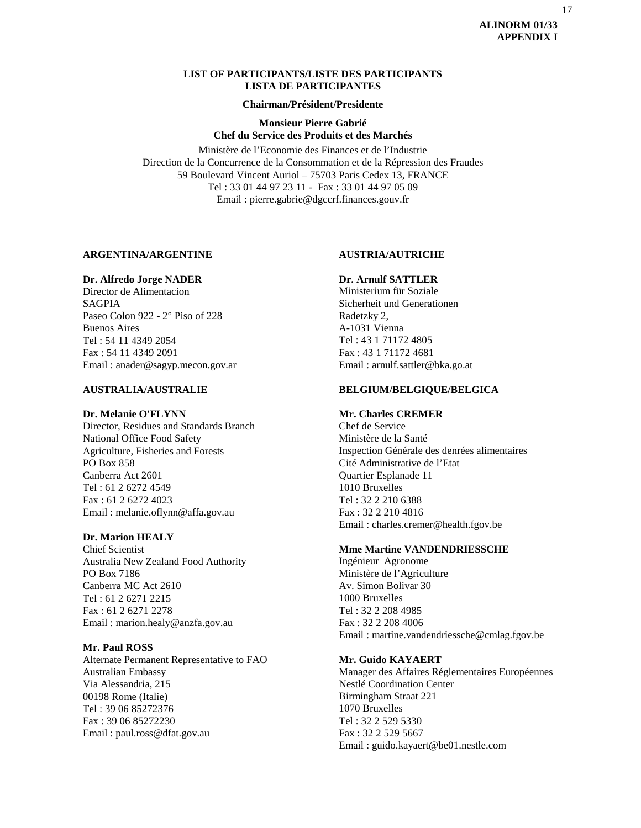17

#### **LIST OF PARTICIPANTS/LISTE DES PARTICIPANTS LISTA DE PARTICIPANTES**

**Chairman/Président/Presidente**

**Monsieur Pierre Gabrié Chef du Service des Produits et des Marchés**

Ministère de l'Economie des Finances et de l'Industrie Direction de la Concurrence de la Consommation et de la Répression des Fraudes 59 Boulevard Vincent Auriol – 75703 Paris Cedex 13, FRANCE Tel : 33 01 44 97 23 11 - Fax : 33 01 44 97 05 09 Email : pierre.gabrie@dgccrf.finances.gouv.fr

#### **ARGENTINA/ARGENTINE**

#### **Dr. Alfredo Jorge NADER**

Director de Alimentacion SAGPIA Paseo Colon 922 - 2° Piso of 228 Buenos Aires Tel : 54 11 4349 2054 Fax : 54 11 4349 2091 Email : anader@sagyp.mecon.gov.ar

#### **AUSTRALIA/AUSTRALIE**

#### **Dr. Melanie O'FLYNN**

Director, Residues and Standards Branch National Office Food Safety Agriculture, Fisheries and Forests PO Box 858 Canberra Act 2601 Tel : 61 2 6272 4549 Fax : 61 2 6272 4023 Email : melanie.oflynn@affa.gov.au

#### **Dr. Marion HEALY**

Chief Scientist Australia New Zealand Food Authority PO Box 7186 Canberra MC Act 2610 Tel : 61 2 6271 2215 Fax : 61 2 6271 2278 Email : marion.healy@anzfa.gov.au

#### **Mr. Paul ROSS**

Alternate Permanent Representative to FAO Australian Embassy Via Alessandria, 215 00198 Rome (Italie) Tel : 39 06 85272376 Fax : 39 06 85272230 Email : paul.ross@dfat.gov.au

#### **AUSTRIA/AUTRICHE**

#### **Dr. Arnulf SATTLER**

Ministerium für Soziale Sicherheit und Generationen Radetzky 2, A-1031 Vienna Tel : 43 1 71172 4805 Fax : 43 1 71172 4681 Email : arnulf.sattler@bka.go.at

#### **BELGIUM/BELGIQUE/BELGICA**

#### **Mr. Charles CREMER**

Chef de Service Ministère de la Santé Inspection Générale des denrées alimentaires Cité Administrative de l'Etat Quartier Esplanade 11 1010 Bruxelles Tel : 32 2 210 6388 Fax : 32 2 210 4816 Email : charles.cremer@health.fgov.be

#### **Mme Martine VANDENDRIESSCHE**

Ingénieur Agronome Ministère de l'Agriculture Av. Simon Bolivar 30 1000 Bruxelles Tel : 32 2 208 4985 Fax : 32 2 208 4006 Email : martine.vandendriessche@cmlag.fgov.be

#### **Mr. Guido KAYAERT**

Manager des Affaires Réglementaires Européennes Nestlé Coordination Center Birmingham Straat 221 1070 Bruxelles Tel : 32 2 529 5330 Fax : 32 2 529 5667 Email : guido.kayaert@be01.nestle.com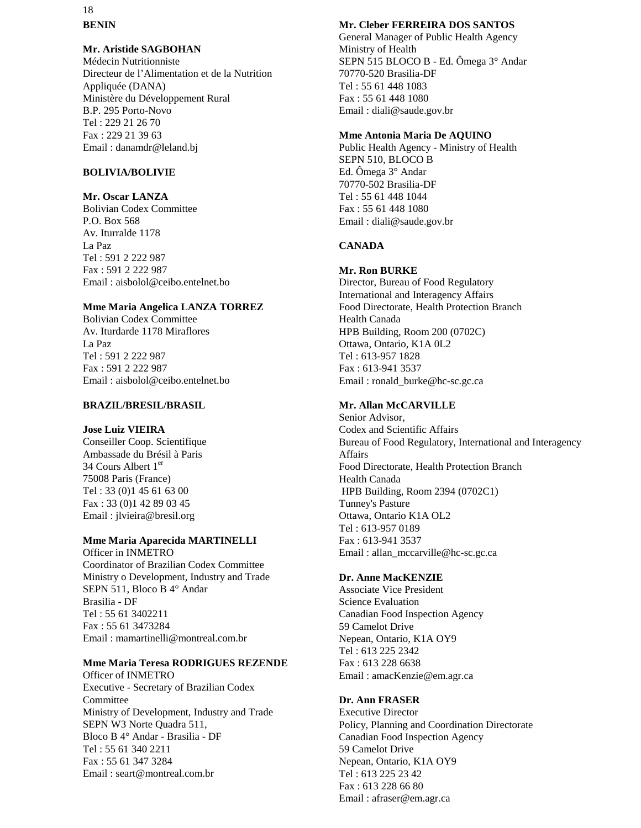## 18 **BENIN**

#### **Mr. Aristide SAGBOHAN**

Médecin Nutritionniste Directeur de l'Alimentation et de la Nutrition Appliquée (DANA) Ministère du Développement Rural B.P. 295 Porto-Novo Tel : 229 21 26 70 Fax : 229 21 39 63 Email : danamdr@leland.bj

#### **BOLIVIA/BOLIVIE**

## **Mr. Oscar LANZA**

Bolivian Codex Committee P.O. Box 568 Av. Iturralde 1178 La Paz Tel : 591 2 222 987 Fax : 591 2 222 987 Email : aisbolol@ceibo.entelnet.bo

#### **Mme Maria Angelica LANZA TORREZ**

Bolivian Codex Committee Av. Iturdarde 1178 Miraflores La Paz Tel : 591 2 222 987 Fax : 591 2 222 987 Email : aisbolol@ceibo.entelnet.bo

#### **BRAZIL/BRESIL/BRASIL**

#### **Jose Luiz VIEIRA**

Conseiller Coop. Scientifique Ambassade du Brésil à Paris 34 Cours Albert 1<sup>er</sup> 75008 Paris (France) Tel : 33 (0)1 45 61 63 00 Fax : 33 (0)1 42 89 03 45 Email : jlvieira@bresil.org

#### **Mme Maria Aparecida MARTINELLI**

Officer in INMETRO Coordinator of Brazilian Codex Committee Ministry o Development, Industry and Trade SEPN 511, Bloco B 4° Andar Brasilia - DF Tel : 55 61 3402211 Fax : 55 61 3473284 Email : mamartinelli@montreal.com.br

#### **Mme Maria Teresa RODRIGUES REZENDE**

Officer of INMETRO Executive - Secretary of Brazilian Codex Committee Ministry of Development, Industry and Trade SEPN W3 Norte Quadra 511, Bloco B 4° Andar - Brasilia - DF Tel : 55 61 340 2211 Fax : 55 61 347 3284 Email : seart@montreal.com.br

#### **Mr. Cleber FERREIRA DOS SANTOS**

General Manager of Public Health Agency Ministry of Health SEPN 515 BLOCO B - Ed. Ômega 3° Andar 70770-520 Brasilia-DF Tel : 55 61 448 1083 Fax : 55 61 448 1080 Email : diali@saude.gov.br

#### **Mme Antonia Maria De AQUINO**

Public Health Agency - Ministry of Health SEPN 510, BLOCO B Ed. Ômega 3° Andar 70770-502 Brasilia-DF Tel : 55 61 448 1044 Fax : 55 61 448 1080 Email : diali@saude.gov.br

#### **CANADA**

#### **Mr. Ron BURKE**

Director, Bureau of Food Regulatory International and Interagency Affairs Food Directorate, Health Protection Branch Health Canada HPB Building, Room 200 (0702C) Ottawa, Ontario, K1A 0L2 Tel : 613-957 1828 Fax : 613-941 3537 Email : ronald\_burke@hc-sc.gc.ca

#### **Mr. Allan McCARVILLE**

Senior Advisor, Codex and Scientific Affairs Bureau of Food Regulatory, International and Interagency Affairs Food Directorate, Health Protection Branch Health Canada HPB Building, Room 2394 (0702C1) Tunney's Pasture Ottawa, Ontario K1A OL2 Tel : 613-957 0189 Fax : 613-941 3537 Email : allan\_mccarville@hc-sc.gc.ca

#### **Dr. Anne MacKENZIE**

Associate Vice President Science Evaluation Canadian Food Inspection Agency 59 Camelot Drive Nepean, Ontario, K1A OY9 Tel : 613 225 2342 Fax : 613 228 6638 Email : amacKenzie@em.agr.ca

#### **Dr. Ann FRASER**

Executive Director Policy, Planning and Coordination Directorate Canadian Food Inspection Agency 59 Camelot Drive Nepean, Ontario, K1A OY9 Tel : 613 225 23 42 Fax : 613 228 66 80 Email : afraser@em.agr.ca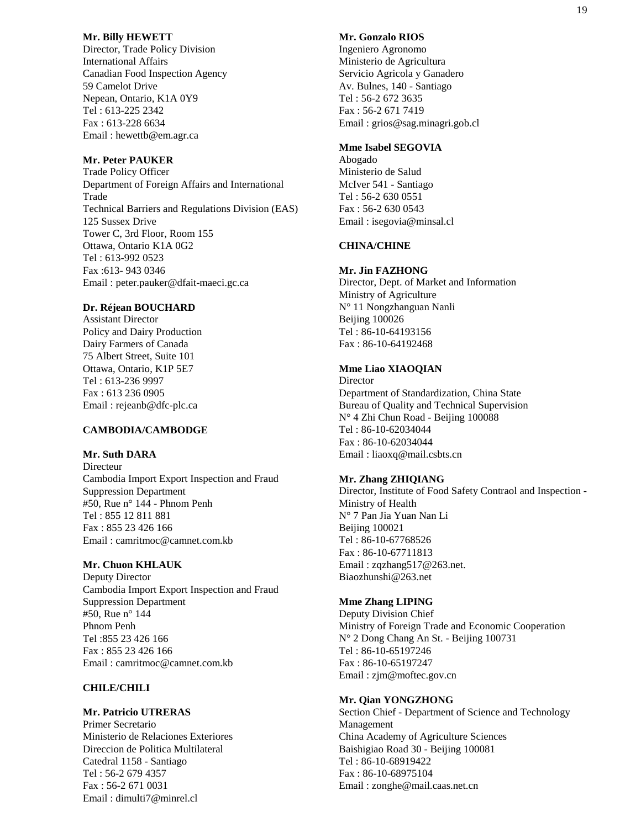#### **Mr. Billy HEWETT**

Director, Trade Policy Division International Affairs Canadian Food Inspection Agency 59 Camelot Drive Nepean, Ontario, K1A 0Y9 Tel : 613-225 2342 Fax : 613-228 6634 Email : hewettb@em.agr.ca

#### **Mr. Peter PAUKER**

Trade Policy Officer Department of Foreign Affairs and International Trade Technical Barriers and Regulations Division (EAS) 125 Sussex Drive Tower C, 3rd Floor, Room 155 Ottawa, Ontario K1A 0G2 Tel : 613-992 0523 Fax :613- 943 0346 Email : peter.pauker@dfait-maeci.gc.ca

#### **Dr. Réjean BOUCHARD**

Assistant Director Policy and Dairy Production Dairy Farmers of Canada 75 Albert Street, Suite 101 Ottawa, Ontario, K1P 5E7 Tel : 613-236 9997 Fax : 613 236 0905 Email : rejeanb@dfc-plc.ca

#### **CAMBODIA/CAMBODGE**

#### **Mr. Suth DARA**

Directeur Cambodia Import Export Inspection and Fraud Suppression Department #50, Rue n° 144 - Phnom Penh Tel : 855 12 811 881 Fax : 855 23 426 166 Email : camritmoc@camnet.com.kb

#### **Mr. Chuon KHLAUK**

Deputy Director Cambodia Import Export Inspection and Fraud Suppression Department #50, Rue n° 144 Phnom Penh Tel :855 23 426 166 Fax : 855 23 426 166 Email : camritmoc@camnet.com.kb

#### **CHILE/CHILI**

#### **Mr. Patricio UTRERAS**

Primer Secretario Ministerio de Relaciones Exteriores Direccion de Politica Multilateral Catedral 1158 - Santiago Tel : 56-2 679 4357 Fax : 56-2 671 0031 Email : dimulti7@minrel.cl

#### **Mr. Gonzalo RIOS**

Ingeniero Agronomo Ministerio de Agricultura Servicio Agricola y Ganadero Av. Bulnes, 140 - Santiago Tel : 56-2 672 3635 Fax : 56-2 671 7419 Email : grios@sag.minagri.gob.cl

#### **Mme Isabel SEGOVIA**

Abogado Ministerio de Salud McIver 541 - Santiago Tel : 56-2 630 0551 Fax : 56-2 630 0543 Email : isegovia@minsal.cl

#### **CHINA/CHINE**

#### **Mr. Jin FAZHONG**

Director, Dept. of Market and Information Ministry of Agriculture N° 11 Nongzhanguan Nanli Beijing 100026 Tel : 86-10-64193156 Fax : 86-10-64192468

#### **Mme Liao XIAOQIAN**

Director Department of Standardization, China State Bureau of Quality and Technical Supervision N° 4 Zhi Chun Road - Beijing 100088 Tel : 86-10-62034044 Fax : 86-10-62034044 Email : liaoxq@mail.csbts.cn

#### **Mr. Zhang ZHIQIANG**

Director, Institute of Food Safety Contraol and Inspection - Ministry of Health N° 7 Pan Jia Yuan Nan Li Beijing 100021 Tel : 86-10-67768526 Fax : 86-10-67711813 Email : zqzhang517@263.net. Biaozhunshi@263.net

#### **Mme Zhang LIPING**

Deputy Division Chief Ministry of Foreign Trade and Economic Cooperation N° 2 Dong Chang An St. - Beijing 100731 Tel : 86-10-65197246 Fax : 86-10-65197247 Email : zjm@moftec.gov.cn

#### **Mr. Qian YONGZHONG**

Section Chief - Department of Science and Technology Management China Academy of Agriculture Sciences Baishigiao Road 30 - Beijing 100081 Tel : 86-10-68919422 Fax : 86-10-68975104 Email : zonghe@mail.caas.net.cn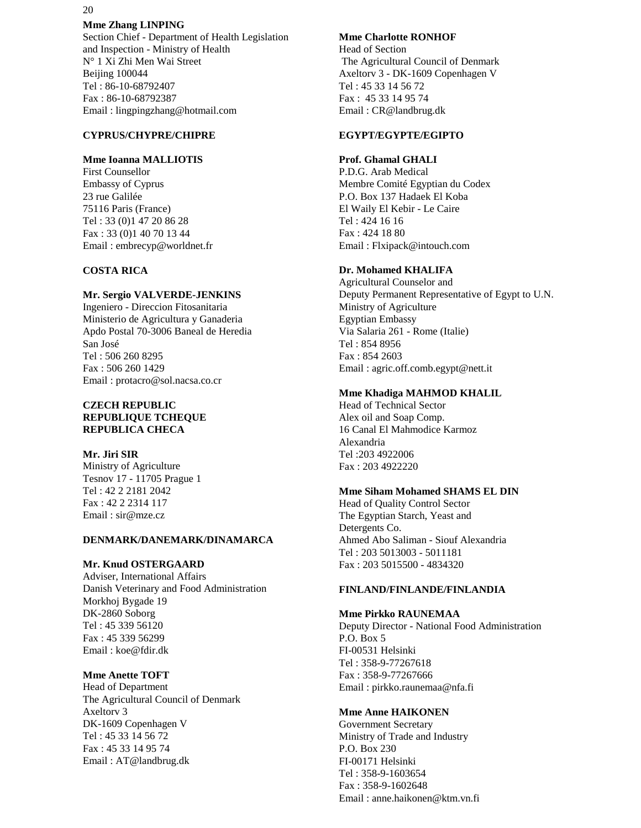## **Mme Zhang LINPING**

Section Chief - Department of Health Legislation and Inspection - Ministry of Health N° 1 Xi Zhi Men Wai Street Beijing 100044 Tel : 86-10-68792407 Fax : 86-10-68792387 Email : lingpingzhang@hotmail.com

#### **CYPRUS/CHYPRE/CHIPRE**

#### **Mme Ioanna MALLIOTIS**

First Counsellor Embassy of Cyprus 23 rue Galilée 75116 Paris (France) Tel : 33 (0)1 47 20 86 28 Fax : 33 (0)1 40 70 13 44 Email : embrecyp@worldnet.fr

## **COSTA RICA**

#### **Mr. Sergio VALVERDE-JENKINS**

Ingeniero - Direccion Fitosanitaria Ministerio de Agricultura y Ganaderia Apdo Postal 70-3006 Baneal de Heredia San José Tel : 506 260 8295 Fax : 506 260 1429 Email : protacro@sol.nacsa.co.cr

#### **CZECH REPUBLIC REPUBLIQUE TCHEQUE REPUBLICA CHECA**

#### **Mr. Jiri SIR**

Ministry of Agriculture Tesnov 17 - 11705 Prague 1 Tel : 42 2 2181 2042 Fax : 42 2 2314 117 Email : sir@mze.cz

#### **DENMARK/DANEMARK/DINAMARCA**

#### **Mr. Knud OSTERGAARD**

Adviser, International Affairs Danish Veterinary and Food Administration Morkhoj Bygade 19 DK-2860 Soborg Tel : 45 339 56120 Fax : 45 339 56299 Email : koe@fdir.dk

#### **Mme Anette TOFT**

Head of Department The Agricultural Council of Denmark Axeltorv 3 DK-1609 Copenhagen V Tel : 45 33 14 56 72 Fax : 45 33 14 95 74 Email : AT@landbrug.dk

#### **Mme Charlotte RONHOF**

Head of Section The Agricultural Council of Denmark Axeltorv 3 - DK-1609 Copenhagen V Tel : 45 33 14 56 72 Fax : 45 33 14 95 74 Email : CR@landbrug.dk

#### **EGYPT/EGYPTE/EGIPTO**

#### **Prof. Ghamal GHALI**

P.D.G. Arab Medical Membre Comité Egyptian du Codex P.O. Box 137 Hadaek El Koba El Waily El Kebir - Le Caire Tel : 424 16 16 Fax : 424 18 80 Email : Flxipack@intouch.com

## **Dr. Mohamed KHALIFA**

Agricultural Counselor and Deputy Permanent Representative of Egypt to U.N. Ministry of Agriculture Egyptian Embassy Via Salaria 261 - Rome (Italie) Tel : 854 8956 Fax : 854 2603 Email : agric.off.comb.egypt@nett.it

#### **Mme Khadiga MAHMOD KHALIL**

Head of Technical Sector Alex oil and Soap Comp. 16 Canal El Mahmodice Karmoz Alexandria Tel :203 4922006 Fax : 203 4922220

#### **Mme Siham Mohamed SHAMS EL DIN**

Head of Quality Control Sector The Egyptian Starch, Yeast and Detergents Co. Ahmed Abo Saliman - Siouf Alexandria Tel : 203 5013003 - 5011181 Fax : 203 5015500 - 4834320

#### **FINLAND/FINLANDE/FINLANDIA**

#### **Mme Pirkko RAUNEMAA**

Deputy Director - National Food Administration P.O. Box 5 FI-00531 Helsinki Tel : 358-9-77267618 Fax : 358-9-77267666 Email : pirkko.raunemaa@nfa.fi

#### **Mme Anne HAIKONEN**

Government Secretary Ministry of Trade and Industry P.O. Box 230 FI-00171 Helsinki Tel : 358-9-1603654 Fax : 358-9-1602648 Email : anne.haikonen@ktm.vn.fi

#### 20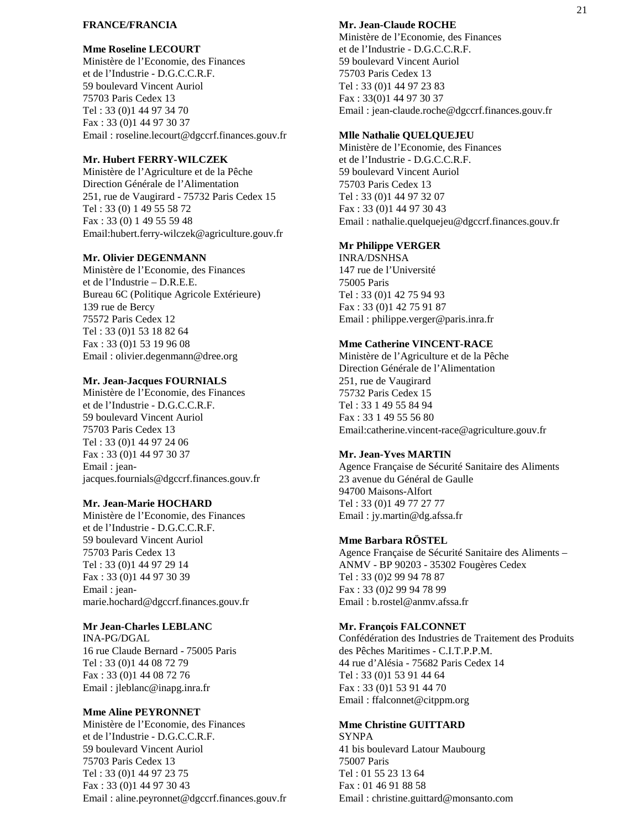#### **FRANCE/FRANCIA**

#### **Mme Roseline LECOURT**

Ministère de l'Economie, des Finances et de l'Industrie - D.G.C.C.R.F. 59 boulevard Vincent Auriol 75703 Paris Cedex 13 Tel : 33 (0)1 44 97 34 70 Fax : 33 (0)1 44 97 30 37 Email : roseline.lecourt@dgccrf.finances.gouv.fr

#### **Mr. Hubert FERRY-WILCZEK**

Ministère de l'Agriculture et de la Pêche Direction Générale de l'Alimentation 251, rue de Vaugirard - 75732 Paris Cedex 15 Tel : 33 (0) 1 49 55 58 72 Fax : 33 (0) 1 49 55 59 48 Email:hubert.ferry-wilczek@agriculture.gouv.fr

#### **Mr. Olivier DEGENMANN**

Ministère de l'Economie, des Finances et de l'Industrie – D.R.E.E. Bureau 6C (Politique Agricole Extérieure) 139 rue de Bercy 75572 Paris Cedex 12 Tel : 33 (0)1 53 18 82 64 Fax : 33 (0)1 53 19 96 08 Email : olivier.degenmann@dree.org

#### **Mr. Jean-Jacques FOURNIALS**

Ministère de l'Economie, des Finances et de l'Industrie - D.G.C.C.R.F. 59 boulevard Vincent Auriol 75703 Paris Cedex 13 Tel : 33 (0)1 44 97 24 06 Fax : 33 (0)1 44 97 30 37 Email : jeanjacques.fournials@dgccrf.finances.gouv.fr

#### **Mr. Jean-Marie HOCHARD**

Ministère de l'Economie, des Finances et de l'Industrie - D.G.C.C.R.F. 59 boulevard Vincent Auriol 75703 Paris Cedex 13 Tel : 33 (0)1 44 97 29 14 Fax : 33 (0)1 44 97 30 39 Email : jeanmarie.hochard@dgccrf.finances.gouv.fr

#### **Mr Jean-Charles LEBLANC**

INA-PG/DGAL 16 rue Claude Bernard - 75005 Paris Tel : 33 (0)1 44 08 72 79 Fax : 33 (0)1 44 08 72 76 Email : jleblanc@inapg.inra.fr

#### **Mme Aline PEYRONNET**

Ministère de l'Economie, des Finances et de l'Industrie - D.G.C.C.R.F. 59 boulevard Vincent Auriol 75703 Paris Cedex 13 Tel : 33 (0)1 44 97 23 75 Fax : 33 (0)1 44 97 30 43 Email : aline.peyronnet@dgccrf.finances.gouv.fr

#### **Mr. Jean-Claude ROCHE**

Ministère de l'Economie, des Finances et de l'Industrie - D.G.C.C.R.F. 59 boulevard Vincent Auriol 75703 Paris Cedex 13 Tel : 33 (0)1 44 97 23 83 Fax : 33(0)1 44 97 30 37 Email : jean-claude.roche@dgccrf.finances.gouv.fr

#### **Mlle Nathalie QUELQUEJEU**

Ministère de l'Economie, des Finances et de l'Industrie - D.G.C.C.R.F. 59 boulevard Vincent Auriol 75703 Paris Cedex 13 Tel : 33 (0)1 44 97 32 07 Fax : 33 (0)1 44 97 30 43 Email : nathalie.quelquejeu@dgccrf.finances.gouv.fr

#### **Mr Philippe VERGER**

INRA/DSNHSA 147 rue de l'Université 75005 Paris Tel : 33 (0)1 42 75 94 93 Fax : 33 (0)1 42 75 91 87 Email : philippe.verger@paris.inra.fr

#### **Mme Catherine VINCENT-RACE**

Ministère de l'Agriculture et de la Pêche Direction Générale de l'Alimentation 251, rue de Vaugirard 75732 Paris Cedex 15 Tel : 33 1 49 55 84 94 Fax : 33 1 49 55 56 80 Email:catherine.vincent-race@agriculture.gouv.fr

#### **Mr. Jean-Yves MARTIN**

Agence Française de Sécurité Sanitaire des Aliments 23 avenue du Général de Gaulle 94700 Maisons-Alfort Tel : 33 (0)1 49 77 27 77 Email : jy.martin@dg.afssa.fr

#### **Mme Barbara RÖSTEL**

Agence Française de Sécurité Sanitaire des Aliments – ANMV - BP 90203 - 35302 Fougères Cedex Tel : 33 (0)2 99 94 78 87 Fax : 33 (0)2 99 94 78 99 Email : b.rostel@anmv.afssa.fr

#### **Mr. François FALCONNET**

Confédération des Industries de Traitement des Produits des Pêches Maritimes - C.I.T.P.P.M. 44 rue d'Alésia - 75682 Paris Cedex 14 Tel : 33 (0)1 53 91 44 64 Fax : 33 (0)1 53 91 44 70 Email : ffalconnet@citppm.org

## **Mme Christine GUITTARD**

SYNPA 41 bis boulevard Latour Maubourg 75007 Paris Tel : 01 55 23 13 64 Fax : 01 46 91 88 58 Email : christine.guittard@monsanto.com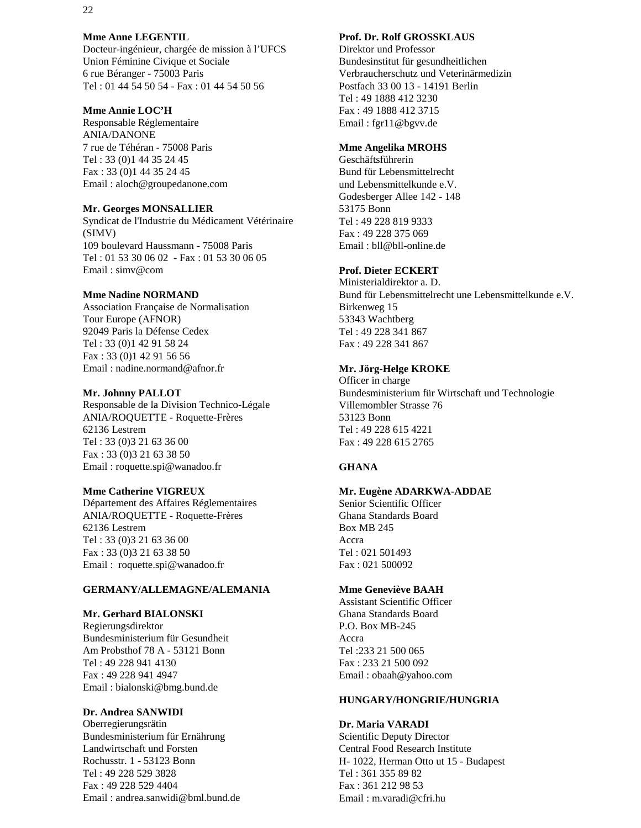#### **Mme Anne LEGENTIL** Docteur-ingénieur, chargée de mission à l'UFCS Union Féminine Civique et Sociale 6 rue Béranger - 75003 Paris Tel : 01 44 54 50 54 - Fax : 01 44 54 50 56

#### **Mme Annie LOC'H**

Responsable Réglementaire ANIA/DANONE 7 rue de Téhéran - 75008 Paris Tel : 33 (0)1 44 35 24 45 Fax : 33 (0)1 44 35 24 45 Email : aloch@groupedanone.com

#### **Mr. Georges MONSALLIER**

Syndicat de l'Industrie du Médicament Vétérinaire (SIMV) 109 boulevard Haussmann - 75008 Paris Tel : 01 53 30 06 02 - Fax : 01 53 30 06 05 Email : simv@com

#### **Mme Nadine NORMAND**

Association Française de Normalisation Tour Europe (AFNOR) 92049 Paris la Défense Cedex Tel : 33 (0)1 42 91 58 24 Fax : 33 (0)1 42 91 56 56 Email : nadine.normand@afnor.fr

## **Mr. Johnny PALLOT**

Responsable de la Division Technico-Légale ANIA/ROQUETTE - Roquette-Frères 62136 Lestrem Tel : 33 (0)3 21 63 36 00 Fax : 33 (0)3 21 63 38 50 Email : roquette.spi@wanadoo.fr

#### **Mme Catherine VIGREUX**

Département des Affaires Réglementaires ANIA/ROQUETTE - Roquette-Frères 62136 Lestrem Tel : 33 (0)3 21 63 36 00 Fax : 33 (0)3 21 63 38 50 Email : roquette.spi@wanadoo.fr

#### **GERMANY/ALLEMAGNE/ALEMANIA**

#### **Mr. Gerhard BIALONSKI**

Regierungsdirektor Bundesministerium für Gesundheit Am Probsthof 78 A - 53121 Bonn Tel : 49 228 941 4130 Fax : 49 228 941 4947 Email : bialonski@bmg.bund.de

#### **Dr. Andrea SANWIDI**

Oberregierungsrätin Bundesministerium für Ernährung Landwirtschaft und Forsten Rochusstr. 1 - 53123 Bonn Tel : 49 228 529 3828 Fax : 49 228 529 4404 Email : andrea.sanwidi@bml.bund.de

## **Prof. Dr. Rolf GROSSKLAUS**

Direktor und Professor Bundesinstitut für gesundheitlichen Verbraucherschutz und Veterinärmedizin Postfach 33 00 13 - 14191 Berlin Tel : 49 1888 412 3230 Fax : 49 1888 412 3715 Email : fgr11@bgvv.de

## **Mme Angelika MROHS**

Geschäftsführerin Bund für Lebensmittelrecht und Lebensmittelkunde e.V. Godesberger Allee 142 - 148 53175 Bonn Tel : 49 228 819 9333 Fax : 49 228 375 069 Email : bll@bll-online.de

## **Prof. Dieter ECKERT**

Ministerialdirektor a. D. Bund für Lebensmittelrecht une Lebensmittelkunde e.V. Birkenweg 15 53343 Wachtberg Tel : 49 228 341 867 Fax : 49 228 341 867

## **Mr. Jörg-Helge KROKE**

Officer in charge Bundesministerium für Wirtschaft und Technologie Villemombler Strasse 76 53123 Bonn Tel : 49 228 615 4221 Fax : 49 228 615 2765

## **GHANA**

#### **Mr. Eugène ADARKWA-ADDAE**

Senior Scientific Officer Ghana Standards Board Box MB 245 Accra Tel : 021 501493 Fax : 021 500092

## **Mme Geneviève BAAH**

Assistant Scientific Officer Ghana Standards Board P.O. Box MB-245 Accra Tel :233 21 500 065 Fax : 233 21 500 092 Email : obaah@yahoo.com

#### **HUNGARY/HONGRIE/HUNGRIA**

#### **Dr. Maria VARADI**

Scientific Deputy Director Central Food Research Institute H- 1022, Herman Otto ut 15 - Budapest Tel : 361 355 89 82 Fax : 361 212 98 53 Email : m.varadi@cfri.hu

#### 22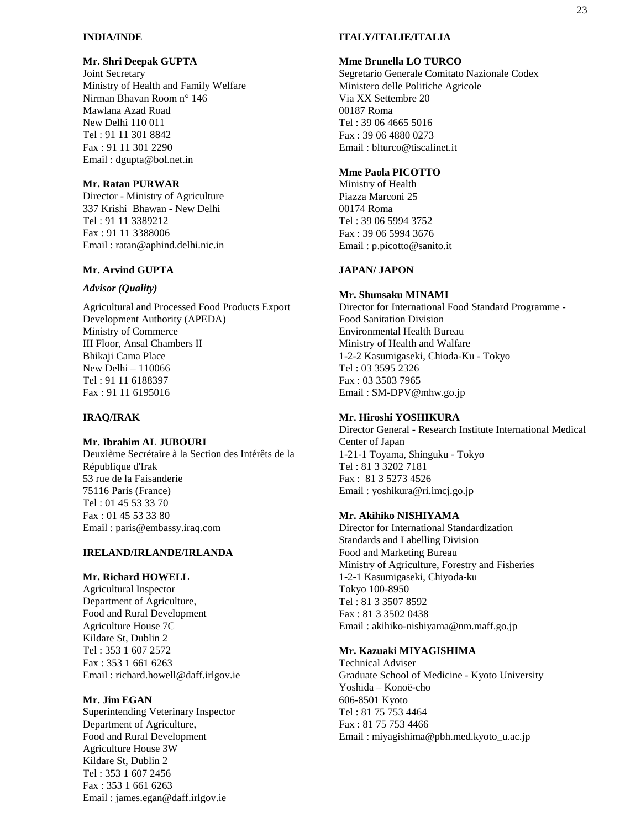#### **INDIA/INDE**

#### **Mr. Shri Deepak GUPTA**

Joint Secretary Ministry of Health and Family Welfare Nirman Bhavan Room n° 146 Mawlana Azad Road New Delhi 110 011 Tel : 91 11 301 8842 Fax : 91 11 301 2290 Email : dgupta@bol.net.in

## **Mr. Ratan PURWAR**

Director - Ministry of Agriculture 337 Krishi Bhawan - New Delhi Tel : 91 11 3389212 Fax : 91 11 3388006 Email : ratan@aphind.delhi.nic.in

#### **Mr. Arvind GUPTA**

#### *Advisor (Quality)*

Agricultural and Processed Food Products Export Development Authority (APEDA) Ministry of Commerce III Floor, Ansal Chambers II Bhikaji Cama Place New Delhi – 110066 Tel : 91 11 6188397 Fax : 91 11 6195016

#### **IRAQ/IRAK**

## **Mr. Ibrahim AL JUBOURI**

Deuxième Secrétaire à la Section des Intérêts de la République d'Irak 53 rue de la Faisanderie 75116 Paris (France) Tel : 01 45 53 33 70 Fax : 01 45 53 33 80 Email : paris@embassy.iraq.com

#### **IRELAND/IRLANDE/IRLANDA**

#### **Mr. Richard HOWELL**

Agricultural Inspector Department of Agriculture, Food and Rural Development Agriculture House 7C Kildare St, Dublin 2 Tel : 353 1 607 2572 Fax : 353 1 661 6263 Email : richard.howell@daff.irlgov.ie

#### **Mr. Jim EGAN**

Superintending Veterinary Inspector Department of Agriculture, Food and Rural Development Agriculture House 3W Kildare St, Dublin 2 Tel : 353 1 607 2456 Fax : 353 1 661 6263 Email : james.egan@daff.irlgov.ie

#### **ITALY/ITALIE/ITALIA**

#### **Mme Brunella LO TURCO**

Segretario Generale Comitato Nazionale Codex Ministero delle Politiche Agricole Via XX Settembre 20 00187 Roma Tel : 39 06 4665 5016 Fax : 39 06 4880 0273 Email : blturco@tiscalinet.it

#### **Mme Paola PICOTTO**

Ministry of Health Piazza Marconi 25 00174 Roma Tel : 39 06 5994 3752 Fax : 39 06 5994 3676 Email : p.picotto@sanito.it

#### **JAPAN/ JAPON**

#### **Mr. Shunsaku MINAMI**

Director for International Food Standard Programme - Food Sanitation Division Environmental Health Bureau Ministry of Health and Walfare 1-2-2 Kasumigaseki, Chioda-Ku - Tokyo Tel : 03 3595 2326 Fax : 03 3503 7965 Email : SM-DPV@mhw.go.jp

#### **Mr. Hiroshi YOSHIKURA**

Director General - Research Institute International Medical Center of Japan 1-21-1 Toyama, Shinguku - Tokyo Tel : 81 3 3202 7181 Fax : 81 3 5273 4526 Email : yoshikura@ri.imcj.go.jp

#### **Mr. Akihiko NISHIYAMA**

Director for International Standardization Standards and Labelling Division Food and Marketing Bureau Ministry of Agriculture, Forestry and Fisheries 1-2-1 Kasumigaseki, Chiyoda-ku Tokyo 100-8950 Tel : 81 3 3507 8592 Fax : 81 3 3502 0438 Email : akihiko-nishiyama@nm.maff.go.jp

#### **Mr. Kazuaki MIYAGISHIMA**

Technical Adviser Graduate School of Medicine - Kyoto University Yoshida – Konoë-cho 606-8501 Kyoto Tel : 81 75 753 4464 Fax : 81 75 753 4466 Email : miyagishima@pbh.med.kyoto\_u.ac.jp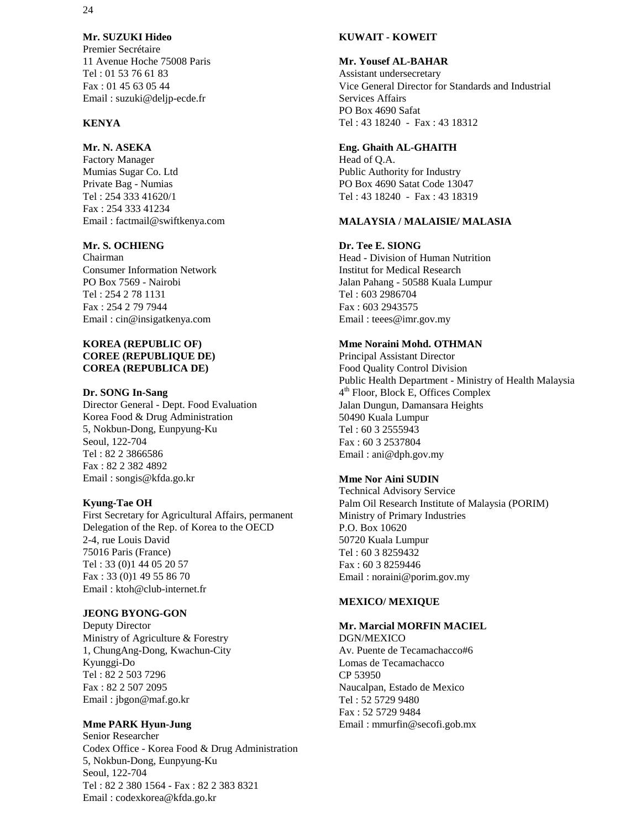## **Mr. SUZUKI Hideo**

Premier Secrétaire 11 Avenue Hoche 75008 Paris Tel : 01 53 76 61 83 Fax : 01 45 63 05 44 Email : suzuki@deljp-ecde.fr

#### **KENYA**

#### **Mr. N. ASEKA**

Factory Manager Mumias Sugar Co. Ltd Private Bag - Numias Tel : 254 333 41620/1 Fax : 254 333 41234 Email : factmail@swiftkenya.com

#### **Mr. S. OCHIENG**

Chairman Consumer Information Network PO Box 7569 - Nairobi Tel : 254 2 78 1131 Fax : 254 2 79 7944 Email : cin@insigatkenya.com

#### **KOREA (REPUBLIC OF) COREE (REPUBLIQUE DE) COREA (REPUBLICA DE)**

#### **Dr. SONG In-Sang**

Director General - Dept. Food Evaluation Korea Food & Drug Administration 5, Nokbun-Dong, Eunpyung-Ku Seoul, 122-704 Tel : 82 2 3866586 Fax : 82 2 382 4892 Email : songis@kfda.go.kr

#### **Kyung-Tae OH**

First Secretary for Agricultural Affairs, permanent Delegation of the Rep. of Korea to the OECD 2-4, rue Louis David 75016 Paris (France) Tel : 33 (0)1 44 05 20 57 Fax : 33 (0)1 49 55 86 70 Email : ktoh@club-internet.fr

#### **JEONG BYONG-GON**

Deputy Director Ministry of Agriculture & Forestry 1, ChungAng-Dong, Kwachun-City Kyunggi-Do Tel : 82 2 503 7296 Fax : 82 2 507 2095 Email : jbgon@maf.go.kr

#### **Mme PARK Hyun-Jung**

Senior Researcher Codex Office - Korea Food & Drug Administration 5, Nokbun-Dong, Eunpyung-Ku Seoul, 122-704 Tel : 82 2 380 1564 - Fax : 82 2 383 8321 Email : codexkorea@kfda.go.kr

### **KUWAIT - KOWEIT**

#### **Mr. Yousef AL-BAHAR**

Assistant undersecretary Vice General Director for Standards and Industrial Services Affairs PO Box 4690 Safat Tel : 43 18240 - Fax : 43 18312

## **Eng. Ghaith AL-GHAITH**

Head of Q.A. Public Authority for Industry PO Box 4690 Satat Code 13047 Tel : 43 18240 - Fax : 43 18319

## **MALAYSIA / MALAISIE/ MALASIA**

#### **Dr. Tee E. SIONG**

Head - Division of Human Nutrition Institut for Medical Research Jalan Pahang - 50588 Kuala Lumpur Tel : 603 2986704 Fax : 603 2943575 Email : teees@imr.gov.my

#### **Mme Noraini Mohd. OTHMAN**

Principal Assistant Director Food Quality Control Division Public Health Department - Ministry of Health Malaysia 4th Floor, Block E, Offices Complex Jalan Dungun, Damansara Heights 50490 Kuala Lumpur Tel : 60 3 2555943 Fax : 60 3 2537804 Email : ani@dph.gov.my

#### **Mme Nor Aini SUDIN**

Technical Advisory Service Palm Oil Research Institute of Malaysia (PORIM) Ministry of Primary Industries P.O. Box 10620 50720 Kuala Lumpur Tel : 60 3 8259432 Fax : 60 3 8259446 Email : noraini@porim.gov.my

#### **MEXICO/ MEXIQUE**

#### **Mr. Marcial MORFIN MACIEL**

DGN/MEXICO Av. Puente de Tecamachacco#6 Lomas de Tecamachacco CP 53950 Naucalpan, Estado de Mexico Tel : 52 5729 9480 Fax : 52 5729 9484 Email : mmurfin@secofi.gob.mx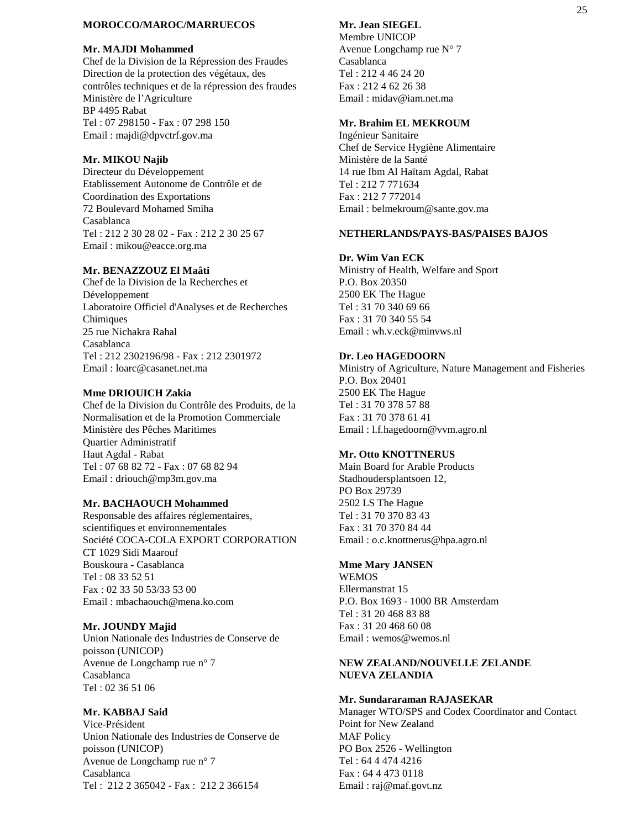#### **MOROCCO/MAROC/MARRUECOS**

#### **Mr. MAJDI Mohammed**

Chef de la Division de la Répression des Fraudes Direction de la protection des végétaux, des contrôles techniques et de la répression des fraudes Ministère de l'Agriculture BP 4495 Rabat Tel : 07 298150 - Fax : 07 298 150 Email : majdi@dpvctrf.gov.ma

#### **Mr. MIKOU Najib**

Directeur du Développement Etablissement Autonome de Contrôle et de Coordination des Exportations 72 Boulevard Mohamed Smiha Casablanca Tel : 212 2 30 28 02 - Fax : 212 2 30 25 67 Email : mikou@eacce.org.ma

#### **Mr. BENAZZOUZ El Maâti**

Chef de la Division de la Recherches et Développement Laboratoire Officiel d'Analyses et de Recherches Chimiques 25 rue Nichakra Rahal Casablanca Tel : 212 2302196/98 - Fax : 212 2301972 Email : loarc@casanet.net.ma

#### **Mme DRIOUICH Zakia**

Chef de la Division du Contrôle des Produits, de la Normalisation et de la Promotion Commerciale Ministère des Pêches Maritimes Quartier Administratif Haut Agdal - Rabat Tel : 07 68 82 72 - Fax : 07 68 82 94 Email : driouch@mp3m.gov.ma

#### **Mr. BACHAOUCH Mohammed**

Responsable des affaires réglementaires, scientifiques et environnementales Société COCA-COLA EXPORT CORPORATION CT 1029 Sidi Maarouf Bouskoura - Casablanca Tel : 08 33 52 51 Fax : 02 33 50 53/33 53 00 Email : mbachaouch@mena.ko.com

#### **Mr. JOUNDY Majid**

Union Nationale des Industries de Conserve de poisson (UNICOP) Avenue de Longchamp rue n° 7 Casablanca Tel : 02 36 51 06

## **Mr. KABBAJ Said**

Vice-Président Union Nationale des Industries de Conserve de poisson (UNICOP) Avenue de Longchamp rue n° 7 Casablanca Tel : 212 2 365042 - Fax : 212 2 366154

#### **Mr. Jean SIEGEL**

Membre UNICOP Avenue Longchamp rue N° 7 Casablanca Tel : 212 4 46 24 20 Fax : 212 4 62 26 38 Email : midav@iam.net.ma

#### **Mr. Brahim EL MEKROUM**

Ingénieur Sanitaire Chef de Service Hygiène Alimentaire Ministère de la Santé 14 rue Ibm Al Haïtam Agdal, Rabat Tel : 212 7 771634 Fax : 212 7 772014 Email : belmekroum@sante.gov.ma

## **NETHERLANDS/PAYS-BAS/PAISES BAJOS**

#### **Dr. Wim Van ECK**

Ministry of Health, Welfare and Sport P.O. Box 20350 2500 EK The Hague Tel : 31 70 340 69 66 Fax : 31 70 340 55 54 Email : wh.v.eck@minvws.nl

#### **Dr. Leo HAGEDOORN**

Ministry of Agriculture, Nature Management and Fisheries P.O. Box 20401 2500 EK The Hague Tel : 31 70 378 57 88 Fax : 31 70 378 61 41 Email : l.f.hagedoorn@vvm.agro.nl

#### **Mr. Otto KNOTTNERUS**

Main Board for Arable Products Stadhoudersplantsoen 12, PO Box 29739 2502 LS The Hague Tel : 31 70 370 83 43 Fax : 31 70 370 84 44 Email : o.c.knottnerus@hpa.agro.nl

#### **Mme Mary JANSEN**

**WEMOS** Ellermanstrat 15 P.O. Box 1693 - 1000 BR Amsterdam Tel : 31 20 468 83 88 Fax : 31 20 468 60 08 Email : wemos@wemos.nl

### **NEW ZEALAND/NOUVELLE ZELANDE NUEVA ZELANDIA**

#### **Mr. Sundararaman RAJASEKAR**

Manager WTO/SPS and Codex Coordinator and Contact Point for New Zealand MAF Policy PO Box 2526 - Wellington Tel : 64 4 474 4216 Fax : 64 4 473 0118 Email : raj@maf.govt.nz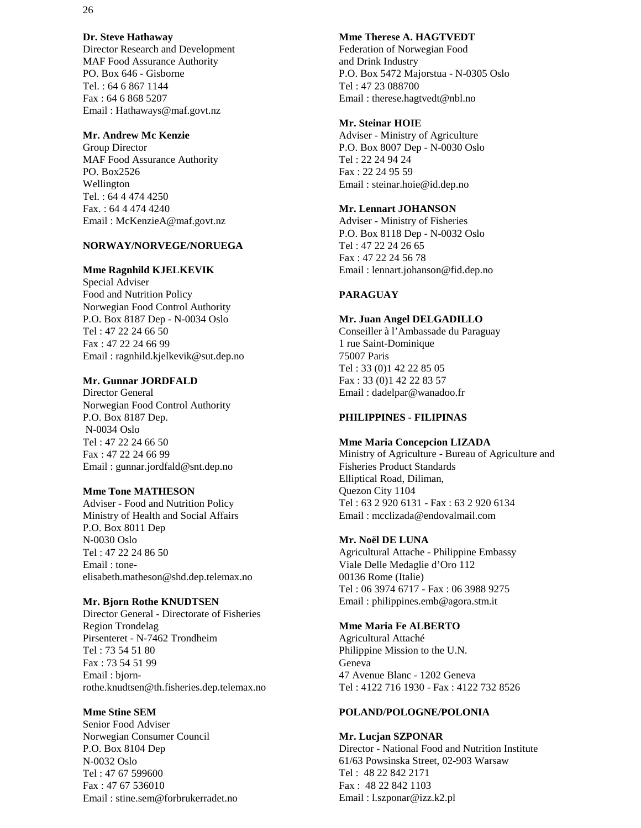#### **Dr. Steve Hathaway** Director Research and Development MAF Food Assurance Authority PO. Box 646 - Gisborne Tel. : 64 6 867 1144 Fax : 64 6 868 5207 Email : Hathaways@maf.govt.nz

#### **Mr. Andrew Mc Kenzie**

Group Director MAF Food Assurance Authority PO. Box2526 Wellington Tel. : 64 4 474 4250 Fax. : 64 4 474 4240 Email : McKenzieA@maf.govt.nz

#### **NORWAY/NORVEGE/NORUEGA**

#### **Mme Ragnhild KJELKEVIK**

Special Adviser Food and Nutrition Policy Norwegian Food Control Authority P.O. Box 8187 Dep - N-0034 Oslo Tel : 47 22 24 66 50 Fax : 47 22 24 66 99 Email : ragnhild.kjelkevik@sut.dep.no

#### **Mr. Gunnar JORDFALD**

Director General Norwegian Food Control Authority P.O. Box 8187 Dep. N-0034 Oslo Tel : 47 22 24 66 50 Fax : 47 22 24 66 99 Email : gunnar.jordfald@snt.dep.no

#### **Mme Tone MATHESON**

Adviser - Food and Nutrition Policy Ministry of Health and Social Affairs P.O. Box 8011 Dep N-0030 Oslo Tel : 47 22 24 86 50 Email : toneelisabeth.matheson@shd.dep.telemax.no

#### **Mr. Bjorn Rothe KNUDTSEN**

Director General - Directorate of Fisheries Region Trondelag Pirsenteret - N-7462 Trondheim Tel : 73 54 51 80 Fax : 73 54 51 99 Email : bjornrothe.knudtsen@th.fisheries.dep.telemax.no

#### **Mme Stine SEM**

Senior Food Adviser Norwegian Consumer Council P.O. Box 8104 Dep N-0032 Oslo Tel : 47 67 599600 Fax : 47 67 536010 Email : stine.sem@forbrukerradet.no

#### **Mme Therese A. HAGTVEDT**

Federation of Norwegian Food and Drink Industry P.O. Box 5472 Majorstua - N-0305 Oslo Tel : 47 23 088700 Email : therese.hagtvedt@nbl.no

## **Mr. Steinar HOIE**

Adviser - Ministry of Agriculture P.O. Box 8007 Dep - N-0030 Oslo Tel : 22 24 94 24 Fax : 22 24 95 59 Email : steinar.hoie@id.dep.no

## **Mr. Lennart JOHANSON**

Adviser - Ministry of Fisheries P.O. Box 8118 Dep - N-0032 Oslo Tel : 47 22 24 26 65 Fax : 47 22 24 56 78 Email : lennart.johanson@fid.dep.no

## **PARAGUAY**

#### **Mr. Juan Angel DELGADILLO**

Conseiller à l'Ambassade du Paraguay 1 rue Saint-Dominique 75007 Paris Tel : 33 (0)1 42 22 85 05 Fax : 33 (0)1 42 22 83 57 Email : dadelpar@wanadoo.fr

## **PHILIPPINES - FILIPINAS**

#### **Mme Maria Concepcion LIZADA**

Ministry of Agriculture - Bureau of Agriculture and Fisheries Product Standards Elliptical Road, Diliman, Quezon City 1104 Tel : 63 2 920 6131 - Fax : 63 2 920 6134 Email : mcclizada@endovalmail.com

#### **Mr. Noël DE LUNA**

Agricultural Attache - Philippine Embassy Viale Delle Medaglie d'Oro 112 00136 Rome (Italie) Tel : 06 3974 6717 - Fax : 06 3988 9275 Email : philippines.emb@agora.stm.it

#### **Mme Maria Fe ALBERTO**

Agricultural Attaché Philippine Mission to the U.N. Geneva 47 Avenue Blanc - 1202 Geneva Tel : 4122 716 1930 - Fax : 4122 732 8526

#### **POLAND/POLOGNE/POLONIA**

#### **Mr. Lucjan SZPONAR**

Director - National Food and Nutrition Institute 61/63 Powsinska Street, 02-903 Warsaw Tel : 48 22 842 2171 Fax : 48 22 842 1103 Email : l.szponar@izz.k2.pl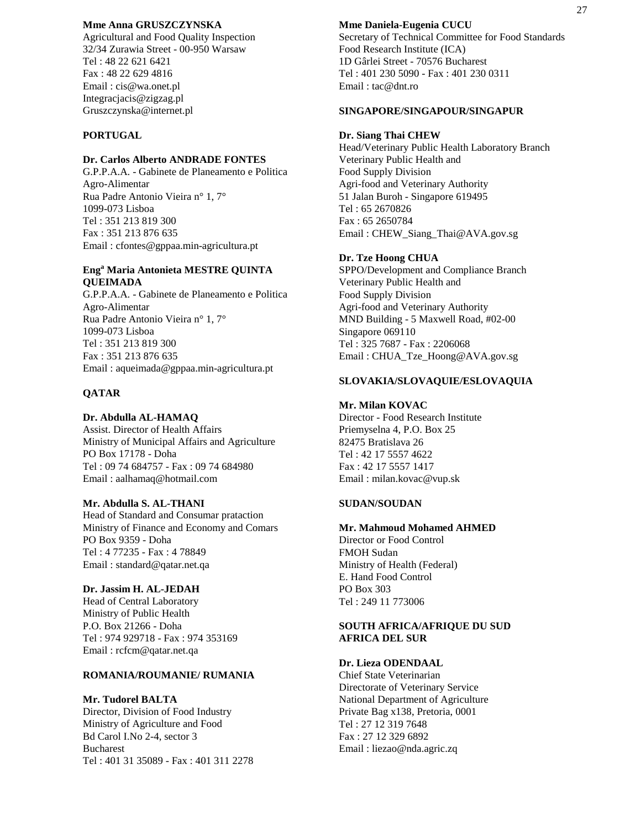#### **Mme Anna GRUSZCZYNSKA**

Agricultural and Food Quality Inspection 32/34 Zurawia Street - 00-950 Warsaw Tel : 48 22 621 6421 Fax : 48 22 629 4816 Email : cis@wa.onet.pl Integracjacis@zigzag.pl Gruszczynska@internet.pl

#### **PORTUGAL**

#### **Dr. Carlos Alberto ANDRADE FONTES**

G.P.P.A.A. - Gabinete de Planeamento e Politica Agro-Alimentar Rua Padre Antonio Vieira n° 1, 7° 1099-073 Lisboa Tel : 351 213 819 300 Fax : 351 213 876 635 Email : cfontes@gppaa.min-agricultura.pt

#### **Eng<sup>a</sup> Maria Antonieta MESTRE QUINTA QUEIMADA**

G.P.P.A.A. - Gabinete de Planeamento e Politica Agro-Alimentar Rua Padre Antonio Vieira n° 1, 7° 1099-073 Lisboa Tel : 351 213 819 300 Fax : 351 213 876 635 Email : aqueimada@gppaa.min-agricultura.pt

## **QATAR**

#### **Dr. Abdulla AL-HAMAQ**

Assist. Director of Health Affairs Ministry of Municipal Affairs and Agriculture PO Box 17178 - Doha Tel : 09 74 684757 - Fax : 09 74 684980 Email : aalhamaq@hotmail.com

#### **Mr. Abdulla S. AL-THANI**

Head of Standard and Consumar prataction Ministry of Finance and Economy and Comars PO Box 9359 - Doha Tel : 4 77235 - Fax : 4 78849 Email : standard@qatar.net.qa

#### **Dr. Jassim H. AL-JEDAH**

Head of Central Laboratory Ministry of Public Health P.O. Box 21266 - Doha Tel : 974 929718 - Fax : 974 353169 Email : rcfcm@qatar.net.qa

#### **ROMANIA/ROUMANIE/ RUMANIA**

## **Mr. Tudorel BALTA**

Director, Division of Food Industry Ministry of Agriculture and Food Bd Carol I.No 2-4, sector 3 Bucharest Tel : 401 31 35089 - Fax : 401 311 2278

#### **Mme Daniela-Eugenia CUCU**

Secretary of Technical Committee for Food Standards Food Research Institute (ICA) 1D Gârlei Street - 70576 Bucharest Tel : 401 230 5090 - Fax : 401 230 0311 Email : tac@dnt.ro

#### **SINGAPORE/SINGAPOUR/SINGAPUR**

#### **Dr. Siang Thai CHEW**

Head/Veterinary Public Health Laboratory Branch Veterinary Public Health and Food Supply Division Agri-food and Veterinary Authority 51 Jalan Buroh - Singapore 619495 Tel : 65 2670826 Fax : 65 2650784 Email : CHEW\_Siang\_Thai@AVA.gov.sg

#### **Dr. Tze Hoong CHUA**

SPPO/Development and Compliance Branch Veterinary Public Health and Food Supply Division Agri-food and Veterinary Authority MND Building - 5 Maxwell Road, #02-00 Singapore 069110 Tel : 325 7687 - Fax : 2206068 Email : CHUA\_Tze\_Hoong@AVA.gov.sg

#### **SLOVAKIA/SLOVAQUIE/ESLOVAQUIA**

#### **Mr. Milan KOVAC**

Director - Food Research Institute Priemyselna 4, P.O. Box 25 82475 Bratislava 26 Tel : 42 17 5557 4622 Fax : 42 17 5557 1417 Email : milan.kovac@vup.sk

#### **SUDAN/SOUDAN**

#### **Mr. Mahmoud Mohamed AHMED**

Director or Food Control FMOH Sudan Ministry of Health (Federal) E. Hand Food Control PO Box 303 Tel : 249 11 773006

#### **SOUTH AFRICA/AFRIQUE DU SUD AFRICA DEL SUR**

#### **Dr. Lieza ODENDAAL**

Chief State Veterinarian Directorate of Veterinary Service National Department of Agriculture Private Bag x138, Pretoria, 0001 Tel : 27 12 319 7648 Fax : 27 12 329 6892 Email : liezao@nda.agric.zq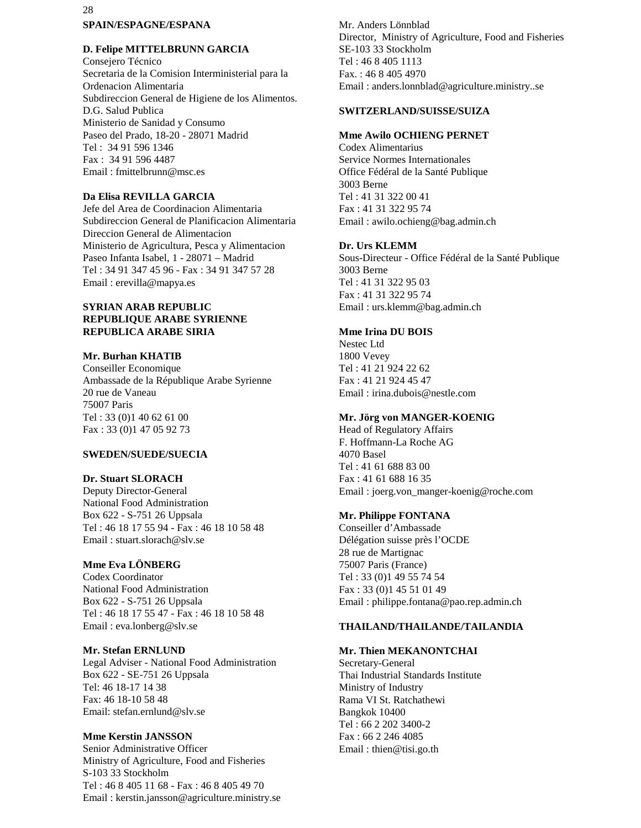## 28 **SPAIN/ESPAGNE/ESPANA**

#### **D. Felipe MITTELBRUNN GARCIA**

Consejero Técnico Secretaria de la Comision Interministerial para la Ordenacion Alimentaria Subdireccion General de Higiene de los Alimentos. D.G. Salud Publica Ministerio de Sanidad y Consumo Paseo del Prado, 18-20 - 28071 Madrid Tel : 34 91 596 1346 Fax : 34 91 596 4487 Email : fmittelbrunn@msc.es

### **Da Elisa REVILLA GARCIA**

Jefe del Area de Coordinacion Alimentaria Subdireccion General de Planificacion Alimentaria Direccion General de Alimentacion Ministerio de Agricultura, Pesca y Alimentacion Paseo Infanta Isabel, 1 - 28071 – Madrid Tel : 34 91 347 45 96 - Fax : 34 91 347 57 28 Email : erevilla@mapya.es

## **SYRIAN ARAB REPUBLIC REPUBLIQUE ARABE SYRIENNE REPUBLICA ARABE SIRIA**

#### **Mr. Burhan KHATIB**

Conseiller Economique Ambassade de la République Arabe Syrienne 20 rue de Vaneau 75007 Paris Tel : 33 (0)1 40 62 61 00 Fax : 33 (0)1 47 05 92 73

## **SWEDEN/SUEDE/SUECIA**

#### **Dr. Stuart SLORACH**

Deputy Director-General National Food Administration Box 622 - S-751 26 Uppsala Tel : 46 18 17 55 94 - Fax : 46 18 10 58 48 Email : stuart.slorach@slv.se

#### **Mme Eva LÖNBERG**

Codex Coordinator National Food Administration Box 622 - S-751 26 Uppsala Tel : 46 18 17 55 47 - Fax : 46 18 10 58 48 Email : eva.lonberg@slv.se

#### **Mr. Stefan ERNLUND**

Legal Adviser - National Food Administration Box 622 - SE-751 26 Uppsala Tel: 46 18-17 14 38 Fax: 46 18-10 58 48 Email: stefan.ernlund@slv.se

#### **Mme Kerstin JANSSON**

Senior Administrative Officer Ministry of Agriculture, Food and Fisheries S-103 33 Stockholm Tel : 46 8 405 11 68 - Fax : 46 8 405 49 70 Email : kerstin.jansson@agriculture.ministry.se Mr. Anders Lönnblad Director, Ministry of Agriculture, Food and Fisheries SE-103 33 Stockholm Tel : 46 8 405 1113 Fax. : 46 8 405 4970 Email : anders.lonnblad@agriculture.ministry..se

#### **SWITZERLAND/SUISSE/SUIZA**

## **Mme Awilo OCHIENG PERNET**

Codex Alimentarius Service Normes Internationales Office Fédéral de la Santé Publique 3003 Berne Tel : 41 31 322 00 41 Fax : 41 31 322 95 74 Email : awilo.ochieng@bag.admin.ch

#### **Dr. Urs KLEMM**

Sous-Directeur - Office Fédéral de la Santé Publique 3003 Berne Tel : 41 31 322 95 03 Fax : 41 31 322 95 74 Email : urs.klemm@bag.admin.ch

#### **Mme Irina DU BOIS**

Nestec Ltd 1800 Vevey Tel : 41 21 924 22 62 Fax : 41 21 924 45 47 Email : irina.dubois@nestle.com

#### **Mr. Jörg von MANGER-KOENIG**

Head of Regulatory Affairs F. Hoffmann-La Roche AG 4070 Basel Tel : 41 61 688 83 00 Fax : 41 61 688 16 35 Email : joerg.von\_manger-koenig@roche.com

#### **Mr. Philippe FONTANA**

Conseiller d'Ambassade Délégation suisse près l'OCDE 28 rue de Martignac 75007 Paris (France) Tel : 33 (0)1 49 55 74 54 Fax : 33 (0)1 45 51 01 49 Email : philippe.fontana@pao.rep.admin.ch

## **THAILAND/THAILANDE/TAILANDIA**

#### **Mr. Thien MEKANONTCHAI**

Secretary-General Thai Industrial Standards Institute Ministry of Industry Rama VI St. Ratchathewi Bangkok 10400 Tel : 66 2 202 3400-2 Fax : 66 2 246 4085 Email : thien@tisi.go.th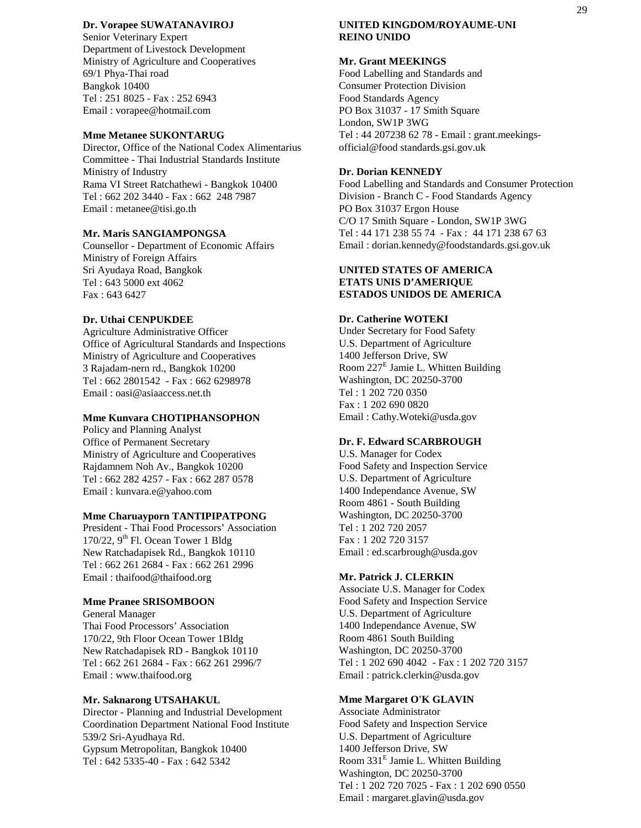#### **Dr. Vorapee SUWATANAVIROJ**

Senior Veterinary Expert Department of Livestock Development Ministry of Agriculture and Cooperatives 69/1 Phya-Thai road Bangkok 10400 Tel : 251 8025 - Fax : 252 6943 Email : vorapee@hotmail.com

#### **Mme Metanee SUKONTARUG**

Director, Office of the National Codex Alimentarius Committee - Thai Industrial Standards Institute Ministry of Industry Rama VI Street Ratchathewi - Bangkok 10400 Tel : 662 202 3440 - Fax : 662 248 7987 Email : metanee@tisi.go.th

#### **Mr. Maris SANGIAMPONGSA**

Counsellor - Department of Economic Affairs Ministry of Foreign Affairs Sri Ayudaya Road, Bangkok Tel : 643 5000 ext 4062 Fax : 643 6427

#### **Dr. Uthai CENPUKDEE**

Agriculture Administrative Officer Office of Agricultural Standards and Inspections Ministry of Agriculture and Cooperatives 3 Rajadam-nern rd., Bangkok 10200 Tel : 662 2801542 - Fax : 662 6298978 Email : oasi@asiaaccess.net.th

#### **Mme Kunvara CHOTIPHANSOPHON**

Policy and Planning Analyst Office of Permanent Secretary Ministry of Agriculture and Cooperatives Rajdamnem Noh Av., Bangkok 10200 Tel : 662 282 4257 - Fax : 662 287 0578 Email : kunvara.e@yahoo.com

#### **Mme Charuayporn TANTIPIPATPONG**

President - Thai Food Processors' Association  $170/22$ , 9<sup>th</sup> Fl. Ocean Tower 1 Bldg New Ratchadapisek Rd., Bangkok 10110 Tel : 662 261 2684 - Fax : 662 261 2996 Email : thaifood@thaifood.org

#### **Mme Pranee SRISOMBOON**

General Manager Thai Food Processors' Association 170/22, 9th Floor Ocean Tower 1Bldg New Ratchadapisek RD - Bangkok 10110 Tel : 662 261 2684 - Fax : 662 261 2996/7 Email : www.thaifood.org

#### **Mr. Saknarong UTSAHAKUL**

Director - Planning and Industrial Development Coordination Department National Food Institute 539/2 Sri-Ayudhaya Rd. Gypsum Metropolitan, Bangkok 10400 Tel : 642 5335-40 - Fax : 642 5342

#### **UNITED KINGDOM/ROYAUME-UNI REINO UNIDO**

#### **Mr. Grant MEEKINGS**

Food Labelling and Standards and Consumer Protection Division Food Standards Agency PO Box 31037 - 17 Smith Square London, SW1P 3WG Tel : 44 207238 62 78 - Email : grant.meekingsofficial@food standards.gsi.gov.uk

#### **Dr. Dorian KENNEDY**

Food Labelling and Standards and Consumer Protection Division - Branch C - Food Standards Agency PO Box 31037 Ergon House C/O 17 Smith Square - London, SW1P 3WG Tel : 44 171 238 55 74 - Fax : 44 171 238 67 63 Email : dorian.kennedy@foodstandards.gsi.gov.uk

#### **UNITED STATES OF AMERICA ETATS UNIS D'AMERIQUE ESTADOS UNIDOS DE AMERICA**

#### **Dr. Catherine WOTEKI**

Under Secretary for Food Safety U.S. Department of Agriculture 1400 Jefferson Drive, SW Room 227<sup>E</sup> Jamie L. Whitten Building Washington, DC 20250-3700 Tel : 1 202 720 0350 Fax : 1 202 690 0820 Email : Cathy.Woteki@usda.gov

#### **Dr. F. Edward SCARBROUGH**

U.S. Manager for Codex Food Safety and Inspection Service U.S. Department of Agriculture 1400 Independance Avenue, SW Room 4861 - South Building Washington, DC 20250-3700 Tel : 1 202 720 2057 Fax : 1 202 720 3157 Email : ed.scarbrough@usda.gov

#### **Mr. Patrick J. CLERKIN**

Associate U.S. Manager for Codex Food Safety and Inspection Service U.S. Department of Agriculture 1400 Independance Avenue, SW Room 4861 South Building Washington, DC 20250-3700 Tel : 1 202 690 4042 - Fax : 1 202 720 3157 Email : patrick.clerkin@usda.gov

#### **Mme Margaret O'K GLAVIN**

Associate Administrator Food Safety and Inspection Service U.S. Department of Agriculture 1400 Jefferson Drive, SW Room  $331^E$  Jamie L. Whitten Building Washington, DC 20250-3700 Tel : 1 202 720 7025 - Fax : 1 202 690 0550 Email : margaret.glavin@usda.gov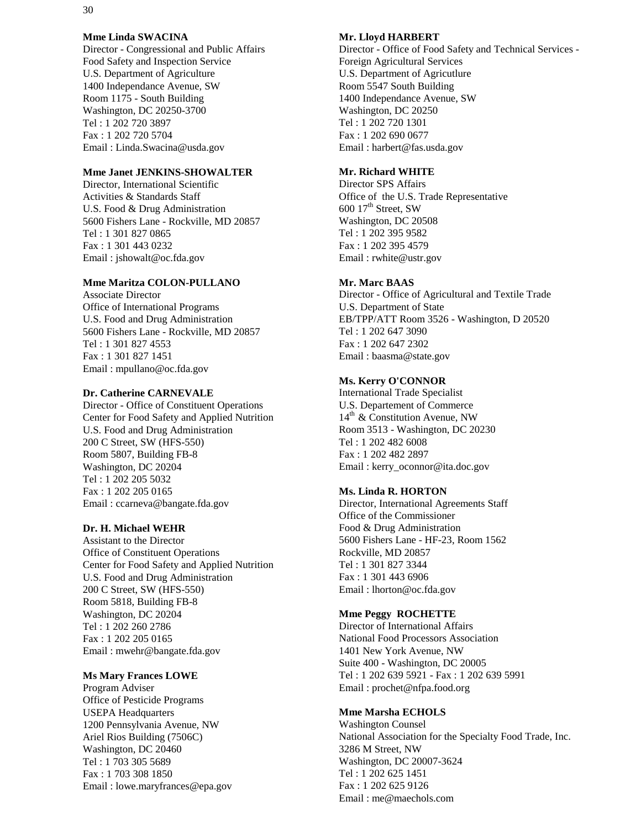#### **Mme Linda SWACINA**

Director - Congressional and Public Affairs Food Safety and Inspection Service U.S. Department of Agriculture 1400 Independance Avenue, SW Room 1175 - South Building Washington, DC 20250-3700 Tel : 1 202 720 3897 Fax : 1 202 720 5704 Email : Linda.Swacina@usda.gov

#### **Mme Janet JENKINS-SHOWALTER**

Director, International Scientific Activities & Standards Staff U.S. Food & Drug Administration 5600 Fishers Lane - Rockville, MD 20857 Tel : 1 301 827 0865 Fax : 1 301 443 0232 Email : jshowalt@oc.fda.gov

#### **Mme Maritza COLON-PULLANO**

Associate Director Office of International Programs U.S. Food and Drug Administration 5600 Fishers Lane - Rockville, MD 20857 Tel : 1 301 827 4553 Fax : 1 301 827 1451 Email : mpullano@oc.fda.gov

#### **Dr. Catherine CARNEVALE**

Director - Office of Constituent Operations Center for Food Safety and Applied Nutrition U.S. Food and Drug Administration 200 C Street, SW (HFS-550) Room 5807, Building FB-8 Washington, DC 20204 Tel : 1 202 205 5032 Fax : 1 202 205 0165 Email : ccarneva@bangate.fda.gov

#### **Dr. H. Michael WEHR**

Assistant to the Director Office of Constituent Operations Center for Food Safety and Applied Nutrition U.S. Food and Drug Administration 200 C Street, SW (HFS-550) Room 5818, Building FB-8 Washington, DC 20204 Tel : 1 202 260 2786 Fax : 1 202 205 0165 Email : mwehr@bangate.fda.gov

#### **Ms Mary Frances LOWE**

Program Adviser Office of Pesticide Programs USEPA Headquarters 1200 Pennsylvania Avenue, NW Ariel Rios Building (7506C) Washington, DC 20460 Tel : 1 703 305 5689 Fax : 1 703 308 1850 Email : lowe.maryfrances@epa.gov

#### **Mr. Lloyd HARBERT**

Director - Office of Food Safety and Technical Services - Foreign Agricultural Services U.S. Department of Agricutlure Room 5547 South Building 1400 Independance Avenue, SW Washington, DC 20250 Tel : 1 202 720 1301 Fax : 1 202 690 0677 Email : harbert@fas.usda.gov

## **Mr. Richard WHITE**

Director SPS Affairs Office of the U.S. Trade Representative  $600$   $17<sup>th</sup>$  Street, SW Washington, DC 20508 Tel : 1 202 395 9582 Fax : 1 202 395 4579 Email : rwhite@ustr.gov

#### **Mr. Marc BAAS**

Director - Office of Agricultural and Textile Trade U.S. Department of State EB/TPP/ATT Room 3526 - Washington, D 20520 Tel : 1 202 647 3090 Fax : 1 202 647 2302 Email : baasma@state.gov

#### **Ms. Kerry O'CONNOR**

International Trade Specialist U.S. Departement of Commerce  $14<sup>th</sup>$  & Constitution Avenue, NW Room 3513 - Washington, DC 20230 Tel : 1 202 482 6008 Fax : 1 202 482 2897 Email : kerry\_oconnor@ita.doc.gov

#### **Ms. Linda R. HORTON**

Director, International Agreements Staff Office of the Commissioner Food & Drug Administration 5600 Fishers Lane - HF-23, Room 1562 Rockville, MD 20857 Tel : 1 301 827 3344 Fax : 1 301 443 6906 Email : lhorton@oc.fda.gov

#### **Mme Peggy ROCHETTE**

Director of International Affairs National Food Processors Association 1401 New York Avenue, NW Suite 400 - Washington, DC 20005 Tel : 1 202 639 5921 - Fax : 1 202 639 5991 Email : prochet@nfpa.food.org

#### **Mme Marsha ECHOLS**

Washington Counsel National Association for the Specialty Food Trade, Inc. 3286 M Street, NW Washington, DC 20007-3624 Tel : 1 202 625 1451 Fax : 1 202 625 9126 Email : me@maechols.com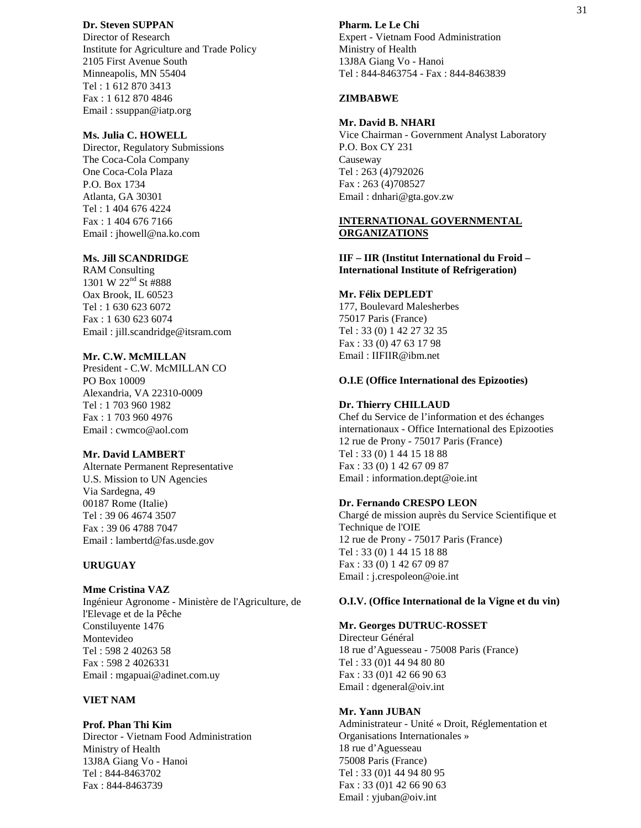#### **Dr. Steven SUPPAN**

Director of Research Institute for Agriculture and Trade Policy 2105 First Avenue South Minneapolis, MN 55404 Tel : 1 612 870 3413 Fax : 1 612 870 4846 Email : ssuppan@iatp.org

#### **Ms. Julia C. HOWELL**

Director, Regulatory Submissions The Coca-Cola Company One Coca-Cola Plaza P.O. Box 1734 Atlanta, GA 30301 Tel : 1 404 676 4224 Fax : 1 404 676 7166 Email : jhowell@na.ko.com

#### **Ms. Jill SCANDRIDGE**

RAM Consulting 1301 W 22<sup>nd</sup> St #888 Oax Brook, IL 60523 Tel : 1 630 623 6072 Fax : 1 630 623 6074 Email : jill.scandridge@itsram.com

#### **Mr. C.W. McMILLAN**

President - C.W. McMILLAN CO PO Box 10009 Alexandria, VA 22310-0009 Tel : 1 703 960 1982 Fax : 1 703 960 4976 Email : cwmco@aol.com

#### **Mr. David LAMBERT**

Alternate Permanent Representative U.S. Mission to UN Agencies Via Sardegna, 49 00187 Rome (Italie) Tel : 39 06 4674 3507 Fax : 39 06 4788 7047 Email : lambertd@fas.usde.gov

#### **URUGUAY**

**Mme Cristina VAZ** Ingénieur Agronome - Ministère de l'Agriculture, de l'Elevage et de la Pêche Constiluyente 1476 Montevideo Tel : 598 2 40263 58 Fax : 598 2 4026331 Email : mgapuai@adinet.com.uy

#### **VIET NAM**

**Prof. Phan Thi Kim** Director - Vietnam Food Administration Ministry of Health 13J8A Giang Vo - Hanoi Tel : 844-8463702 Fax : 844-8463739

#### **Pharm. Le Le Chi**

Expert - Vietnam Food Administration Ministry of Health 13J8A Giang Vo - Hanoi Tel : 844-8463754 - Fax : 844-8463839

## **ZIMBABWE**

#### **Mr. David B. NHARI**

Vice Chairman - Government Analyst Laboratory P.O. Box CY 231 Causeway Tel : 263 (4)792026 Fax : 263 (4)708527 Email : dnhari@gta.gov.zw

#### **INTERNATIONAL GOVERNMENTAL ORGANIZATIONS**

#### **IIF – IIR (Institut International du Froid – International Institute of Refrigeration)**

#### **Mr. Félix DEPLEDT**

177, Boulevard Malesherbes 75017 Paris (France) Tel : 33 (0) 1 42 27 32 35 Fax : 33 (0) 47 63 17 98 Email : IIFIIR@ibm.net

#### **O.I.E (Office International des Epizooties)**

#### **Dr. Thierry CHILLAUD**

Chef du Service de l'information et des échanges internationaux - Office International des Epizooties 12 rue de Prony - 75017 Paris (France) Tel : 33 (0) 1 44 15 18 88 Fax : 33 (0) 1 42 67 09 87 Email : information.dept@oie.int

#### **Dr. Fernando CRESPO LEON**

Chargé de mission auprès du Service Scientifique et Technique de l'OIE 12 rue de Prony - 75017 Paris (France) Tel : 33 (0) 1 44 15 18 88 Fax : 33 (0) 1 42 67 09 87 Email : j.crespoleon@oie.int

#### **O.I.V. (Office International de la Vigne et du vin)**

#### **Mr. Georges DUTRUC-ROSSET**

Directeur Général 18 rue d'Aguesseau - 75008 Paris (France) Tel : 33 (0)1 44 94 80 80 Fax : 33 (0)1 42 66 90 63 Email : dgeneral@oiv.int

#### **Mr. Yann JUBAN**

Administrateur - Unité « Droit, Réglementation et Organisations Internationales » 18 rue d'Aguesseau 75008 Paris (France) Tel : 33 (0)1 44 94 80 95 Fax : 33 (0)1 42 66 90 63 Email : yjuban@oiv.int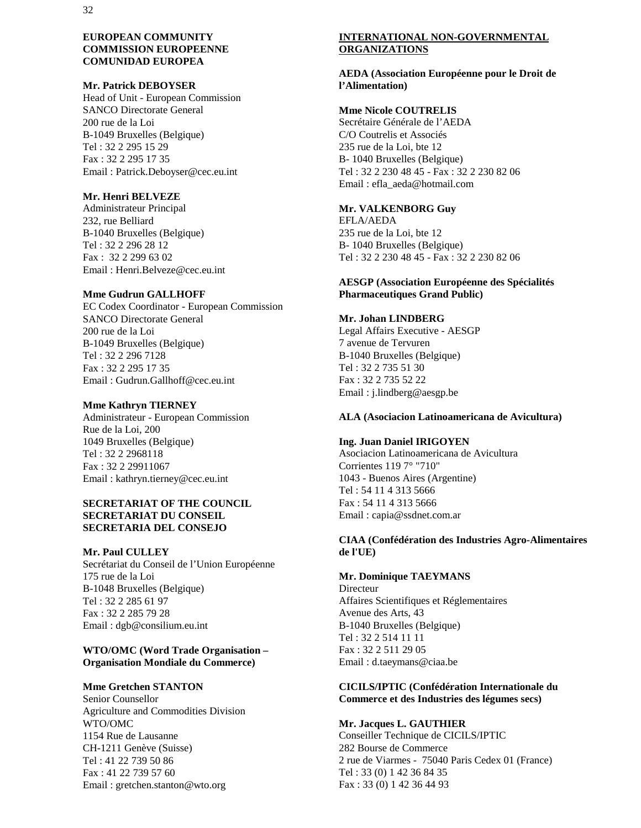## **EUROPEAN COMMUNITY COMMISSION EUROPEENNE COMUNIDAD EUROPEA**

## **Mr. Patrick DEBOYSER**

Head of Unit - European Commission SANCO Directorate General 200 rue de la Loi B-1049 Bruxelles (Belgique) Tel : 32 2 295 15 29 Fax : 32 2 295 17 35 Email : Patrick.Deboyser@cec.eu.int

## **Mr. Henri BELVEZE**

Administrateur Principal 232, rue Belliard B-1040 Bruxelles (Belgique) Tel : 32 2 296 28 12 Fax : 32 2 299 63 02 Email : Henri.Belveze@cec.eu.int

## **Mme Gudrun GALLHOFF**

EC Codex Coordinator - European Commission SANCO Directorate General 200 rue de la Loi B-1049 Bruxelles (Belgique) Tel : 32 2 296 7128 Fax : 32 2 295 17 35 Email : Gudrun.Gallhoff@cec.eu.int

#### **Mme Kathryn TIERNEY**

Administrateur - European Commission Rue de la Loi, 200 1049 Bruxelles (Belgique) Tel : 32 2 2968118 Fax : 32 2 29911067 Email : kathryn.tierney@cec.eu.int

#### **SECRETARIAT OF THE COUNCIL SECRETARIAT DU CONSEIL SECRETARIA DEL CONSEJO**

**Mr. Paul CULLEY** Secrétariat du Conseil de l'Union Européenne 175 rue de la Loi B-1048 Bruxelles (Belgique) Tel : 32 2 285 61 97 Fax : 32 2 285 79 28 Email : dgb@consilium.eu.int

#### **WTO/OMC (Word Trade Organisation – Organisation Mondiale du Commerce)**

#### **Mme Gretchen STANTON**

Senior Counsellor Agriculture and Commodities Division WTO/OMC 1154 Rue de Lausanne CH-1211 Genève (Suisse) Tel : 41 22 739 50 86 Fax : 41 22 739 57 60 Email : gretchen.stanton@wto.org

## **INTERNATIONAL NON-GOVERNMENTAL ORGANIZATIONS**

**AEDA (Association Européenne pour le Droit de l'Alimentation)**

## **Mme Nicole COUTRELIS**

Secrétaire Générale de l'AEDA C/O Coutrelis et Associés 235 rue de la Loi, bte 12 B- 1040 Bruxelles (Belgique) Tel : 32 2 230 48 45 - Fax : 32 2 230 82 06 Email : efla\_aeda@hotmail.com

## **Mr. VALKENBORG Guy**

EFLA/AEDA 235 rue de la Loi, bte 12 B- 1040 Bruxelles (Belgique) Tel : 32 2 230 48 45 - Fax : 32 2 230 82 06

## **AESGP (Association Européenne des Spécialités Pharmaceutiques Grand Public)**

## **Mr. Johan LINDBERG**

Legal Affairs Executive - AESGP 7 avenue de Tervuren B-1040 Bruxelles (Belgique) Tel : 32 2 735 51 30 Fax : 32 2 735 52 22 Email : j.lindberg@aesgp.be

## **ALA (Asociacion Latinoamericana de Avicultura)**

## **Ing. Juan Daniel IRIGOYEN**

Asociacion Latinoamericana de Avicultura Corrientes 119 7° "710" 1043 - Buenos Aires (Argentine) Tel : 54 11 4 313 5666 Fax : 54 11 4 313 5666 Email : capia@ssdnet.com.ar

## **CIAA (Confédération des Industries Agro-Alimentaires de l'UE)**

## **Mr. Dominique TAEYMANS**

Directeur Affaires Scientifiques et Réglementaires Avenue des Arts, 43 B-1040 Bruxelles (Belgique) Tel : 32 2 514 11 11 Fax : 32 2 511 29 05 Email : d.taeymans@ciaa.be

## **CICILS/IPTIC (Confédération Internationale du Commerce et des Industries des légumes secs)**

## **Mr. Jacques L. GAUTHIER**

Conseiller Technique de CICILS/IPTIC 282 Bourse de Commerce 2 rue de Viarmes - 75040 Paris Cedex 01 (France) Tel : 33 (0) 1 42 36 84 35 Fax : 33 (0) 1 42 36 44 93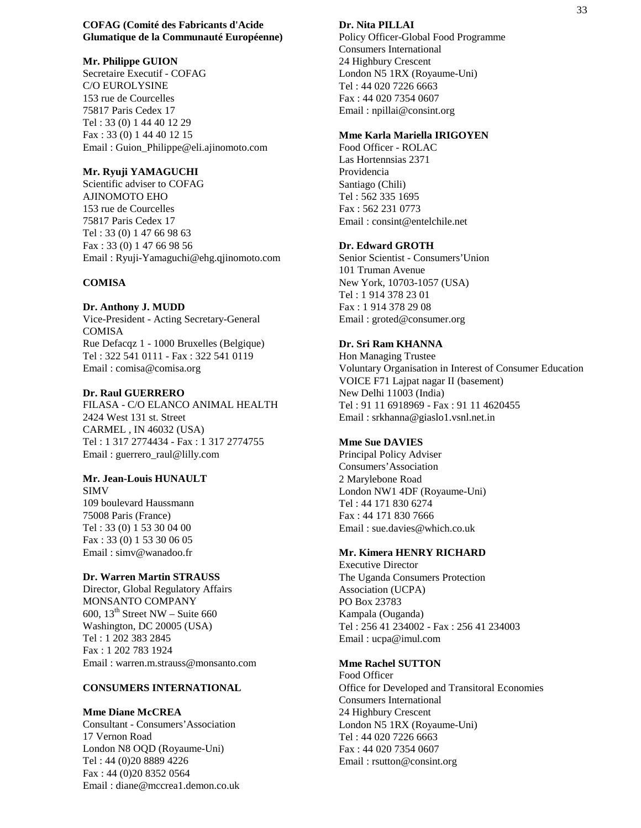#### **COFAG (Comité des Fabricants d'Acide Glumatique de la Communauté Européenne)**

#### **Mr. Philippe GUION**

Secretaire Executif - COFAG C/O EUROLYSINE 153 rue de Courcelles 75817 Paris Cedex 17 Tel : 33 (0) 1 44 40 12 29 Fax : 33 (0) 1 44 40 12 15 Email : Guion\_Philippe@eli.ajinomoto.com

#### **Mr. Ryuji YAMAGUCHI**

Scientific adviser to COFAG AJINOMOTO EHO 153 rue de Courcelles 75817 Paris Cedex 17 Tel : 33 (0) 1 47 66 98 63 Fax : 33 (0) 1 47 66 98 56 Email : Ryuji-Yamaguchi@ehg.qjinomoto.com

### **COMISA**

**Dr. Anthony J. MUDD** Vice-President - Acting Secretary-General COMISA Rue Defacqz 1 - 1000 Bruxelles (Belgique) Tel : 322 541 0111 - Fax : 322 541 0119 Email : comisa@comisa.org

#### **Dr. Raul GUERRERO**

FILASA - C/O ELANCO ANIMAL HEALTH 2424 West 131 st. Street CARMEL , IN 46032 (USA) Tel : 1 317 2774434 - Fax : 1 317 2774755 Email : guerrero\_raul@lilly.com

## **Mr. Jean-Louis HUNAULT**

SIMV 109 boulevard Haussmann 75008 Paris (France) Tel : 33 (0) 1 53 30 04 00 Fax : 33 (0) 1 53 30 06 05 Email : simv@wanadoo.fr

#### **Dr. Warren Martin STRAUSS**

Director, Global Regulatory Affairs MONSANTO COMPANY 600,  $13<sup>th</sup>$  Street NW – Suite 660 Washington, DC 20005 (USA) Tel : 1 202 383 2845 Fax : 1 202 783 1924 Email : warren.m.strauss@monsanto.com

#### **CONSUMERS INTERNATIONAL**

**Mme Diane McCREA** Consultant - Consumers'Association 17 Vernon Road London N8 OQD (Royaume-Uni) Tel : 44 (0)20 8889 4226 Fax : 44 (0)20 8352 0564 Email : diane@mccrea1.demon.co.uk

#### **Dr. Nita PILLAI**

Policy Officer-Global Food Programme Consumers International 24 Highbury Crescent London N5 1RX (Royaume-Uni) Tel : 44 020 7226 6663 Fax : 44 020 7354 0607 Email : npillai@consint.org

#### **Mme Karla Mariella IRIGOYEN**

Food Officer - ROLAC Las Hortennsias 2371 Providencia Santiago (Chili) Tel : 562 335 1695 Fax : 562 231 0773 Email : consint@entelchile.net

#### **Dr. Edward GROTH**

Senior Scientist - Consumers'Union 101 Truman Avenue New York, 10703-1057 (USA) Tel : 1 914 378 23 01 Fax : 1 914 378 29 08 Email : groted@consumer.org

## **Dr. Sri Ram KHANNA**

Hon Managing Trustee Voluntary Organisation in Interest of Consumer Education VOICE F71 Lajpat nagar II (basement) New Delhi 11003 (India) Tel : 91 11 6918969 - Fax : 91 11 4620455 Email : srkhanna@giaslo1.vsnl.net.in

## **Mme Sue DAVIES**

Principal Policy Adviser Consumers'Association 2 Marylebone Road London NW1 4DF (Royaume-Uni) Tel : 44 171 830 6274 Fax : 44 171 830 7666 Email : sue.davies@which.co.uk

#### **Mr. Kimera HENRY RICHARD**

Executive Director The Uganda Consumers Protection Association (UCPA) PO Box 23783 Kampala (Ouganda) Tel : 256 41 234002 - Fax : 256 41 234003 Email : ucpa@imul.com

#### **Mme Rachel SUTTON**

Food Officer Office for Developed and Transitoral Economies Consumers International 24 Highbury Crescent London N5 1RX (Royaume-Uni) Tel : 44 020 7226 6663 Fax : 44 020 7354 0607 Email : rsutton@consint.org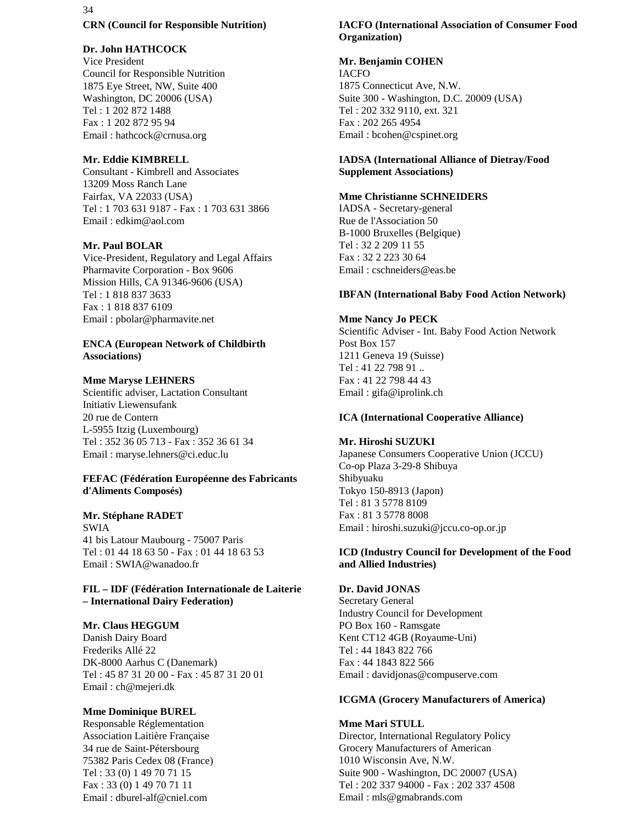#### 34

#### **CRN (Council for Responsible Nutrition)**

#### **Dr. John HATHCOCK**

Vice President Council for Responsible Nutrition 1875 Eye Street, NW, Suite 400 Washington, DC 20006 (USA) Tel : 1 202 872 1488 Fax : 1 202 872 95 94 Email : hathcock@crnusa.org

#### **Mr. Eddie KIMBRELL**

Consultant - Kimbrell and Associates 13209 Moss Ranch Lane Fairfax, VA 22033 (USA) Tel : 1 703 631 9187 - Fax : 1 703 631 3866 Email : edkim@aol.com

#### **Mr. Paul BOLAR**

Vice-President, Regulatory and Legal Affairs Pharmavite Corporation - Box 9606 Mission Hills, CA 91346-9606 (USA) Tel : 1 818 837 3633 Fax : 1 818 837 6109 Email : pbolar@pharmavite.net

#### **ENCA (European Network of Childbirth Associations)**

#### **Mme Maryse LEHNERS**

Scientific adviser, Lactation Consultant Initiativ Liewensufank 20 rue de Contern L-5955 Itzig (Luxembourg) Tel : 352 36 05 713 - Fax : 352 36 61 34 Email : maryse.lehners@ci.educ.lu

#### **FEFAC (Fédération Européenne des Fabricants d'Aliments Composés)**

#### **Mr. Stéphane RADET**

SWIA 41 bis Latour Maubourg - 75007 Paris Tel : 01 44 18 63 50 - Fax : 01 44 18 63 53 Email : SWIA@wanadoo.fr

#### **FIL – IDF (Fédération Internationale de Laiterie – International Dairy Federation)**

#### **Mr. Claus HEGGUM**

Danish Dairy Board Frederiks Allé 22 DK-8000 Aarhus C (Danemark) Tel : 45 87 31 20 00 - Fax : 45 87 31 20 01 Email : ch@mejeri.dk

#### **Mme Dominique BUREL**

Responsable Réglementation Association Laitière Française 34 rue de Saint-Pétersbourg 75382 Paris Cedex 08 (France) Tel : 33 (0) 1 49 70 71 15 Fax : 33 (0) 1 49 70 71 11 Email : dburel-alf@cniel.com

## **IACFO (International Association of Consumer Food Organization)**

#### **Mr. Benjamin COHEN**

IACFO 1875 Connecticut Ave, N.W. Suite 300 - Washington, D.C. 20009 (USA) Tel : 202 332 9110, ext. 321 Fax : 202 265 4954 Email : bcohen@cspinet.org

#### **IADSA (International Alliance of Dietray/Food Supplement Associations)**

#### **Mme Christianne SCHNEIDERS**

IADSA - Secretary-general Rue de l'Association 50 B-1000 Bruxelles (Belgique) Tel : 32 2 209 11 55 Fax : 32 2 223 30 64 Email : cschneiders@eas.be

#### **IBFAN (International Baby Food Action Network)**

#### **Mme Nancy Jo PECK**

Scientific Adviser - Int. Baby Food Action Network Post Box 157 1211 Geneva 19 (Suisse) Tel : 41 22 798 91 .. Fax : 41 22 798 44 43 Email : gifa@iprolink.ch

#### **ICA (International Cooperative Alliance)**

#### **Mr. Hiroshi SUZUKI**

Japanese Consumers Cooperative Union (JCCU) Co-op Plaza 3-29-8 Shibuya Shibyuaku Tokyo 150-8913 (Japon) Tel : 81 3 5778 8109 Fax : 81 3 5778 8008 Email : hiroshi.suzuki@jccu.co-op.or.jp

## **ICD (Industry Council for Development of the Food and Allied Industries)**

## **Dr. David JONAS**

Secretary General Industry Council for Development PO Box 160 - Ramsgate Kent CT12 4GB (Royaume-Uni) Tel : 44 1843 822 766 Fax : 44 1843 822 566 Email : davidjonas@compuserve.com

#### **ICGMA (Grocery Manufacturers of America)**

#### **Mme Mari STULL**

Director, International Regulatory Policy Grocery Manufacturers of American 1010 Wisconsin Ave, N.W. Suite 900 - Washington, DC 20007 (USA) Tel : 202 337 94000 - Fax : 202 337 4508 Email : mls@gmabrands.com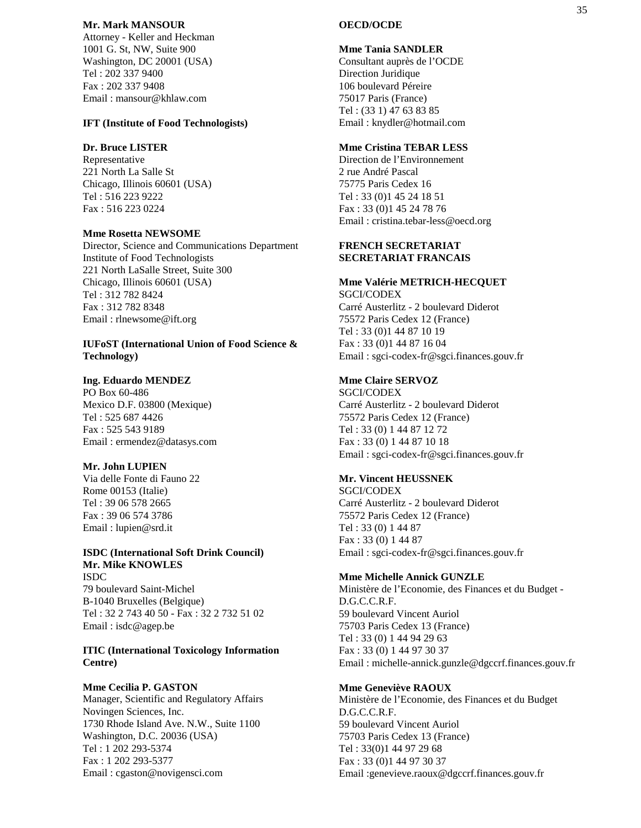#### **Mr. Mark MANSOUR**

Attorney - Keller and Heckman 1001 G. St, NW, Suite 900 Washington, DC 20001 (USA) Tel : 202 337 9400 Fax : 202 337 9408 Email : mansour@khlaw.com

#### **IFT (Institute of Food Technologists)**

#### **Dr. Bruce LISTER**

Representative 221 North La Salle St Chicago, Illinois 60601 (USA) Tel : 516 223 9222 Fax : 516 223 0224

#### **Mme Rosetta NEWSOME**

Director, Science and Communications Department Institute of Food Technologists 221 North LaSalle Street, Suite 300 Chicago, Illinois 60601 (USA) Tel : 312 782 8424 Fax : 312 782 8348 Email : rlnewsome@ift.org

#### **IUFoST (International Union of Food Science & Technology)**

#### **Ing. Eduardo MENDEZ**

PO Box 60-486 Mexico D.F. 03800 (Mexique) Tel : 525 687 4426 Fax : 525 543 9189 Email : ermendez@datasys.com

#### **Mr. John LUPIEN**

Via delle Fonte di Fauno 22 Rome 00153 (Italie) Tel : 39 06 578 2665 Fax : 39 06 574 3786 Email : lupien@srd.it

#### **ISDC (International Soft Drink Council) Mr. Mike KNOWLES** ISDC

79 boulevard Saint-Michel B-1040 Bruxelles (Belgique) Tel : 32 2 743 40 50 - Fax : 32 2 732 51 02 Email : isdc@agep.be

#### **ITIC (International Toxicology Information Centre)**

#### **Mme Cecilia P. GASTON**

Manager, Scientific and Regulatory Affairs Novingen Sciences, Inc. 1730 Rhode Island Ave. N.W., Suite 1100 Washington, D.C. 20036 (USA) Tel : 1 202 293-5374 Fax : 1 202 293-5377 Email : cgaston@novigensci.com

#### **OECD/OCDE**

#### **Mme Tania SANDLER**

Consultant auprès de l'OCDE Direction Juridique 106 boulevard Péreire 75017 Paris (France) Tel : (33 1) 47 63 83 85 Email : knydler@hotmail.com

#### **Mme Cristina TEBAR LESS**

Direction de l'Environnement 2 rue André Pascal 75775 Paris Cedex 16 Tel : 33 (0)1 45 24 18 51 Fax : 33 (0)1 45 24 78 76 Email : cristina.tebar-less@oecd.org

#### **FRENCH SECRETARIAT SECRETARIAT FRANCAIS**

## **Mme Valérie METRICH-HECQUET**

SGCI/CODEX Carré Austerlitz - 2 boulevard Diderot 75572 Paris Cedex 12 (France) Tel : 33 (0)1 44 87 10 19 Fax : 33 (0)1 44 87 16 04 Email : sgci-codex-fr@sgci.finances.gouv.fr

## **Mme Claire SERVOZ**

SGCI/CODEX Carré Austerlitz - 2 boulevard Diderot 75572 Paris Cedex 12 (France) Tel : 33 (0) 1 44 87 12 72 Fax : 33 (0) 1 44 87 10 18 Email : sgci-codex-fr@sgci.finances.gouv.fr

#### **Mr. Vincent HEUSSNEK**

SGCI/CODEX Carré Austerlitz - 2 boulevard Diderot 75572 Paris Cedex 12 (France) Tel : 33 (0) 1 44 87 Fax : 33 (0) 1 44 87 Email : sgci-codex-fr@sgci.finances.gouv.fr

#### **Mme Michelle Annick GUNZLE**

Ministère de l'Economie, des Finances et du Budget - D.G.C.C.R.F. 59 boulevard Vincent Auriol 75703 Paris Cedex 13 (France) Tel : 33 (0) 1 44 94 29 63 Fax : 33 (0) 1 44 97 30 37 Email : michelle-annick.gunzle@dgccrf.finances.gouv.fr

#### **Mme Geneviève RAOUX**

Ministère de l'Economie, des Finances et du Budget D.G.C.C.R.F. 59 boulevard Vincent Auriol 75703 Paris Cedex 13 (France) Tel : 33(0)1 44 97 29 68 Fax : 33 (0)1 44 97 30 37 Email :genevieve.raoux@dgccrf.finances.gouv.fr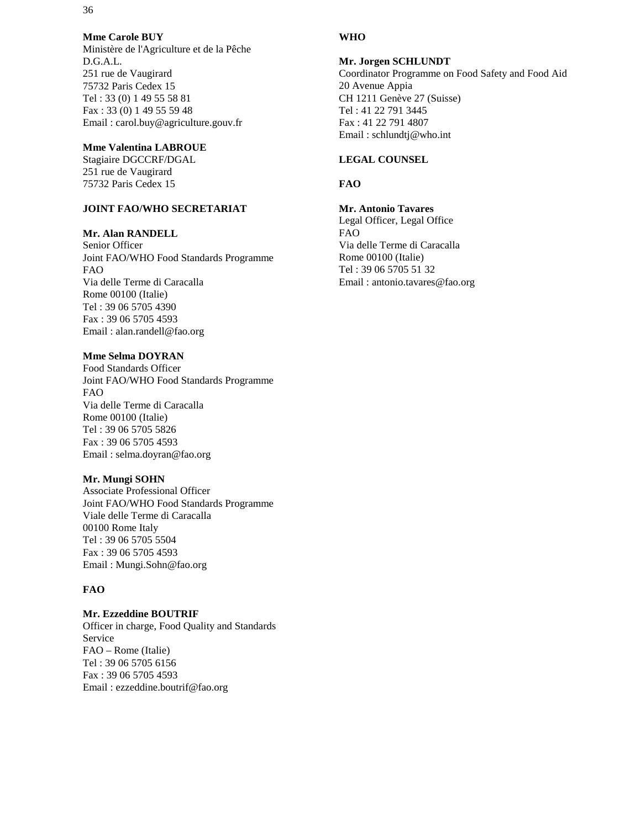#### **Mme Carole BUY** Ministère de l'Agriculture et de la Pêche D.G.A.L. 251 rue de Vaugirard 75732 Paris Cedex 15 Tel : 33 (0) 1 49 55 58 81 Fax : 33 (0) 1 49 55 59 48 Email : carol.buy@agriculture.gouv.fr

#### **Mme Valentina LABROUE**

Stagiaire DGCCRF/DGAL 251 rue de Vaugirard 75732 Paris Cedex 15

#### **JOINT FAO/WHO SECRETARIAT**

#### **Mr. Alan RANDELL**

Senior Officer Joint FAO/WHO Food Standards Programme FAO Via delle Terme di Caracalla Rome 00100 (Italie) Tel : 39 06 5705 4390 Fax : 39 06 5705 4593 Email : alan.randell@fao.org

#### **Mme Selma DOYRAN**

Food Standards Officer Joint FAO/WHO Food Standards Programme FAO Via delle Terme di Caracalla Rome 00100 (Italie) Tel : 39 06 5705 5826 Fax : 39 06 5705 4593 Email : selma.doyran@fao.org

#### **Mr. Mungi SOHN**

Associate Professional Officer Joint FAO/WHO Food Standards Programme Viale delle Terme di Caracalla 00100 Rome Italy Tel : 39 06 5705 5504 Fax : 39 06 5705 4593 Email : Mungi.Sohn@fao.org

#### **FAO**

**Mr. Ezzeddine BOUTRIF** Officer in charge, Food Quality and Standards Service FAO – Rome (Italie) Tel : 39 06 5705 6156 Fax : 39 06 5705 4593 Email : ezzeddine.boutrif@fao.org

#### **WHO**

#### **Mr. Jorgen SCHLUNDT**

Coordinator Programme on Food Safety and Food Aid 20 Avenue Appia CH 1211 Genève 27 (Suisse) Tel : 41 22 791 3445 Fax : 41 22 791 4807 Email : schlundtj@who.int

#### **LEGAL COUNSEL**

#### **FAO**

#### **Mr. Antonio Tavares**

Legal Officer, Legal Office FAO Via delle Terme di Caracalla Rome 00100 (Italie) Tel : 39 06 5705 51 32 Email : antonio.tavares@fao.org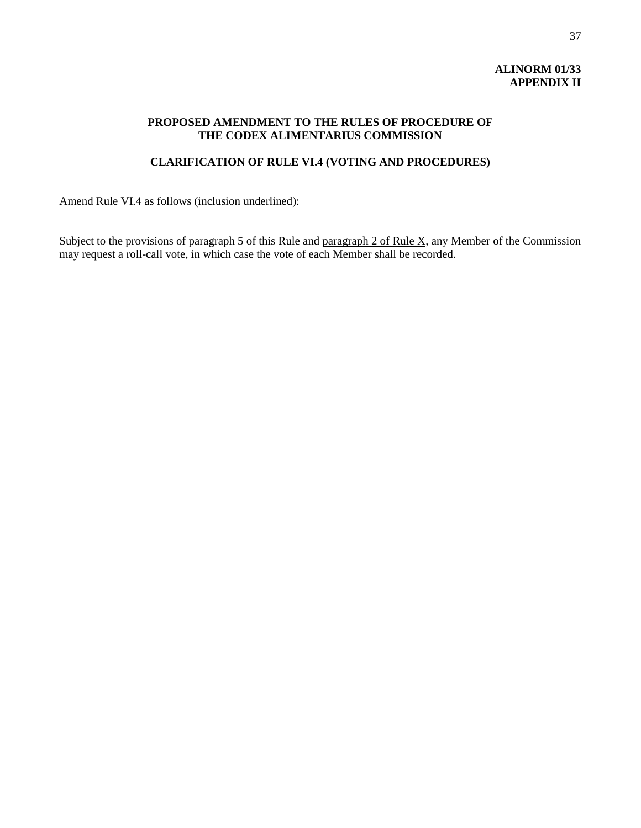## **ALINORM 01/33 APPENDIX II**

## **PROPOSED AMENDMENT TO THE RULES OF PROCEDURE OF THE CODEX ALIMENTARIUS COMMISSION**

## **CLARIFICATION OF RULE VI.4 (VOTING AND PROCEDURES)**

Amend Rule VI.4 as follows (inclusion underlined):

Subject to the provisions of paragraph 5 of this Rule and paragraph 2 of Rule X, any Member of the Commission may request a roll-call vote, in which case the vote of each Member shall be recorded.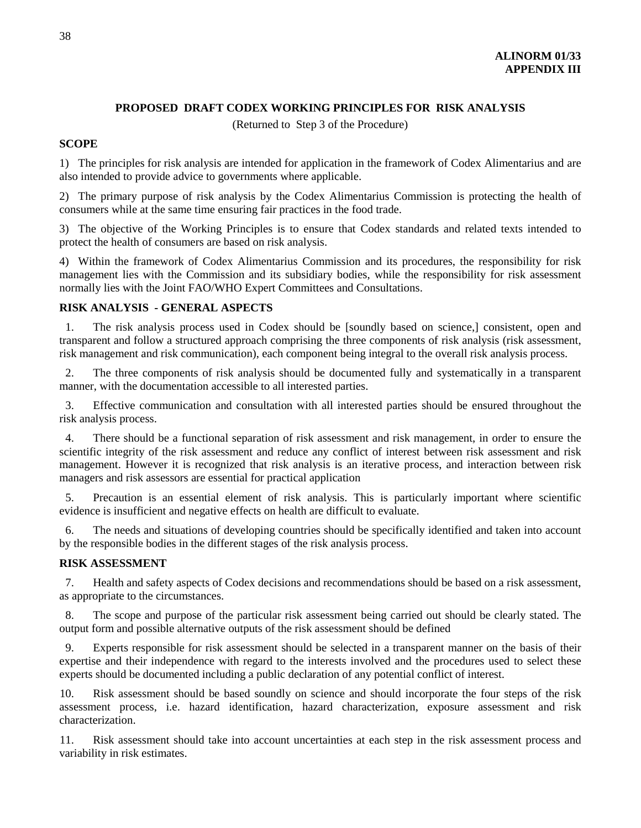## **PROPOSED DRAFT CODEX WORKING PRINCIPLES FOR RISK ANALYSIS**

(Returned to Step 3 of the Procedure)

## **SCOPE**

1) The principles for risk analysis are intended for application in the framework of Codex Alimentarius and are also intended to provide advice to governments where applicable.

2) The primary purpose of risk analysis by the Codex Alimentarius Commission is protecting the health of consumers while at the same time ensuring fair practices in the food trade.

3) The objective of the Working Principles is to ensure that Codex standards and related texts intended to protect the health of consumers are based on risk analysis.

4) Within the framework of Codex Alimentarius Commission and its procedures, the responsibility for risk management lies with the Commission and its subsidiary bodies, while the responsibility for risk assessment normally lies with the Joint FAO/WHO Expert Committees and Consultations.

## **RISK ANALYSIS - GENERAL ASPECTS**

1. The risk analysis process used in Codex should be [soundly based on science,] consistent, open and transparent and follow a structured approach comprising the three components of risk analysis (risk assessment, risk management and risk communication), each component being integral to the overall risk analysis process.

2. The three components of risk analysis should be documented fully and systematically in a transparent manner, with the documentation accessible to all interested parties.

3. Effective communication and consultation with all interested parties should be ensured throughout the risk analysis process.

4. There should be a functional separation of risk assessment and risk management, in order to ensure the scientific integrity of the risk assessment and reduce any conflict of interest between risk assessment and risk management. However it is recognized that risk analysis is an iterative process, and interaction between risk managers and risk assessors are essential for practical application

5. Precaution is an essential element of risk analysis. This is particularly important where scientific evidence is insufficient and negative effects on health are difficult to evaluate.

6. The needs and situations of developing countries should be specifically identified and taken into account by the responsible bodies in the different stages of the risk analysis process.

## **RISK ASSESSMENT**

7. Health and safety aspects of Codex decisions and recommendations should be based on a risk assessment, as appropriate to the circumstances.

8. The scope and purpose of the particular risk assessment being carried out should be clearly stated. The output form and possible alternative outputs of the risk assessment should be defined

9. Experts responsible for risk assessment should be selected in a transparent manner on the basis of their expertise and their independence with regard to the interests involved and the procedures used to select these experts should be documented including a public declaration of any potential conflict of interest.

10. Risk assessment should be based soundly on science and should incorporate the four steps of the risk assessment process, i.e. hazard identification, hazard characterization, exposure assessment and risk characterization.

11. Risk assessment should take into account uncertainties at each step in the risk assessment process and variability in risk estimates.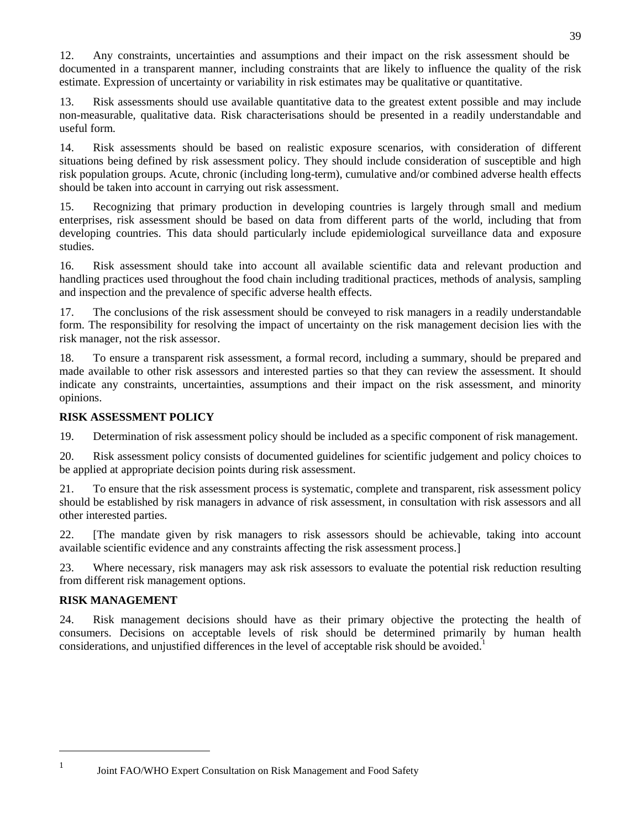12. Any constraints, uncertainties and assumptions and their impact on the risk assessment should be documented in a transparent manner, including constraints that are likely to influence the quality of the risk estimate. Expression of uncertainty or variability in risk estimates may be qualitative or quantitative.

13. Risk assessments should use available quantitative data to the greatest extent possible and may include non-measurable, qualitative data. Risk characterisations should be presented in a readily understandable and useful form.

14. Risk assessments should be based on realistic exposure scenarios, with consideration of different situations being defined by risk assessment policy. They should include consideration of susceptible and high risk population groups. Acute, chronic (including long-term), cumulative and/or combined adverse health effects should be taken into account in carrying out risk assessment.

15. Recognizing that primary production in developing countries is largely through small and medium enterprises, risk assessment should be based on data from different parts of the world, including that from developing countries. This data should particularly include epidemiological surveillance data and exposure studies.

16. Risk assessment should take into account all available scientific data and relevant production and handling practices used throughout the food chain including traditional practices, methods of analysis, sampling and inspection and the prevalence of specific adverse health effects.

17. The conclusions of the risk assessment should be conveyed to risk managers in a readily understandable form. The responsibility for resolving the impact of uncertainty on the risk management decision lies with the risk manager, not the risk assessor.

18. To ensure a transparent risk assessment, a formal record, including a summary, should be prepared and made available to other risk assessors and interested parties so that they can review the assessment. It should indicate any constraints, uncertainties, assumptions and their impact on the risk assessment, and minority opinions.

## **RISK ASSESSMENT POLICY**

19. Determination of risk assessment policy should be included as a specific component of risk management.

20. Risk assessment policy consists of documented guidelines for scientific judgement and policy choices to be applied at appropriate decision points during risk assessment.

21. To ensure that the risk assessment process is systematic, complete and transparent, risk assessment policy should be established by risk managers in advance of risk assessment, in consultation with risk assessors and all other interested parties.

22. [The mandate given by risk managers to risk assessors should be achievable, taking into account available scientific evidence and any constraints affecting the risk assessment process.]

23. Where necessary, risk managers may ask risk assessors to evaluate the potential risk reduction resulting from different risk management options.

## **RISK MANAGEMENT**

l

24. Risk management decisions should have as their primary objective the protecting the health of consumers. Decisions on acceptable levels of risk should be determined primarily by human health considerations, and unjustified differences in the level of acceptable risk should be avoided.<sup>1</sup>

<sup>&</sup>lt;sup>1</sup> Joint FAO/WHO Expert Consultation on Risk Management and Food Safety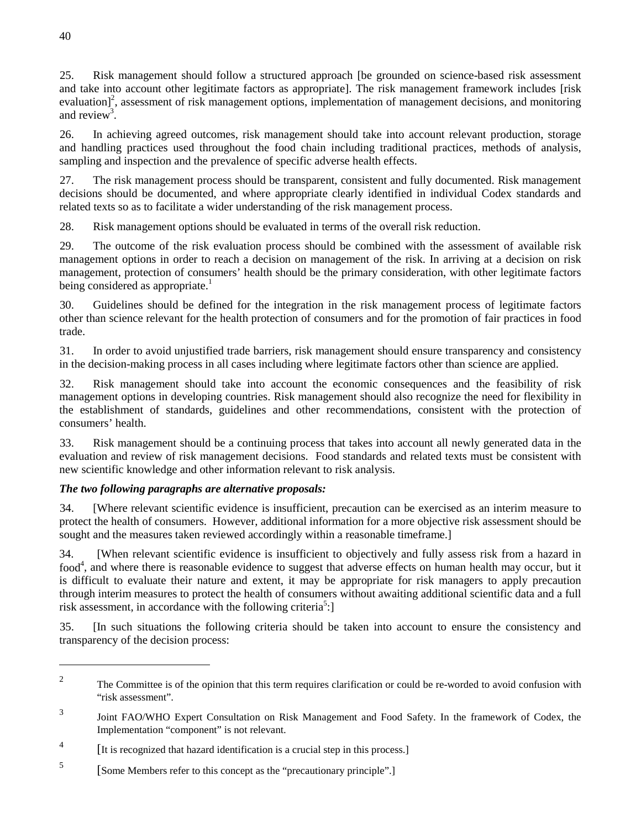25. Risk management should follow a structured approach [be grounded on science-based risk assessment and take into account other legitimate factors as appropriate]. The risk management framework includes [risk evaluation]<sup>2</sup>, assessment of risk management options, implementation of management decisions, and monitoring and review<sup>3</sup>.

26. In achieving agreed outcomes, risk management should take into account relevant production, storage and handling practices used throughout the food chain including traditional practices, methods of analysis, sampling and inspection and the prevalence of specific adverse health effects.

27. The risk management process should be transparent, consistent and fully documented. Risk management decisions should be documented, and where appropriate clearly identified in individual Codex standards and related texts so as to facilitate a wider understanding of the risk management process.

28. Risk management options should be evaluated in terms of the overall risk reduction.

29. The outcome of the risk evaluation process should be combined with the assessment of available risk management options in order to reach a decision on management of the risk. In arriving at a decision on risk management, protection of consumers' health should be the primary consideration, with other legitimate factors being considered as appropriate.<sup>1</sup>

30. Guidelines should be defined for the integration in the risk management process of legitimate factors other than science relevant for the health protection of consumers and for the promotion of fair practices in food trade.

31. In order to avoid unjustified trade barriers, risk management should ensure transparency and consistency in the decision-making process in all cases including where legitimate factors other than science are applied.

32. Risk management should take into account the economic consequences and the feasibility of risk management options in developing countries. Risk management should also recognize the need for flexibility in the establishment of standards, guidelines and other recommendations, consistent with the protection of consumers' health.

33. Risk management should be a continuing process that takes into account all newly generated data in the evaluation and review of risk management decisions. Food standards and related texts must be consistent with new scientific knowledge and other information relevant to risk analysis.

## *The two following paragraphs are alternative proposals:*

34. [Where relevant scientific evidence is insufficient, precaution can be exercised as an interim measure to protect the health of consumers. However, additional information for a more objective risk assessment should be sought and the measures taken reviewed accordingly within a reasonable timeframe.]

34. [When relevant scientific evidence is insufficient to objectively and fully assess risk from a hazard in food<sup>4</sup>, and where there is reasonable evidence to suggest that adverse effects on human health may occur, but it is difficult to evaluate their nature and extent, it may be appropriate for risk managers to apply precaution through interim measures to protect the health of consumers without awaiting additional scientific data and a full risk assessment, in accordance with the following criteria<sup>5</sup>:]

35. [In such situations the following criteria should be taken into account to ensure the consistency and transparency of the decision process:

l

<sup>&</sup>lt;sup>2</sup> The Committee is of the opinion that this term requires clarification or could be re-worded to avoid confusion with "risk assessment".

<sup>3</sup> Joint FAO/WHO Expert Consultation on Risk Management and Food Safety. In the framework of Codex, the Implementation "component" is not relevant.

<sup>4</sup> [It is recognized that hazard identification is a crucial step in this process.]

<sup>5</sup> [Some Members refer to this concept as the "precautionary principle".]